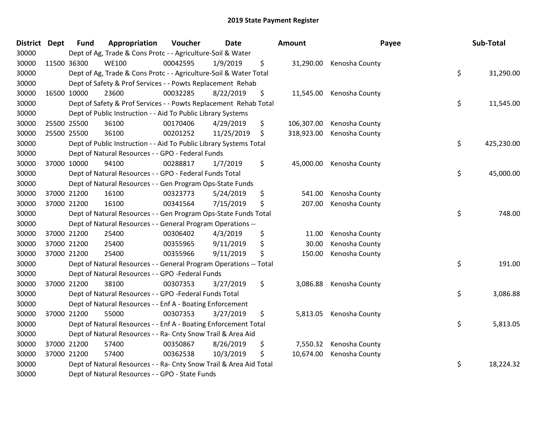| <b>District</b> | Dept        | <b>Fund</b> | Appropriation                                                      | Voucher  | <b>Date</b> | <b>Amount</b>    |                          | Payee | Sub-Total  |
|-----------------|-------------|-------------|--------------------------------------------------------------------|----------|-------------|------------------|--------------------------|-------|------------|
| 30000           |             |             | Dept of Ag, Trade & Cons Protc - - Agriculture-Soil & Water        |          |             |                  |                          |       |            |
| 30000           | 11500 36300 |             | <b>WE100</b>                                                       | 00042595 | 1/9/2019    | \$               | 31,290.00 Kenosha County |       |            |
| 30000           |             |             | Dept of Ag, Trade & Cons Protc - - Agriculture-Soil & Water Total  |          |             |                  |                          | \$    | 31,290.00  |
| 30000           |             |             | Dept of Safety & Prof Services - - Powts Replacement Rehab         |          |             |                  |                          |       |            |
| 30000           |             | 16500 10000 | 23600                                                              | 00032285 | 8/22/2019   | \$<br>11,545.00  | Kenosha County           |       |            |
| 30000           |             |             | Dept of Safety & Prof Services - - Powts Replacement Rehab Total   |          |             |                  |                          | \$    | 11,545.00  |
| 30000           |             |             | Dept of Public Instruction - - Aid To Public Library Systems       |          |             |                  |                          |       |            |
| 30000           |             | 25500 25500 | 36100                                                              | 00170406 | 4/29/2019   | \$<br>106,307.00 | Kenosha County           |       |            |
| 30000           | 25500 25500 |             | 36100                                                              | 00201252 | 11/25/2019  | \$<br>318,923.00 | Kenosha County           |       |            |
| 30000           |             |             | Dept of Public Instruction - - Aid To Public Library Systems Total |          |             |                  |                          | \$    | 425,230.00 |
| 30000           |             |             | Dept of Natural Resources - - GPO - Federal Funds                  |          |             |                  |                          |       |            |
| 30000           | 37000 10000 |             | 94100                                                              | 00288817 | 1/7/2019    | \$               | 45,000.00 Kenosha County |       |            |
| 30000           |             |             | Dept of Natural Resources - - GPO - Federal Funds Total            |          |             |                  |                          | \$    | 45,000.00  |
| 30000           |             |             | Dept of Natural Resources - - Gen Program Ops-State Funds          |          |             |                  |                          |       |            |
| 30000           | 37000 21200 |             | 16100                                                              | 00323773 | 5/24/2019   | \$<br>541.00     | Kenosha County           |       |            |
| 30000           | 37000 21200 |             | 16100                                                              | 00341564 | 7/15/2019   | \$<br>207.00     | Kenosha County           |       |            |
| 30000           |             |             | Dept of Natural Resources - - Gen Program Ops-State Funds Total    |          |             |                  |                          | \$    | 748.00     |
| 30000           |             |             | Dept of Natural Resources - - General Program Operations --        |          |             |                  |                          |       |            |
| 30000           |             | 37000 21200 | 25400                                                              | 00306402 | 4/3/2019    | \$<br>11.00      | Kenosha County           |       |            |
| 30000           | 37000 21200 |             | 25400                                                              | 00355965 | 9/11/2019   | \$<br>30.00      | Kenosha County           |       |            |
| 30000           | 37000 21200 |             | 25400                                                              | 00355966 | 9/11/2019   | \$<br>150.00     | Kenosha County           |       |            |
| 30000           |             |             | Dept of Natural Resources - - General Program Operations -- Total  |          |             |                  |                          | \$    | 191.00     |
| 30000           |             |             | Dept of Natural Resources - - GPO -Federal Funds                   |          |             |                  |                          |       |            |
| 30000           | 37000 21200 |             | 38100                                                              | 00307353 | 3/27/2019   | \$<br>3,086.88   | Kenosha County           |       |            |
| 30000           |             |             | Dept of Natural Resources - - GPO -Federal Funds Total             |          |             |                  |                          | \$    | 3,086.88   |
| 30000           |             |             | Dept of Natural Resources - - Enf A - Boating Enforcement          |          |             |                  |                          |       |            |
| 30000           | 37000 21200 |             | 55000                                                              | 00307353 | 3/27/2019   | \$<br>5,813.05   | Kenosha County           |       |            |
| 30000           |             |             | Dept of Natural Resources - - Enf A - Boating Enforcement Total    |          |             |                  |                          | \$    | 5,813.05   |
| 30000           |             |             | Dept of Natural Resources - - Ra- Cnty Snow Trail & Area Aid       |          |             |                  |                          |       |            |
| 30000           | 37000 21200 |             | 57400                                                              | 00350867 | 8/26/2019   | \$<br>7,550.32   | Kenosha County           |       |            |
| 30000           | 37000 21200 |             | 57400                                                              | 00362538 | 10/3/2019   | \$<br>10,674.00  | Kenosha County           |       |            |
| 30000           |             |             | Dept of Natural Resources - - Ra- Cnty Snow Trail & Area Aid Total |          |             |                  |                          | \$    | 18,224.32  |
| 30000           |             |             | Dept of Natural Resources - - GPO - State Funds                    |          |             |                  |                          |       |            |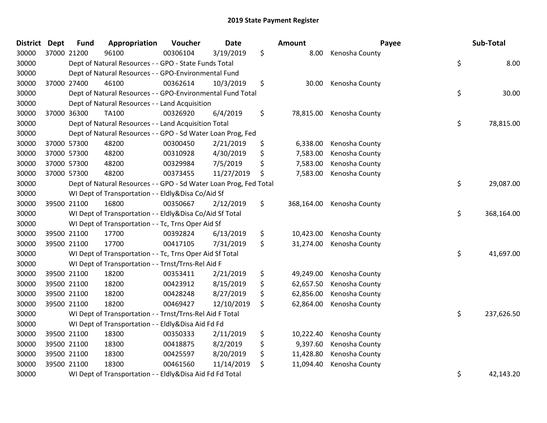| <b>District Dept</b> |             | <b>Fund</b> | Appropriation                                                     | Voucher  | <b>Date</b> | <b>Amount</b>    |                | Payee | Sub-Total  |
|----------------------|-------------|-------------|-------------------------------------------------------------------|----------|-------------|------------------|----------------|-------|------------|
| 30000                |             | 37000 21200 | 96100                                                             | 00306104 | 3/19/2019   | \$<br>8.00       | Kenosha County |       |            |
| 30000                |             |             | Dept of Natural Resources - - GPO - State Funds Total             |          |             |                  |                | \$    | 8.00       |
| 30000                |             |             | Dept of Natural Resources - - GPO-Environmental Fund              |          |             |                  |                |       |            |
| 30000                |             | 37000 27400 | 46100                                                             | 00362614 | 10/3/2019   | \$<br>30.00      | Kenosha County |       |            |
| 30000                |             |             | Dept of Natural Resources - - GPO-Environmental Fund Total        |          |             |                  |                | \$    | 30.00      |
| 30000                |             |             | Dept of Natural Resources - - Land Acquisition                    |          |             |                  |                |       |            |
| 30000                |             | 37000 36300 | <b>TA100</b>                                                      | 00326920 | 6/4/2019    | \$<br>78,815.00  | Kenosha County |       |            |
| 30000                |             |             | Dept of Natural Resources - - Land Acquisition Total              |          |             |                  |                | \$    | 78,815.00  |
| 30000                |             |             | Dept of Natural Resources - - GPO - Sd Water Loan Prog, Fed       |          |             |                  |                |       |            |
| 30000                |             | 37000 57300 | 48200                                                             | 00300450 | 2/21/2019   | \$<br>6,338.00   | Kenosha County |       |            |
| 30000                |             | 37000 57300 | 48200                                                             | 00310928 | 4/30/2019   | \$<br>7,583.00   | Kenosha County |       |            |
| 30000                | 37000 57300 |             | 48200                                                             | 00329984 | 7/5/2019    | \$<br>7,583.00   | Kenosha County |       |            |
| 30000                |             | 37000 57300 | 48200                                                             | 00373455 | 11/27/2019  | \$<br>7,583.00   | Kenosha County |       |            |
| 30000                |             |             | Dept of Natural Resources - - GPO - Sd Water Loan Prog, Fed Total |          |             |                  |                | \$    | 29,087.00  |
| 30000                |             |             | WI Dept of Transportation - - Eldly&Disa Co/Aid Sf                |          |             |                  |                |       |            |
| 30000                |             | 39500 21100 | 16800                                                             | 00350667 | 2/12/2019   | \$<br>368,164.00 | Kenosha County |       |            |
| 30000                |             |             | WI Dept of Transportation - - Eldly&Disa Co/Aid Sf Total          |          |             |                  |                | \$    | 368,164.00 |
| 30000                |             |             | WI Dept of Transportation - - Tc, Trns Oper Aid Sf                |          |             |                  |                |       |            |
| 30000                |             | 39500 21100 | 17700                                                             | 00392824 | 6/13/2019   | \$<br>10,423.00  | Kenosha County |       |            |
| 30000                |             | 39500 21100 | 17700                                                             | 00417105 | 7/31/2019   | \$<br>31,274.00  | Kenosha County |       |            |
| 30000                |             |             | WI Dept of Transportation - - Tc, Trns Oper Aid Sf Total          |          |             |                  |                | \$    | 41,697.00  |
| 30000                |             |             | WI Dept of Transportation - - Trnst/Trns-Rel Aid F                |          |             |                  |                |       |            |
| 30000                |             | 39500 21100 | 18200                                                             | 00353411 | 2/21/2019   | \$<br>49,249.00  | Kenosha County |       |            |
| 30000                |             | 39500 21100 | 18200                                                             | 00423912 | 8/15/2019   | \$<br>62,657.50  | Kenosha County |       |            |
| 30000                |             | 39500 21100 | 18200                                                             | 00428248 | 8/27/2019   | \$<br>62,856.00  | Kenosha County |       |            |
| 30000                |             | 39500 21100 | 18200                                                             | 00469427 | 12/10/2019  | \$<br>62,864.00  | Kenosha County |       |            |
| 30000                |             |             | WI Dept of Transportation - - Trnst/Trns-Rel Aid F Total          |          |             |                  |                | \$    | 237,626.50 |
| 30000                |             |             | WI Dept of Transportation - - Eldly&Disa Aid Fd Fd                |          |             |                  |                |       |            |
| 30000                |             | 39500 21100 | 18300                                                             | 00350333 | 2/11/2019   | \$<br>10,222.40  | Kenosha County |       |            |
| 30000                |             | 39500 21100 | 18300                                                             | 00418875 | 8/2/2019    | \$<br>9,397.60   | Kenosha County |       |            |
| 30000                |             | 39500 21100 | 18300                                                             | 00425597 | 8/20/2019   | \$<br>11,428.80  | Kenosha County |       |            |
| 30000                |             | 39500 21100 | 18300                                                             | 00461560 | 11/14/2019  | \$<br>11,094.40  | Kenosha County |       |            |
| 30000                |             |             | WI Dept of Transportation - - Eldly&Disa Aid Fd Fd Total          |          |             |                  |                | \$    | 42,143.20  |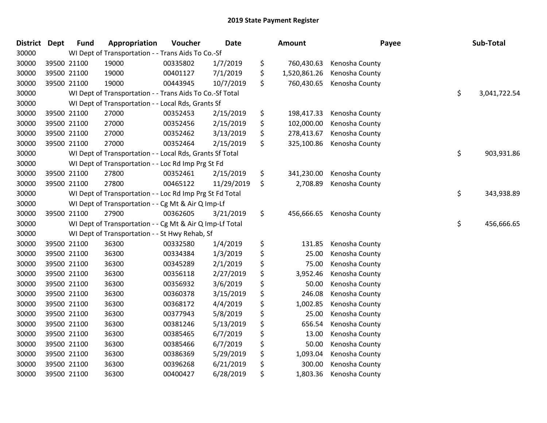| District Dept | <b>Fund</b> | Appropriation                                            | Voucher  | <b>Date</b> | <b>Amount</b>      | Payee          | Sub-Total          |
|---------------|-------------|----------------------------------------------------------|----------|-------------|--------------------|----------------|--------------------|
| 30000         |             | WI Dept of Transportation - - Trans Aids To Co.-Sf       |          |             |                    |                |                    |
| 30000         | 39500 21100 | 19000                                                    | 00335802 | 1/7/2019    | \$<br>760,430.63   | Kenosha County |                    |
| 30000         | 39500 21100 | 19000                                                    | 00401127 | 7/1/2019    | \$<br>1,520,861.26 | Kenosha County |                    |
| 30000         | 39500 21100 | 19000                                                    | 00443945 | 10/7/2019   | \$<br>760,430.65   | Kenosha County |                    |
| 30000         |             | WI Dept of Transportation - - Trans Aids To Co.-Sf Total |          |             |                    |                | \$<br>3,041,722.54 |
| 30000         |             | WI Dept of Transportation - - Local Rds, Grants Sf       |          |             |                    |                |                    |
| 30000         | 39500 21100 | 27000                                                    | 00352453 | 2/15/2019   | \$<br>198,417.33   | Kenosha County |                    |
| 30000         | 39500 21100 | 27000                                                    | 00352456 | 2/15/2019   | \$<br>102,000.00   | Kenosha County |                    |
| 30000         | 39500 21100 | 27000                                                    | 00352462 | 3/13/2019   | \$<br>278,413.67   | Kenosha County |                    |
| 30000         | 39500 21100 | 27000                                                    | 00352464 | 2/15/2019   | \$<br>325,100.86   | Kenosha County |                    |
| 30000         |             | WI Dept of Transportation - - Local Rds, Grants Sf Total |          |             |                    |                | \$<br>903,931.86   |
| 30000         |             | WI Dept of Transportation - - Loc Rd Imp Prg St Fd       |          |             |                    |                |                    |
| 30000         | 39500 21100 | 27800                                                    | 00352461 | 2/15/2019   | \$<br>341,230.00   | Kenosha County |                    |
| 30000         | 39500 21100 | 27800                                                    | 00465122 | 11/29/2019  | \$<br>2,708.89     | Kenosha County |                    |
| 30000         |             | WI Dept of Transportation - - Loc Rd Imp Prg St Fd Total |          |             |                    |                | \$<br>343,938.89   |
| 30000         |             | WI Dept of Transportation - - Cg Mt & Air Q Imp-Lf       |          |             |                    |                |                    |
| 30000         | 39500 21100 | 27900                                                    | 00362605 | 3/21/2019   | \$<br>456,666.65   | Kenosha County |                    |
| 30000         |             | WI Dept of Transportation - - Cg Mt & Air Q Imp-Lf Total |          |             |                    |                | \$<br>456,666.65   |
| 30000         |             | WI Dept of Transportation - - St Hwy Rehab, Sf           |          |             |                    |                |                    |
| 30000         | 39500 21100 | 36300                                                    | 00332580 | 1/4/2019    | \$<br>131.85       | Kenosha County |                    |
| 30000         | 39500 21100 | 36300                                                    | 00334384 | 1/3/2019    | \$<br>25.00        | Kenosha County |                    |
| 30000         | 39500 21100 | 36300                                                    | 00345289 | 2/1/2019    | \$<br>75.00        | Kenosha County |                    |
| 30000         | 39500 21100 | 36300                                                    | 00356118 | 2/27/2019   | \$<br>3,952.46     | Kenosha County |                    |
| 30000         | 39500 21100 | 36300                                                    | 00356932 | 3/6/2019    | \$<br>50.00        | Kenosha County |                    |
| 30000         | 39500 21100 | 36300                                                    | 00360378 | 3/15/2019   | \$<br>246.08       | Kenosha County |                    |
| 30000         | 39500 21100 | 36300                                                    | 00368172 | 4/4/2019    | \$<br>1,002.85     | Kenosha County |                    |
| 30000         | 39500 21100 | 36300                                                    | 00377943 | 5/8/2019    | \$<br>25.00        | Kenosha County |                    |
| 30000         | 39500 21100 | 36300                                                    | 00381246 | 5/13/2019   | \$<br>656.54       | Kenosha County |                    |
| 30000         | 39500 21100 | 36300                                                    | 00385465 | 6/7/2019    | \$<br>13.00        | Kenosha County |                    |
| 30000         | 39500 21100 | 36300                                                    | 00385466 | 6/7/2019    | \$<br>50.00        | Kenosha County |                    |
| 30000         | 39500 21100 | 36300                                                    | 00386369 | 5/29/2019   | \$<br>1,093.04     | Kenosha County |                    |
| 30000         | 39500 21100 | 36300                                                    | 00396268 | 6/21/2019   | \$<br>300.00       | Kenosha County |                    |
| 30000         | 39500 21100 | 36300                                                    | 00400427 | 6/28/2019   | \$<br>1,803.36     | Kenosha County |                    |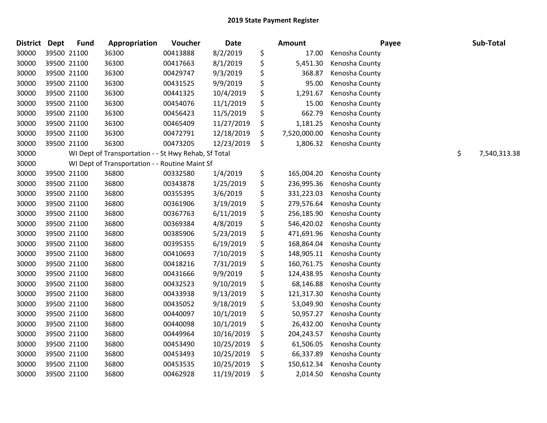| <b>District</b> | <b>Dept</b> | <b>Fund</b> | Appropriation                                        | Voucher  | Date       | Amount             | Payee          | Sub-Total          |
|-----------------|-------------|-------------|------------------------------------------------------|----------|------------|--------------------|----------------|--------------------|
| 30000           |             | 39500 21100 | 36300                                                | 00413888 | 8/2/2019   | \$<br>17.00        | Kenosha County |                    |
| 30000           |             | 39500 21100 | 36300                                                | 00417663 | 8/1/2019   | \$<br>5,451.30     | Kenosha County |                    |
| 30000           |             | 39500 21100 | 36300                                                | 00429747 | 9/3/2019   | \$<br>368.87       | Kenosha County |                    |
| 30000           |             | 39500 21100 | 36300                                                | 00431525 | 9/9/2019   | \$<br>95.00        | Kenosha County |                    |
| 30000           |             | 39500 21100 | 36300                                                | 00441325 | 10/4/2019  | \$<br>1,291.67     | Kenosha County |                    |
| 30000           |             | 39500 21100 | 36300                                                | 00454076 | 11/1/2019  | \$<br>15.00        | Kenosha County |                    |
| 30000           |             | 39500 21100 | 36300                                                | 00456423 | 11/5/2019  | \$<br>662.79       | Kenosha County |                    |
| 30000           |             | 39500 21100 | 36300                                                | 00465409 | 11/27/2019 | \$<br>1,181.25     | Kenosha County |                    |
| 30000           |             | 39500 21100 | 36300                                                | 00472791 | 12/18/2019 | \$<br>7,520,000.00 | Kenosha County |                    |
| 30000           |             | 39500 21100 | 36300                                                | 00473205 | 12/23/2019 | \$<br>1,806.32     | Kenosha County |                    |
| 30000           |             |             | WI Dept of Transportation - - St Hwy Rehab, Sf Total |          |            |                    |                | \$<br>7,540,313.38 |
| 30000           |             |             | WI Dept of Transportation - - Routine Maint Sf       |          |            |                    |                |                    |
| 30000           |             | 39500 21100 | 36800                                                | 00332580 | 1/4/2019   | \$<br>165,004.20   | Kenosha County |                    |
| 30000           |             | 39500 21100 | 36800                                                | 00343878 | 1/25/2019  | \$<br>236,995.36   | Kenosha County |                    |
| 30000           |             | 39500 21100 | 36800                                                | 00355395 | 3/6/2019   | \$<br>331,223.03   | Kenosha County |                    |
| 30000           |             | 39500 21100 | 36800                                                | 00361906 | 3/19/2019  | \$<br>279,576.64   | Kenosha County |                    |
| 30000           |             | 39500 21100 | 36800                                                | 00367763 | 6/11/2019  | \$<br>256,185.90   | Kenosha County |                    |
| 30000           |             | 39500 21100 | 36800                                                | 00369384 | 4/8/2019   | \$<br>546,420.02   | Kenosha County |                    |
| 30000           |             | 39500 21100 | 36800                                                | 00385906 | 5/23/2019  | \$<br>471,691.96   | Kenosha County |                    |
| 30000           |             | 39500 21100 | 36800                                                | 00395355 | 6/19/2019  | \$<br>168,864.04   | Kenosha County |                    |
| 30000           |             | 39500 21100 | 36800                                                | 00410693 | 7/10/2019  | \$<br>148,905.11   | Kenosha County |                    |
| 30000           |             | 39500 21100 | 36800                                                | 00418216 | 7/31/2019  | \$<br>160,761.75   | Kenosha County |                    |
| 30000           |             | 39500 21100 | 36800                                                | 00431666 | 9/9/2019   | \$<br>124,438.95   | Kenosha County |                    |
| 30000           |             | 39500 21100 | 36800                                                | 00432523 | 9/10/2019  | \$<br>68,146.88    | Kenosha County |                    |
| 30000           |             | 39500 21100 | 36800                                                | 00433938 | 9/13/2019  | \$<br>121,317.30   | Kenosha County |                    |
| 30000           |             | 39500 21100 | 36800                                                | 00435052 | 9/18/2019  | \$<br>53,049.90    | Kenosha County |                    |
| 30000           |             | 39500 21100 | 36800                                                | 00440097 | 10/1/2019  | \$<br>50,957.27    | Kenosha County |                    |
| 30000           |             | 39500 21100 | 36800                                                | 00440098 | 10/1/2019  | \$<br>26,432.00    | Kenosha County |                    |
| 30000           |             | 39500 21100 | 36800                                                | 00449964 | 10/16/2019 | \$<br>204,243.57   | Kenosha County |                    |
| 30000           |             | 39500 21100 | 36800                                                | 00453490 | 10/25/2019 | \$<br>61,506.05    | Kenosha County |                    |
| 30000           |             | 39500 21100 | 36800                                                | 00453493 | 10/25/2019 | \$<br>66,337.89    | Kenosha County |                    |
| 30000           |             | 39500 21100 | 36800                                                | 00453535 | 10/25/2019 | \$<br>150,612.34   | Kenosha County |                    |
| 30000           |             | 39500 21100 | 36800                                                | 00462928 | 11/19/2019 | \$<br>2,014.50     | Kenosha County |                    |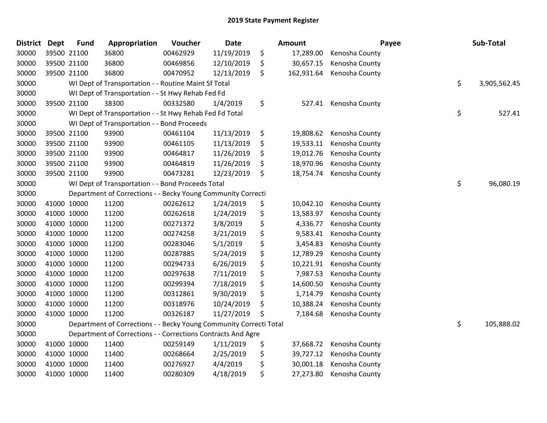| <b>District</b> | <b>Dept</b> | <b>Fund</b> | Appropriation                                                      | Voucher  | <b>Date</b> | Amount           | Payee          | Sub-Total          |
|-----------------|-------------|-------------|--------------------------------------------------------------------|----------|-------------|------------------|----------------|--------------------|
| 30000           | 39500 21100 |             | 36800                                                              | 00462929 | 11/19/2019  | \$<br>17,289.00  | Kenosha County |                    |
| 30000           | 39500 21100 |             | 36800                                                              | 00469856 | 12/10/2019  | \$<br>30,657.15  | Kenosha County |                    |
| 30000           | 39500 21100 |             | 36800                                                              | 00470952 | 12/13/2019  | \$<br>162,931.64 | Kenosha County |                    |
| 30000           |             |             | WI Dept of Transportation - - Routine Maint Sf Total               |          |             |                  |                | \$<br>3,905,562.45 |
| 30000           |             |             | WI Dept of Transportation - - St Hwy Rehab Fed Fd                  |          |             |                  |                |                    |
| 30000           | 39500 21100 |             | 38300                                                              | 00332580 | 1/4/2019    | \$<br>527.41     | Kenosha County |                    |
| 30000           |             |             | WI Dept of Transportation - - St Hwy Rehab Fed Fd Total            |          |             |                  |                | \$<br>527.41       |
| 30000           |             |             | WI Dept of Transportation - - Bond Proceeds                        |          |             |                  |                |                    |
| 30000           | 39500 21100 |             | 93900                                                              | 00461104 | 11/13/2019  | \$<br>19,808.62  | Kenosha County |                    |
| 30000           | 39500 21100 |             | 93900                                                              | 00461105 | 11/13/2019  | \$<br>19,533.11  | Kenosha County |                    |
| 30000           | 39500 21100 |             | 93900                                                              | 00464817 | 11/26/2019  | \$<br>19,012.76  | Kenosha County |                    |
| 30000           | 39500 21100 |             | 93900                                                              | 00464819 | 11/26/2019  | \$<br>18,970.96  | Kenosha County |                    |
| 30000           | 39500 21100 |             | 93900                                                              | 00473281 | 12/23/2019  | \$<br>18,754.74  | Kenosha County |                    |
| 30000           |             |             | WI Dept of Transportation - - Bond Proceeds Total                  |          |             |                  |                | \$<br>96,080.19    |
| 30000           |             |             | Department of Corrections - - Becky Young Community Correcti       |          |             |                  |                |                    |
| 30000           | 41000 10000 |             | 11200                                                              | 00262612 | 1/24/2019   | \$<br>10,042.10  | Kenosha County |                    |
| 30000           | 41000 10000 |             | 11200                                                              | 00262618 | 1/24/2019   | \$<br>13,583.97  | Kenosha County |                    |
| 30000           | 41000 10000 |             | 11200                                                              | 00271372 | 3/8/2019    | \$<br>4,336.77   | Kenosha County |                    |
| 30000           | 41000 10000 |             | 11200                                                              | 00274258 | 3/21/2019   | \$<br>9,583.41   | Kenosha County |                    |
| 30000           | 41000 10000 |             | 11200                                                              | 00283046 | 5/1/2019    | \$<br>3,454.83   | Kenosha County |                    |
| 30000           | 41000 10000 |             | 11200                                                              | 00287885 | 5/24/2019   | \$<br>12,789.29  | Kenosha County |                    |
| 30000           | 41000 10000 |             | 11200                                                              | 00294733 | 6/26/2019   | \$<br>10,221.91  | Kenosha County |                    |
| 30000           | 41000 10000 |             | 11200                                                              | 00297638 | 7/11/2019   | \$<br>7,987.53   | Kenosha County |                    |
| 30000           | 41000 10000 |             | 11200                                                              | 00299394 | 7/18/2019   | \$<br>14,600.50  | Kenosha County |                    |
| 30000           | 41000 10000 |             | 11200                                                              | 00312861 | 9/30/2019   | \$<br>1,714.79   | Kenosha County |                    |
| 30000           | 41000 10000 |             | 11200                                                              | 00318976 | 10/24/2019  | \$<br>10,388.24  | Kenosha County |                    |
| 30000           | 41000 10000 |             | 11200                                                              | 00326187 | 11/27/2019  | \$<br>7,184.68   | Kenosha County |                    |
| 30000           |             |             | Department of Corrections - - Becky Young Community Correcti Total |          |             |                  |                | \$<br>105,888.02   |
| 30000           |             |             | Department of Corrections - - Corrections Contracts And Agre       |          |             |                  |                |                    |
| 30000           | 41000 10000 |             | 11400                                                              | 00259149 | 1/11/2019   | \$<br>37,668.72  | Kenosha County |                    |
| 30000           | 41000 10000 |             | 11400                                                              | 00268664 | 2/25/2019   | \$<br>39,727.12  | Kenosha County |                    |
| 30000           | 41000 10000 |             | 11400                                                              | 00276927 | 4/4/2019    | \$<br>30,001.18  | Kenosha County |                    |
| 30000           | 41000 10000 |             | 11400                                                              | 00280309 | 4/18/2019   | \$<br>27,273.80  | Kenosha County |                    |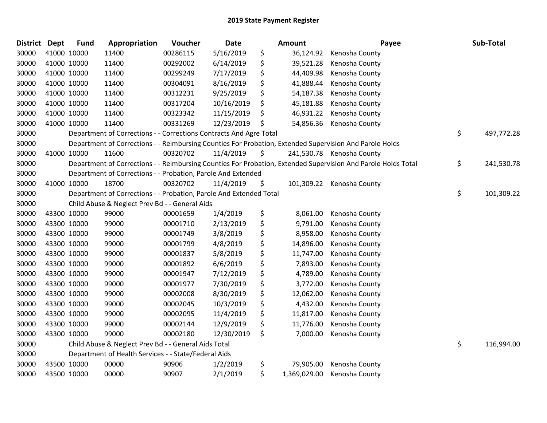| <b>District</b> | <b>Dept</b> | <b>Fund</b> | Appropriation                                                      | Voucher  | <b>Date</b> | Amount             | Payee                                                                                                         | Sub-Total        |
|-----------------|-------------|-------------|--------------------------------------------------------------------|----------|-------------|--------------------|---------------------------------------------------------------------------------------------------------------|------------------|
| 30000           |             | 41000 10000 | 11400                                                              | 00286115 | 5/16/2019   | \$<br>36,124.92    | Kenosha County                                                                                                |                  |
| 30000           |             | 41000 10000 | 11400                                                              | 00292002 | 6/14/2019   | \$<br>39,521.28    | Kenosha County                                                                                                |                  |
| 30000           | 41000 10000 |             | 11400                                                              | 00299249 | 7/17/2019   | \$<br>44,409.98    | Kenosha County                                                                                                |                  |
| 30000           | 41000 10000 |             | 11400                                                              | 00304091 | 8/16/2019   | \$<br>41,888.44    | Kenosha County                                                                                                |                  |
| 30000           | 41000 10000 |             | 11400                                                              | 00312231 | 9/25/2019   | \$<br>54,187.38    | Kenosha County                                                                                                |                  |
| 30000           | 41000 10000 |             | 11400                                                              | 00317204 | 10/16/2019  | \$<br>45,181.88    | Kenosha County                                                                                                |                  |
| 30000           |             | 41000 10000 | 11400                                                              | 00323342 | 11/15/2019  | \$<br>46,931.22    | Kenosha County                                                                                                |                  |
| 30000           | 41000 10000 |             | 11400                                                              | 00331269 | 12/23/2019  | \$<br>54,856.36    | Kenosha County                                                                                                |                  |
| 30000           |             |             | Department of Corrections - - Corrections Contracts And Agre Total |          |             |                    |                                                                                                               | \$<br>497,772.28 |
| 30000           |             |             |                                                                    |          |             |                    | Department of Corrections - - Reimbursing Counties For Probation, Extended Supervision And Parole Holds       |                  |
| 30000           |             | 41000 10000 | 11600                                                              | 00320702 | 11/4/2019   | \$                 | 241,530.78 Kenosha County                                                                                     |                  |
| 30000           |             |             |                                                                    |          |             |                    | Department of Corrections - - Reimbursing Counties For Probation, Extended Supervision And Parole Holds Total | \$<br>241,530.78 |
| 30000           |             |             | Department of Corrections - - Probation, Parole And Extended       |          |             |                    |                                                                                                               |                  |
| 30000           |             | 41000 10000 | 18700                                                              | 00320702 | 11/4/2019   | \$                 | 101,309.22 Kenosha County                                                                                     |                  |
| 30000           |             |             | Department of Corrections - - Probation, Parole And Extended Total |          |             |                    |                                                                                                               | \$<br>101,309.22 |
| 30000           |             |             | Child Abuse & Neglect Prev Bd - - General Aids                     |          |             |                    |                                                                                                               |                  |
| 30000           |             | 43300 10000 | 99000                                                              | 00001659 | 1/4/2019    | \$<br>8,061.00     | Kenosha County                                                                                                |                  |
| 30000           |             | 43300 10000 | 99000                                                              | 00001710 | 2/13/2019   | \$<br>9,791.00     | Kenosha County                                                                                                |                  |
| 30000           |             | 43300 10000 | 99000                                                              | 00001749 | 3/8/2019    | \$<br>8,958.00     | Kenosha County                                                                                                |                  |
| 30000           |             | 43300 10000 | 99000                                                              | 00001799 | 4/8/2019    | \$<br>14,896.00    | Kenosha County                                                                                                |                  |
| 30000           |             | 43300 10000 | 99000                                                              | 00001837 | 5/8/2019    | \$<br>11,747.00    | Kenosha County                                                                                                |                  |
| 30000           |             | 43300 10000 | 99000                                                              | 00001892 | 6/6/2019    | \$<br>7,893.00     | Kenosha County                                                                                                |                  |
| 30000           | 43300 10000 |             | 99000                                                              | 00001947 | 7/12/2019   | \$<br>4,789.00     | Kenosha County                                                                                                |                  |
| 30000           | 43300 10000 |             | 99000                                                              | 00001977 | 7/30/2019   | \$<br>3,772.00     | Kenosha County                                                                                                |                  |
| 30000           | 43300 10000 |             | 99000                                                              | 00002008 | 8/30/2019   | \$<br>12,062.00    | Kenosha County                                                                                                |                  |
| 30000           | 43300 10000 |             | 99000                                                              | 00002045 | 10/3/2019   | \$<br>4,432.00     | Kenosha County                                                                                                |                  |
| 30000           | 43300 10000 |             | 99000                                                              | 00002095 | 11/4/2019   | \$<br>11,817.00    | Kenosha County                                                                                                |                  |
| 30000           | 43300 10000 |             | 99000                                                              | 00002144 | 12/9/2019   | \$<br>11,776.00    | Kenosha County                                                                                                |                  |
| 30000           | 43300 10000 |             | 99000                                                              | 00002180 | 12/30/2019  | \$<br>7,000.00     | Kenosha County                                                                                                |                  |
| 30000           |             |             | Child Abuse & Neglect Prev Bd - - General Aids Total               |          |             |                    |                                                                                                               | \$<br>116,994.00 |
| 30000           |             |             | Department of Health Services - - State/Federal Aids               |          |             |                    |                                                                                                               |                  |
| 30000           |             | 43500 10000 | 00000                                                              | 90906    | 1/2/2019    | \$<br>79,905.00    | Kenosha County                                                                                                |                  |
| 30000           | 43500 10000 |             | 00000                                                              | 90907    | 2/1/2019    | \$<br>1,369,029.00 | Kenosha County                                                                                                |                  |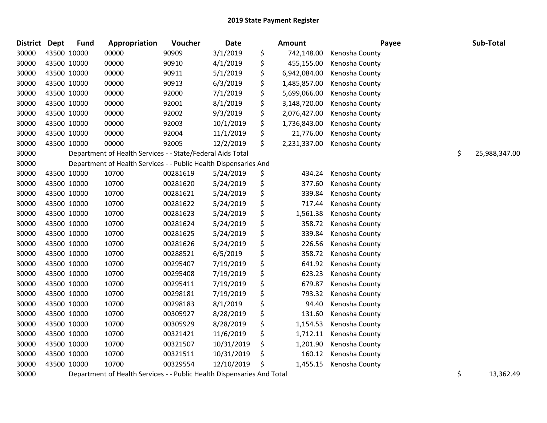| <b>District</b> | <b>Dept</b> | <b>Fund</b> | Appropriation                                                    | Voucher  | <b>Date</b> | <b>Amount</b>      | Payee          | Sub-Total           |
|-----------------|-------------|-------------|------------------------------------------------------------------|----------|-------------|--------------------|----------------|---------------------|
| 30000           | 43500 10000 |             | 00000                                                            | 90909    | 3/1/2019    | \$<br>742,148.00   | Kenosha County |                     |
| 30000           | 43500 10000 |             | 00000                                                            | 90910    | 4/1/2019    | \$<br>455,155.00   | Kenosha County |                     |
| 30000           | 43500 10000 |             | 00000                                                            | 90911    | 5/1/2019    | \$<br>6,942,084.00 | Kenosha County |                     |
| 30000           | 43500 10000 |             | 00000                                                            | 90913    | 6/3/2019    | \$<br>1,485,857.00 | Kenosha County |                     |
| 30000           | 43500 10000 |             | 00000                                                            | 92000    | 7/1/2019    | \$<br>5,699,066.00 | Kenosha County |                     |
| 30000           | 43500 10000 |             | 00000                                                            | 92001    | 8/1/2019    | \$<br>3,148,720.00 | Kenosha County |                     |
| 30000           | 43500 10000 |             | 00000                                                            | 92002    | 9/3/2019    | \$<br>2,076,427.00 | Kenosha County |                     |
| 30000           | 43500 10000 |             | 00000                                                            | 92003    | 10/1/2019   | \$<br>1,736,843.00 | Kenosha County |                     |
| 30000           | 43500 10000 |             | 00000                                                            | 92004    | 11/1/2019   | \$<br>21,776.00    | Kenosha County |                     |
| 30000           | 43500 10000 |             | 00000                                                            | 92005    | 12/2/2019   | \$<br>2,231,337.00 | Kenosha County |                     |
| 30000           |             |             | Department of Health Services - - State/Federal Aids Total       |          |             |                    |                | \$<br>25,988,347.00 |
| 30000           |             |             | Department of Health Services - - Public Health Dispensaries And |          |             |                    |                |                     |
| 30000           | 43500 10000 |             | 10700                                                            | 00281619 | 5/24/2019   | \$<br>434.24       | Kenosha County |                     |
| 30000           | 43500 10000 |             | 10700                                                            | 00281620 | 5/24/2019   | \$<br>377.60       | Kenosha County |                     |
| 30000           | 43500 10000 |             | 10700                                                            | 00281621 | 5/24/2019   | \$<br>339.84       | Kenosha County |                     |
| 30000           | 43500 10000 |             | 10700                                                            | 00281622 | 5/24/2019   | \$<br>717.44       | Kenosha County |                     |
| 30000           | 43500 10000 |             | 10700                                                            | 00281623 | 5/24/2019   | \$<br>1,561.38     | Kenosha County |                     |
| 30000           | 43500 10000 |             | 10700                                                            | 00281624 | 5/24/2019   | \$<br>358.72       | Kenosha County |                     |
| 30000           | 43500 10000 |             | 10700                                                            | 00281625 | 5/24/2019   | \$<br>339.84       | Kenosha County |                     |
| 30000           | 43500 10000 |             | 10700                                                            | 00281626 | 5/24/2019   | \$<br>226.56       | Kenosha County |                     |
| 30000           | 43500 10000 |             | 10700                                                            | 00288521 | 6/5/2019    | \$<br>358.72       | Kenosha County |                     |
| 30000           | 43500 10000 |             | 10700                                                            | 00295407 | 7/19/2019   | \$<br>641.92       | Kenosha County |                     |
| 30000           | 43500 10000 |             | 10700                                                            | 00295408 | 7/19/2019   | \$<br>623.23       | Kenosha County |                     |
| 30000           | 43500 10000 |             | 10700                                                            | 00295411 | 7/19/2019   | \$<br>679.87       | Kenosha County |                     |
| 30000           | 43500 10000 |             | 10700                                                            | 00298181 | 7/19/2019   | \$<br>793.32       | Kenosha County |                     |
| 30000           | 43500 10000 |             | 10700                                                            | 00298183 | 8/1/2019    | \$<br>94.40        | Kenosha County |                     |
| 30000           | 43500 10000 |             | 10700                                                            | 00305927 | 8/28/2019   | \$<br>131.60       | Kenosha County |                     |
| 30000           | 43500 10000 |             | 10700                                                            | 00305929 | 8/28/2019   | \$<br>1,154.53     | Kenosha County |                     |
| 30000           | 43500 10000 |             | 10700                                                            | 00321421 | 11/6/2019   | \$<br>1,712.11     | Kenosha County |                     |
| 30000           | 43500 10000 |             | 10700                                                            | 00321507 | 10/31/2019  | \$<br>1,201.90     | Kenosha County |                     |
| 30000           | 43500 10000 |             | 10700                                                            | 00321511 | 10/31/2019  | \$<br>160.12       | Kenosha County |                     |
| 30000           | 43500 10000 |             | 10700                                                            | 00329554 | 12/10/2019  | \$<br>1,455.15     | Kenosha County |                     |
|                 |             |             |                                                                  |          |             |                    |                |                     |

30000 Department of Health Services - - Public Health Dispensaries And Total 30000 5 13,362.49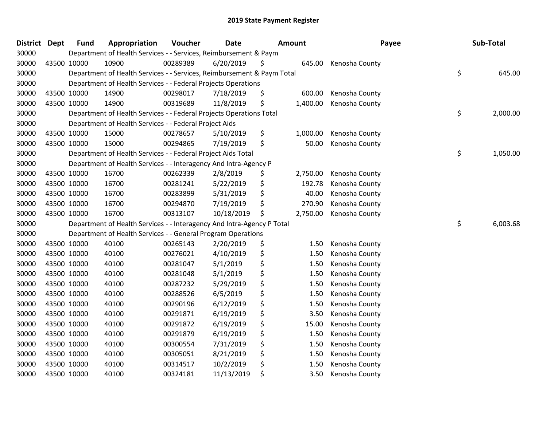| <b>District</b> | <b>Dept</b> | <b>Fund</b> | Appropriation                                                          | Voucher  | <b>Date</b> | Amount         | Payee          | Sub-Total      |
|-----------------|-------------|-------------|------------------------------------------------------------------------|----------|-------------|----------------|----------------|----------------|
| 30000           |             |             | Department of Health Services - - Services, Reimbursement & Paym       |          |             |                |                |                |
| 30000           |             | 43500 10000 | 10900                                                                  | 00289389 | 6/20/2019   | \$<br>645.00   | Kenosha County |                |
| 30000           |             |             | Department of Health Services - - Services, Reimbursement & Paym Total |          |             |                |                | \$<br>645.00   |
| 30000           |             |             | Department of Health Services - - Federal Projects Operations          |          |             |                |                |                |
| 30000           | 43500 10000 |             | 14900                                                                  | 00298017 | 7/18/2019   | \$<br>600.00   | Kenosha County |                |
| 30000           |             | 43500 10000 | 14900                                                                  | 00319689 | 11/8/2019   | \$<br>1,400.00 | Kenosha County |                |
| 30000           |             |             | Department of Health Services - - Federal Projects Operations Total    |          |             |                |                | \$<br>2,000.00 |
| 30000           |             |             | Department of Health Services - - Federal Project Aids                 |          |             |                |                |                |
| 30000           |             | 43500 10000 | 15000                                                                  | 00278657 | 5/10/2019   | \$<br>1,000.00 | Kenosha County |                |
| 30000           | 43500 10000 |             | 15000                                                                  | 00294865 | 7/19/2019   | \$<br>50.00    | Kenosha County |                |
| 30000           |             |             | Department of Health Services - - Federal Project Aids Total           |          |             |                |                | \$<br>1,050.00 |
| 30000           |             |             | Department of Health Services - - Interagency And Intra-Agency P       |          |             |                |                |                |
| 30000           | 43500 10000 |             | 16700                                                                  | 00262339 | 2/8/2019    | \$<br>2,750.00 | Kenosha County |                |
| 30000           | 43500 10000 |             | 16700                                                                  | 00281241 | 5/22/2019   | \$<br>192.78   | Kenosha County |                |
| 30000           | 43500 10000 |             | 16700                                                                  | 00283899 | 5/31/2019   | \$<br>40.00    | Kenosha County |                |
| 30000           |             | 43500 10000 | 16700                                                                  | 00294870 | 7/19/2019   | \$<br>270.90   | Kenosha County |                |
| 30000           |             | 43500 10000 | 16700                                                                  | 00313107 | 10/18/2019  | \$<br>2,750.00 | Kenosha County |                |
| 30000           |             |             | Department of Health Services - - Interagency And Intra-Agency P Total |          |             |                |                | \$<br>6,003.68 |
| 30000           |             |             | Department of Health Services - - General Program Operations           |          |             |                |                |                |
| 30000           | 43500 10000 |             | 40100                                                                  | 00265143 | 2/20/2019   | \$<br>1.50     | Kenosha County |                |
| 30000           |             | 43500 10000 | 40100                                                                  | 00276021 | 4/10/2019   | \$<br>1.50     | Kenosha County |                |
| 30000           |             | 43500 10000 | 40100                                                                  | 00281047 | 5/1/2019    | \$<br>1.50     | Kenosha County |                |
| 30000           | 43500 10000 |             | 40100                                                                  | 00281048 | 5/1/2019    | \$<br>1.50     | Kenosha County |                |
| 30000           | 43500 10000 |             | 40100                                                                  | 00287232 | 5/29/2019   | \$<br>1.50     | Kenosha County |                |
| 30000           | 43500 10000 |             | 40100                                                                  | 00288526 | 6/5/2019    | \$<br>1.50     | Kenosha County |                |
| 30000           |             | 43500 10000 | 40100                                                                  | 00290196 | 6/12/2019   | \$<br>1.50     | Kenosha County |                |
| 30000           |             | 43500 10000 | 40100                                                                  | 00291871 | 6/19/2019   | \$<br>3.50     | Kenosha County |                |
| 30000           | 43500 10000 |             | 40100                                                                  | 00291872 | 6/19/2019   | \$<br>15.00    | Kenosha County |                |
| 30000           | 43500 10000 |             | 40100                                                                  | 00291879 | 6/19/2019   | \$<br>1.50     | Kenosha County |                |
| 30000           | 43500 10000 |             | 40100                                                                  | 00300554 | 7/31/2019   | \$<br>1.50     | Kenosha County |                |
| 30000           |             | 43500 10000 | 40100                                                                  | 00305051 | 8/21/2019   | \$<br>1.50     | Kenosha County |                |
| 30000           |             | 43500 10000 | 40100                                                                  | 00314517 | 10/2/2019   | \$<br>1.50     | Kenosha County |                |
| 30000           | 43500 10000 |             | 40100                                                                  | 00324181 | 11/13/2019  | \$<br>3.50     | Kenosha County |                |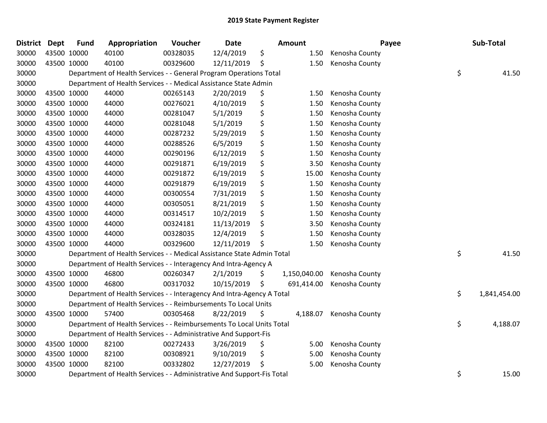| <b>District Dept</b> |             | <b>Fund</b> | Appropriation                                                          | Voucher  | <b>Date</b> | <b>Amount</b>      |                | Payee | Sub-Total    |
|----------------------|-------------|-------------|------------------------------------------------------------------------|----------|-------------|--------------------|----------------|-------|--------------|
| 30000                | 43500 10000 |             | 40100                                                                  | 00328035 | 12/4/2019   | \$<br>1.50         | Kenosha County |       |              |
| 30000                | 43500 10000 |             | 40100                                                                  | 00329600 | 12/11/2019  | \$<br>1.50         | Kenosha County |       |              |
| 30000                |             |             | Department of Health Services - - General Program Operations Total     |          |             |                    |                | \$    | 41.50        |
| 30000                |             |             | Department of Health Services - - Medical Assistance State Admin       |          |             |                    |                |       |              |
| 30000                | 43500 10000 |             | 44000                                                                  | 00265143 | 2/20/2019   | \$<br>1.50         | Kenosha County |       |              |
| 30000                |             | 43500 10000 | 44000                                                                  | 00276021 | 4/10/2019   | \$<br>1.50         | Kenosha County |       |              |
| 30000                |             | 43500 10000 | 44000                                                                  | 00281047 | 5/1/2019    | \$<br>1.50         | Kenosha County |       |              |
| 30000                | 43500 10000 |             | 44000                                                                  | 00281048 | 5/1/2019    | \$<br>1.50         | Kenosha County |       |              |
| 30000                | 43500 10000 |             | 44000                                                                  | 00287232 | 5/29/2019   | \$<br>1.50         | Kenosha County |       |              |
| 30000                | 43500 10000 |             | 44000                                                                  | 00288526 | 6/5/2019    | \$<br>1.50         | Kenosha County |       |              |
| 30000                | 43500 10000 |             | 44000                                                                  | 00290196 | 6/12/2019   | \$<br>1.50         | Kenosha County |       |              |
| 30000                | 43500 10000 |             | 44000                                                                  | 00291871 | 6/19/2019   | \$<br>3.50         | Kenosha County |       |              |
| 30000                | 43500 10000 |             | 44000                                                                  | 00291872 | 6/19/2019   | \$<br>15.00        | Kenosha County |       |              |
| 30000                | 43500 10000 |             | 44000                                                                  | 00291879 | 6/19/2019   | \$<br>1.50         | Kenosha County |       |              |
| 30000                | 43500 10000 |             | 44000                                                                  | 00300554 | 7/31/2019   | \$<br>1.50         | Kenosha County |       |              |
| 30000                |             | 43500 10000 | 44000                                                                  | 00305051 | 8/21/2019   | \$<br>1.50         | Kenosha County |       |              |
| 30000                | 43500 10000 |             | 44000                                                                  | 00314517 | 10/2/2019   | \$<br>1.50         | Kenosha County |       |              |
| 30000                | 43500 10000 |             | 44000                                                                  | 00324181 | 11/13/2019  | \$<br>3.50         | Kenosha County |       |              |
| 30000                | 43500 10000 |             | 44000                                                                  | 00328035 | 12/4/2019   | \$<br>1.50         | Kenosha County |       |              |
| 30000                | 43500 10000 |             | 44000                                                                  | 00329600 | 12/11/2019  | \$<br>1.50         | Kenosha County |       |              |
| 30000                |             |             | Department of Health Services - - Medical Assistance State Admin Total |          |             |                    |                | \$    | 41.50        |
| 30000                |             |             | Department of Health Services - - Interagency And Intra-Agency A       |          |             |                    |                |       |              |
| 30000                |             | 43500 10000 | 46800                                                                  | 00260347 | 2/1/2019    | \$<br>1,150,040.00 | Kenosha County |       |              |
| 30000                | 43500 10000 |             | 46800                                                                  | 00317032 | 10/15/2019  | \$<br>691,414.00   | Kenosha County |       |              |
| 30000                |             |             | Department of Health Services - - Interagency And Intra-Agency A Total |          |             |                    |                | \$    | 1,841,454.00 |
| 30000                |             |             | Department of Health Services - - Reimbursements To Local Units        |          |             |                    |                |       |              |
| 30000                |             | 43500 10000 | 57400                                                                  | 00305468 | 8/22/2019   | \$<br>4,188.07     | Kenosha County |       |              |
| 30000                |             |             | Department of Health Services - - Reimbursements To Local Units Total  |          |             |                    |                | \$    | 4,188.07     |
| 30000                |             |             | Department of Health Services - - Administrative And Support-Fis       |          |             |                    |                |       |              |
| 30000                | 43500 10000 |             | 82100                                                                  | 00272433 | 3/26/2019   | \$<br>5.00         | Kenosha County |       |              |
| 30000                |             | 43500 10000 | 82100                                                                  | 00308921 | 9/10/2019   | \$<br>5.00         | Kenosha County |       |              |
| 30000                | 43500 10000 |             | 82100                                                                  | 00332802 | 12/27/2019  | \$<br>5.00         | Kenosha County |       |              |
| 30000                |             |             | Department of Health Services - - Administrative And Support-Fis Total |          |             |                    |                | \$    | 15.00        |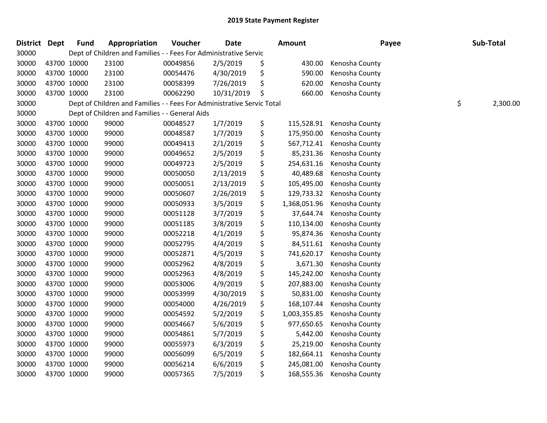| District Dept |             | <b>Fund</b> | Appropriation                                                          | Voucher  | <b>Date</b> | <b>Amount</b>      | Payee          | Sub-Total      |
|---------------|-------------|-------------|------------------------------------------------------------------------|----------|-------------|--------------------|----------------|----------------|
| 30000         |             |             | Dept of Children and Families - - Fees For Administrative Servic       |          |             |                    |                |                |
| 30000         | 43700 10000 |             | 23100                                                                  | 00049856 | 2/5/2019    | \$<br>430.00       | Kenosha County |                |
| 30000         | 43700 10000 |             | 23100                                                                  | 00054476 | 4/30/2019   | \$<br>590.00       | Kenosha County |                |
| 30000         | 43700 10000 |             | 23100                                                                  | 00058399 | 7/26/2019   | \$<br>620.00       | Kenosha County |                |
| 30000         |             | 43700 10000 | 23100                                                                  | 00062290 | 10/31/2019  | \$<br>660.00       | Kenosha County |                |
| 30000         |             |             | Dept of Children and Families - - Fees For Administrative Servic Total |          |             |                    |                | \$<br>2,300.00 |
| 30000         |             |             | Dept of Children and Families - - General Aids                         |          |             |                    |                |                |
| 30000         |             | 43700 10000 | 99000                                                                  | 00048527 | 1/7/2019    | \$<br>115,528.91   | Kenosha County |                |
| 30000         |             | 43700 10000 | 99000                                                                  | 00048587 | 1/7/2019    | \$<br>175,950.00   | Kenosha County |                |
| 30000         |             | 43700 10000 | 99000                                                                  | 00049413 | 2/1/2019    | \$<br>567,712.41   | Kenosha County |                |
| 30000         |             | 43700 10000 | 99000                                                                  | 00049652 | 2/5/2019    | \$<br>85,231.36    | Kenosha County |                |
| 30000         | 43700 10000 |             | 99000                                                                  | 00049723 | 2/5/2019    | \$<br>254,631.16   | Kenosha County |                |
| 30000         | 43700 10000 |             | 99000                                                                  | 00050050 | 2/13/2019   | \$<br>40,489.68    | Kenosha County |                |
| 30000         |             | 43700 10000 | 99000                                                                  | 00050051 | 2/13/2019   | \$<br>105,495.00   | Kenosha County |                |
| 30000         |             | 43700 10000 | 99000                                                                  | 00050607 | 2/26/2019   | \$<br>129,733.32   | Kenosha County |                |
| 30000         |             | 43700 10000 | 99000                                                                  | 00050933 | 3/5/2019    | \$<br>1,368,051.96 | Kenosha County |                |
| 30000         | 43700 10000 |             | 99000                                                                  | 00051128 | 3/7/2019    | \$<br>37,644.74    | Kenosha County |                |
| 30000         | 43700 10000 |             | 99000                                                                  | 00051185 | 3/8/2019    | \$<br>110,134.00   | Kenosha County |                |
| 30000         |             | 43700 10000 | 99000                                                                  | 00052218 | 4/1/2019    | \$<br>95,874.36    | Kenosha County |                |
| 30000         |             | 43700 10000 | 99000                                                                  | 00052795 | 4/4/2019    | \$<br>84,511.61    | Kenosha County |                |
| 30000         |             | 43700 10000 | 99000                                                                  | 00052871 | 4/5/2019    | \$<br>741,620.17   | Kenosha County |                |
| 30000         |             | 43700 10000 | 99000                                                                  | 00052962 | 4/8/2019    | \$<br>3,671.30     | Kenosha County |                |
| 30000         | 43700 10000 |             | 99000                                                                  | 00052963 | 4/8/2019    | \$<br>145,242.00   | Kenosha County |                |
| 30000         |             | 43700 10000 | 99000                                                                  | 00053006 | 4/9/2019    | \$<br>207,883.00   | Kenosha County |                |
| 30000         |             | 43700 10000 | 99000                                                                  | 00053999 | 4/30/2019   | \$<br>50,831.00    | Kenosha County |                |
| 30000         |             | 43700 10000 | 99000                                                                  | 00054000 | 4/26/2019   | \$<br>168,107.44   | Kenosha County |                |
| 30000         |             | 43700 10000 | 99000                                                                  | 00054592 | 5/2/2019    | \$<br>1,003,355.85 | Kenosha County |                |
| 30000         |             | 43700 10000 | 99000                                                                  | 00054667 | 5/6/2019    | \$<br>977,650.65   | Kenosha County |                |
| 30000         |             | 43700 10000 | 99000                                                                  | 00054861 | 5/7/2019    | \$<br>5,442.00     | Kenosha County |                |
| 30000         |             | 43700 10000 | 99000                                                                  | 00055973 | 6/3/2019    | \$<br>25,219.00    | Kenosha County |                |
| 30000         |             | 43700 10000 | 99000                                                                  | 00056099 | 6/5/2019    | \$<br>182,664.11   | Kenosha County |                |
| 30000         |             | 43700 10000 | 99000                                                                  | 00056214 | 6/6/2019    | \$<br>245,081.00   | Kenosha County |                |
| 30000         | 43700 10000 |             | 99000                                                                  | 00057365 | 7/5/2019    | \$<br>168,555.36   | Kenosha County |                |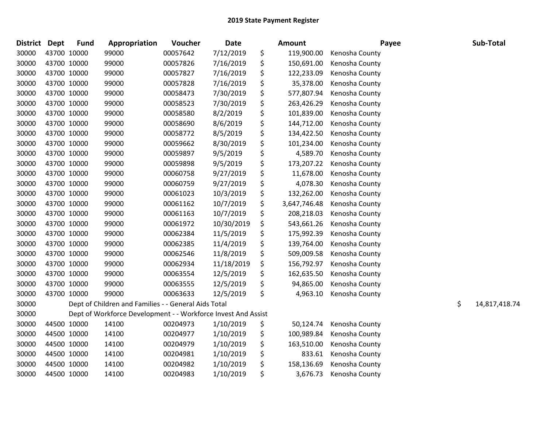| <b>District</b> | <b>Dept</b> | <b>Fund</b> | Appropriation                                                 | Voucher  | <b>Date</b> | <b>Amount</b>      | Payee          | Sub-Total           |
|-----------------|-------------|-------------|---------------------------------------------------------------|----------|-------------|--------------------|----------------|---------------------|
| 30000           | 43700 10000 |             | 99000                                                         | 00057642 | 7/12/2019   | \$<br>119,900.00   | Kenosha County |                     |
| 30000           | 43700 10000 |             | 99000                                                         | 00057826 | 7/16/2019   | \$<br>150,691.00   | Kenosha County |                     |
| 30000           | 43700 10000 |             | 99000                                                         | 00057827 | 7/16/2019   | \$<br>122,233.09   | Kenosha County |                     |
| 30000           | 43700 10000 |             | 99000                                                         | 00057828 | 7/16/2019   | \$<br>35,378.00    | Kenosha County |                     |
| 30000           | 43700 10000 |             | 99000                                                         | 00058473 | 7/30/2019   | \$<br>577,807.94   | Kenosha County |                     |
| 30000           | 43700 10000 |             | 99000                                                         | 00058523 | 7/30/2019   | \$<br>263,426.29   | Kenosha County |                     |
| 30000           | 43700 10000 |             | 99000                                                         | 00058580 | 8/2/2019    | \$<br>101,839.00   | Kenosha County |                     |
| 30000           | 43700 10000 |             | 99000                                                         | 00058690 | 8/6/2019    | \$<br>144,712.00   | Kenosha County |                     |
| 30000           | 43700 10000 |             | 99000                                                         | 00058772 | 8/5/2019    | \$<br>134,422.50   | Kenosha County |                     |
| 30000           | 43700 10000 |             | 99000                                                         | 00059662 | 8/30/2019   | \$<br>101,234.00   | Kenosha County |                     |
| 30000           | 43700 10000 |             | 99000                                                         | 00059897 | 9/5/2019    | \$<br>4,589.70     | Kenosha County |                     |
| 30000           | 43700 10000 |             | 99000                                                         | 00059898 | 9/5/2019    | \$<br>173,207.22   | Kenosha County |                     |
| 30000           | 43700 10000 |             | 99000                                                         | 00060758 | 9/27/2019   | \$<br>11,678.00    | Kenosha County |                     |
| 30000           | 43700 10000 |             | 99000                                                         | 00060759 | 9/27/2019   | \$<br>4,078.30     | Kenosha County |                     |
| 30000           | 43700 10000 |             | 99000                                                         | 00061023 | 10/3/2019   | \$<br>132,262.00   | Kenosha County |                     |
| 30000           | 43700 10000 |             | 99000                                                         | 00061162 | 10/7/2019   | \$<br>3,647,746.48 | Kenosha County |                     |
| 30000           | 43700 10000 |             | 99000                                                         | 00061163 | 10/7/2019   | \$<br>208,218.03   | Kenosha County |                     |
| 30000           | 43700 10000 |             | 99000                                                         | 00061972 | 10/30/2019  | \$<br>543,661.26   | Kenosha County |                     |
| 30000           | 43700 10000 |             | 99000                                                         | 00062384 | 11/5/2019   | \$<br>175,992.39   | Kenosha County |                     |
| 30000           | 43700 10000 |             | 99000                                                         | 00062385 | 11/4/2019   | \$<br>139,764.00   | Kenosha County |                     |
| 30000           | 43700 10000 |             | 99000                                                         | 00062546 | 11/8/2019   | \$<br>509,009.58   | Kenosha County |                     |
| 30000           | 43700 10000 |             | 99000                                                         | 00062934 | 11/18/2019  | \$<br>156,792.97   | Kenosha County |                     |
| 30000           | 43700 10000 |             | 99000                                                         | 00063554 | 12/5/2019   | \$<br>162,635.50   | Kenosha County |                     |
| 30000           | 43700 10000 |             | 99000                                                         | 00063555 | 12/5/2019   | \$<br>94,865.00    | Kenosha County |                     |
| 30000           | 43700 10000 |             | 99000                                                         | 00063633 | 12/5/2019   | \$<br>4,963.10     | Kenosha County |                     |
| 30000           |             |             | Dept of Children and Families - - General Aids Total          |          |             |                    |                | \$<br>14,817,418.74 |
| 30000           |             |             | Dept of Workforce Development - - Workforce Invest And Assist |          |             |                    |                |                     |
| 30000           | 44500 10000 |             | 14100                                                         | 00204973 | 1/10/2019   | \$<br>50,124.74    | Kenosha County |                     |
| 30000           | 44500 10000 |             | 14100                                                         | 00204977 | 1/10/2019   | \$<br>100,989.84   | Kenosha County |                     |
| 30000           | 44500 10000 |             | 14100                                                         | 00204979 | 1/10/2019   | \$<br>163,510.00   | Kenosha County |                     |
| 30000           | 44500 10000 |             | 14100                                                         | 00204981 | 1/10/2019   | \$<br>833.61       | Kenosha County |                     |
| 30000           | 44500 10000 |             | 14100                                                         | 00204982 | 1/10/2019   | \$<br>158,136.69   | Kenosha County |                     |
| 30000           | 44500 10000 |             | 14100                                                         | 00204983 | 1/10/2019   | \$<br>3,676.73     | Kenosha County |                     |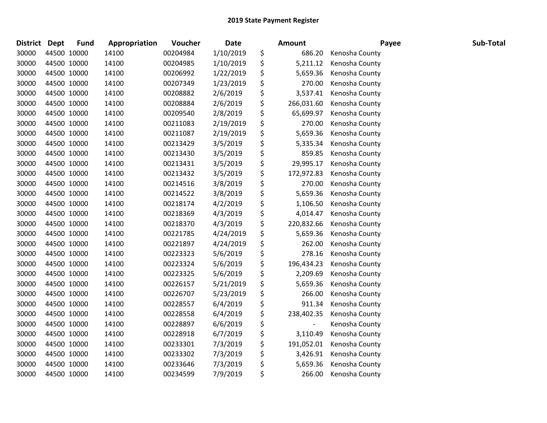| <b>District</b> | Dept        | <b>Fund</b> | Appropriation | Voucher  | Date      | <b>Amount</b>                  | Payee          | Sub-Total |
|-----------------|-------------|-------------|---------------|----------|-----------|--------------------------------|----------------|-----------|
| 30000           |             | 44500 10000 | 14100         | 00204984 | 1/10/2019 | \$<br>686.20                   | Kenosha County |           |
| 30000           |             | 44500 10000 | 14100         | 00204985 | 1/10/2019 | \$<br>5,211.12                 | Kenosha County |           |
| 30000           |             | 44500 10000 | 14100         | 00206992 | 1/22/2019 | \$<br>5,659.36                 | Kenosha County |           |
| 30000           |             | 44500 10000 | 14100         | 00207349 | 1/23/2019 | \$<br>270.00                   | Kenosha County |           |
| 30000           |             | 44500 10000 | 14100         | 00208882 | 2/6/2019  | \$<br>3,537.41                 | Kenosha County |           |
| 30000           |             | 44500 10000 | 14100         | 00208884 | 2/6/2019  | \$<br>266,031.60               | Kenosha County |           |
| 30000           |             | 44500 10000 | 14100         | 00209540 | 2/8/2019  | \$<br>65,699.97                | Kenosha County |           |
| 30000           |             | 44500 10000 | 14100         | 00211083 | 2/19/2019 | \$<br>270.00                   | Kenosha County |           |
| 30000           |             | 44500 10000 | 14100         | 00211087 | 2/19/2019 | \$<br>5,659.36                 | Kenosha County |           |
| 30000           |             | 44500 10000 | 14100         | 00213429 | 3/5/2019  | \$<br>5,335.34                 | Kenosha County |           |
| 30000           |             | 44500 10000 | 14100         | 00213430 | 3/5/2019  | \$<br>859.85                   | Kenosha County |           |
| 30000           |             | 44500 10000 | 14100         | 00213431 | 3/5/2019  | \$<br>29,995.17                | Kenosha County |           |
| 30000           |             | 44500 10000 | 14100         | 00213432 | 3/5/2019  | \$<br>172,972.83               | Kenosha County |           |
| 30000           |             | 44500 10000 | 14100         | 00214516 | 3/8/2019  | \$<br>270.00                   | Kenosha County |           |
| 30000           |             | 44500 10000 | 14100         | 00214522 | 3/8/2019  | \$<br>5,659.36                 | Kenosha County |           |
| 30000           |             | 44500 10000 | 14100         | 00218174 | 4/2/2019  | \$<br>1,106.50                 | Kenosha County |           |
| 30000           |             | 44500 10000 | 14100         | 00218369 | 4/3/2019  | \$<br>4,014.47                 | Kenosha County |           |
| 30000           |             | 44500 10000 | 14100         | 00218370 | 4/3/2019  | \$<br>220,832.66               | Kenosha County |           |
| 30000           |             | 44500 10000 | 14100         | 00221785 | 4/24/2019 | \$<br>5,659.36                 | Kenosha County |           |
| 30000           |             | 44500 10000 | 14100         | 00221897 | 4/24/2019 | \$<br>262.00                   | Kenosha County |           |
| 30000           |             | 44500 10000 | 14100         | 00223323 | 5/6/2019  | \$<br>278.16                   | Kenosha County |           |
| 30000           |             | 44500 10000 | 14100         | 00223324 | 5/6/2019  | \$<br>196,434.23               | Kenosha County |           |
| 30000           |             | 44500 10000 | 14100         | 00223325 | 5/6/2019  | \$<br>2,209.69                 | Kenosha County |           |
| 30000           |             | 44500 10000 | 14100         | 00226157 | 5/21/2019 | \$<br>5,659.36                 | Kenosha County |           |
| 30000           |             | 44500 10000 | 14100         | 00226707 | 5/23/2019 | \$<br>266.00                   | Kenosha County |           |
| 30000           |             | 44500 10000 | 14100         | 00228557 | 6/4/2019  | \$<br>911.34                   | Kenosha County |           |
| 30000           |             | 44500 10000 | 14100         | 00228558 | 6/4/2019  | \$<br>238,402.35               | Kenosha County |           |
| 30000           |             | 44500 10000 | 14100         | 00228897 | 6/6/2019  | \$<br>$\overline{\phantom{a}}$ | Kenosha County |           |
| 30000           |             | 44500 10000 | 14100         | 00228918 | 6/7/2019  | \$<br>3,110.49                 | Kenosha County |           |
| 30000           |             | 44500 10000 | 14100         | 00233301 | 7/3/2019  | \$<br>191,052.01               | Kenosha County |           |
| 30000           |             | 44500 10000 | 14100         | 00233302 | 7/3/2019  | \$<br>3,426.91                 | Kenosha County |           |
| 30000           |             | 44500 10000 | 14100         | 00233646 | 7/3/2019  | \$<br>5,659.36                 | Kenosha County |           |
| 30000           | 44500 10000 |             | 14100         | 00234599 | 7/9/2019  | \$<br>266.00                   | Kenosha County |           |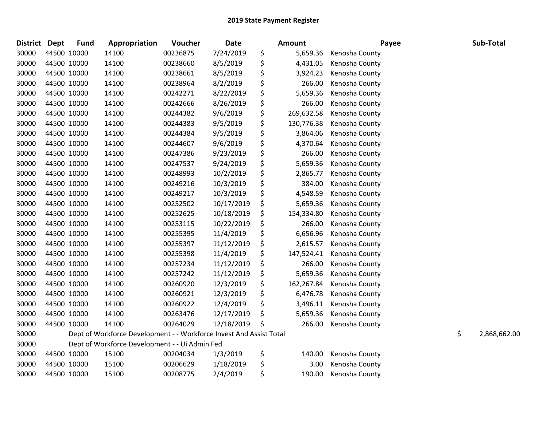| <b>District</b> | <b>Dept</b> | <b>Fund</b> | Appropriation                                                       | Voucher  | <b>Date</b> | <b>Amount</b>    | Payee          | Sub-Total          |
|-----------------|-------------|-------------|---------------------------------------------------------------------|----------|-------------|------------------|----------------|--------------------|
| 30000           | 44500 10000 |             | 14100                                                               | 00236875 | 7/24/2019   | \$<br>5,659.36   | Kenosha County |                    |
| 30000           | 44500 10000 |             | 14100                                                               | 00238660 | 8/5/2019    | \$<br>4,431.05   | Kenosha County |                    |
| 30000           | 44500 10000 |             | 14100                                                               | 00238661 | 8/5/2019    | \$<br>3,924.23   | Kenosha County |                    |
| 30000           | 44500 10000 |             | 14100                                                               | 00238964 | 8/2/2019    | \$<br>266.00     | Kenosha County |                    |
| 30000           | 44500 10000 |             | 14100                                                               | 00242271 | 8/22/2019   | \$<br>5,659.36   | Kenosha County |                    |
| 30000           | 44500 10000 |             | 14100                                                               | 00242666 | 8/26/2019   | \$<br>266.00     | Kenosha County |                    |
| 30000           | 44500 10000 |             | 14100                                                               | 00244382 | 9/6/2019    | \$<br>269,632.58 | Kenosha County |                    |
| 30000           | 44500 10000 |             | 14100                                                               | 00244383 | 9/5/2019    | \$<br>130,776.38 | Kenosha County |                    |
| 30000           | 44500 10000 |             | 14100                                                               | 00244384 | 9/5/2019    | \$<br>3,864.06   | Kenosha County |                    |
| 30000           | 44500 10000 |             | 14100                                                               | 00244607 | 9/6/2019    | \$<br>4,370.64   | Kenosha County |                    |
| 30000           | 44500 10000 |             | 14100                                                               | 00247386 | 9/23/2019   | \$<br>266.00     | Kenosha County |                    |
| 30000           | 44500 10000 |             | 14100                                                               | 00247537 | 9/24/2019   | \$<br>5,659.36   | Kenosha County |                    |
| 30000           | 44500 10000 |             | 14100                                                               | 00248993 | 10/2/2019   | \$<br>2,865.77   | Kenosha County |                    |
| 30000           | 44500 10000 |             | 14100                                                               | 00249216 | 10/3/2019   | \$<br>384.00     | Kenosha County |                    |
| 30000           | 44500 10000 |             | 14100                                                               | 00249217 | 10/3/2019   | \$<br>4,548.59   | Kenosha County |                    |
| 30000           | 44500 10000 |             | 14100                                                               | 00252502 | 10/17/2019  | \$<br>5,659.36   | Kenosha County |                    |
| 30000           | 44500 10000 |             | 14100                                                               | 00252625 | 10/18/2019  | \$<br>154,334.80 | Kenosha County |                    |
| 30000           | 44500 10000 |             | 14100                                                               | 00253115 | 10/22/2019  | \$<br>266.00     | Kenosha County |                    |
| 30000           | 44500 10000 |             | 14100                                                               | 00255395 | 11/4/2019   | \$<br>6,656.96   | Kenosha County |                    |
| 30000           | 44500 10000 |             | 14100                                                               | 00255397 | 11/12/2019  | \$<br>2,615.57   | Kenosha County |                    |
| 30000           | 44500 10000 |             | 14100                                                               | 00255398 | 11/4/2019   | \$<br>147,524.41 | Kenosha County |                    |
| 30000           | 44500 10000 |             | 14100                                                               | 00257234 | 11/12/2019  | \$<br>266.00     | Kenosha County |                    |
| 30000           | 44500 10000 |             | 14100                                                               | 00257242 | 11/12/2019  | \$<br>5,659.36   | Kenosha County |                    |
| 30000           | 44500 10000 |             | 14100                                                               | 00260920 | 12/3/2019   | \$<br>162,267.84 | Kenosha County |                    |
| 30000           | 44500 10000 |             | 14100                                                               | 00260921 | 12/3/2019   | \$<br>6,476.78   | Kenosha County |                    |
| 30000           | 44500 10000 |             | 14100                                                               | 00260922 | 12/4/2019   | \$<br>3,496.11   | Kenosha County |                    |
| 30000           | 44500 10000 |             | 14100                                                               | 00263476 | 12/17/2019  | \$<br>5,659.36   | Kenosha County |                    |
| 30000           | 44500 10000 |             | 14100                                                               | 00264029 | 12/18/2019  | \$<br>266.00     | Kenosha County |                    |
| 30000           |             |             | Dept of Workforce Development - - Workforce Invest And Assist Total |          |             |                  |                | \$<br>2,868,662.00 |
| 30000           |             |             | Dept of Workforce Development - - Ui Admin Fed                      |          |             |                  |                |                    |
| 30000           | 44500 10000 |             | 15100                                                               | 00204034 | 1/3/2019    | \$<br>140.00     | Kenosha County |                    |
| 30000           | 44500 10000 |             | 15100                                                               | 00206629 | 1/18/2019   | \$<br>3.00       | Kenosha County |                    |
| 30000           | 44500 10000 |             | 15100                                                               | 00208775 | 2/4/2019    | \$<br>190.00     | Kenosha County |                    |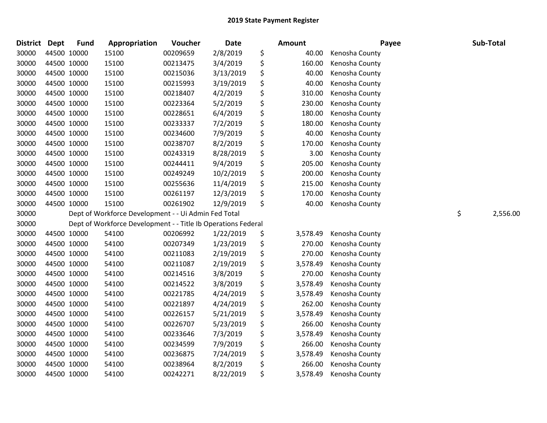| <b>District</b> | <b>Dept</b> | <b>Fund</b> | Appropriation                                                 | Voucher  | Date      | Amount         | Payee          | Sub-Total      |
|-----------------|-------------|-------------|---------------------------------------------------------------|----------|-----------|----------------|----------------|----------------|
| 30000           | 44500 10000 |             | 15100                                                         | 00209659 | 2/8/2019  | \$<br>40.00    | Kenosha County |                |
| 30000           | 44500 10000 |             | 15100                                                         | 00213475 | 3/4/2019  | \$<br>160.00   | Kenosha County |                |
| 30000           | 44500 10000 |             | 15100                                                         | 00215036 | 3/13/2019 | \$<br>40.00    | Kenosha County |                |
| 30000           | 44500 10000 |             | 15100                                                         | 00215993 | 3/19/2019 | \$<br>40.00    | Kenosha County |                |
| 30000           | 44500 10000 |             | 15100                                                         | 00218407 | 4/2/2019  | \$<br>310.00   | Kenosha County |                |
| 30000           | 44500 10000 |             | 15100                                                         | 00223364 | 5/2/2019  | \$<br>230.00   | Kenosha County |                |
| 30000           |             | 44500 10000 | 15100                                                         | 00228651 | 6/4/2019  | \$<br>180.00   | Kenosha County |                |
| 30000           | 44500 10000 |             | 15100                                                         | 00233337 | 7/2/2019  | \$<br>180.00   | Kenosha County |                |
| 30000           | 44500 10000 |             | 15100                                                         | 00234600 | 7/9/2019  | \$<br>40.00    | Kenosha County |                |
| 30000           | 44500 10000 |             | 15100                                                         | 00238707 | 8/2/2019  | \$<br>170.00   | Kenosha County |                |
| 30000           | 44500 10000 |             | 15100                                                         | 00243319 | 8/28/2019 | \$<br>3.00     | Kenosha County |                |
| 30000           | 44500 10000 |             | 15100                                                         | 00244411 | 9/4/2019  | \$<br>205.00   | Kenosha County |                |
| 30000           | 44500 10000 |             | 15100                                                         | 00249249 | 10/2/2019 | \$<br>200.00   | Kenosha County |                |
| 30000           | 44500 10000 |             | 15100                                                         | 00255636 | 11/4/2019 | \$<br>215.00   | Kenosha County |                |
| 30000           | 44500 10000 |             | 15100                                                         | 00261197 | 12/3/2019 | \$<br>170.00   | Kenosha County |                |
| 30000           | 44500 10000 |             | 15100                                                         | 00261902 | 12/9/2019 | \$<br>40.00    | Kenosha County |                |
| 30000           |             |             | Dept of Workforce Development - - Ui Admin Fed Total          |          |           |                |                | \$<br>2,556.00 |
| 30000           |             |             | Dept of Workforce Development - - Title Ib Operations Federal |          |           |                |                |                |
| 30000           | 44500 10000 |             | 54100                                                         | 00206992 | 1/22/2019 | \$<br>3,578.49 | Kenosha County |                |
| 30000           | 44500 10000 |             | 54100                                                         | 00207349 | 1/23/2019 | \$<br>270.00   | Kenosha County |                |
| 30000           | 44500 10000 |             | 54100                                                         | 00211083 | 2/19/2019 | \$<br>270.00   | Kenosha County |                |
| 30000           | 44500 10000 |             | 54100                                                         | 00211087 | 2/19/2019 | \$<br>3,578.49 | Kenosha County |                |
| 30000           | 44500 10000 |             | 54100                                                         | 00214516 | 3/8/2019  | \$<br>270.00   | Kenosha County |                |
| 30000           | 44500 10000 |             | 54100                                                         | 00214522 | 3/8/2019  | \$<br>3,578.49 | Kenosha County |                |
| 30000           | 44500 10000 |             | 54100                                                         | 00221785 | 4/24/2019 | \$<br>3,578.49 | Kenosha County |                |
| 30000           | 44500 10000 |             | 54100                                                         | 00221897 | 4/24/2019 | \$<br>262.00   | Kenosha County |                |
| 30000           | 44500 10000 |             | 54100                                                         | 00226157 | 5/21/2019 | \$<br>3,578.49 | Kenosha County |                |
| 30000           | 44500 10000 |             | 54100                                                         | 00226707 | 5/23/2019 | \$<br>266.00   | Kenosha County |                |
| 30000           | 44500 10000 |             | 54100                                                         | 00233646 | 7/3/2019  | \$<br>3,578.49 | Kenosha County |                |
| 30000           | 44500 10000 |             | 54100                                                         | 00234599 | 7/9/2019  | \$<br>266.00   | Kenosha County |                |
| 30000           | 44500 10000 |             | 54100                                                         | 00236875 | 7/24/2019 | \$<br>3,578.49 | Kenosha County |                |
| 30000           | 44500 10000 |             | 54100                                                         | 00238964 | 8/2/2019  | \$<br>266.00   | Kenosha County |                |
| 30000           | 44500 10000 |             | 54100                                                         | 00242271 | 8/22/2019 | \$<br>3,578.49 | Kenosha County |                |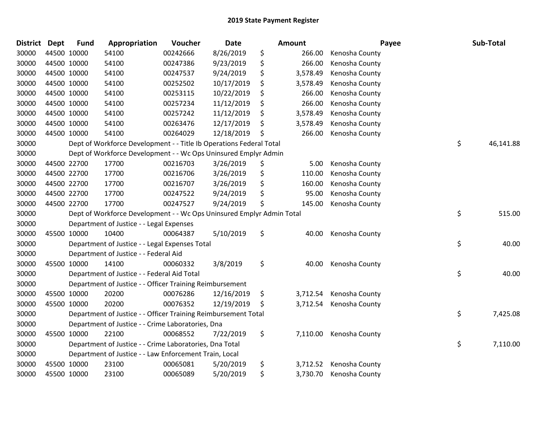| <b>District</b> | <b>Dept</b> | <b>Fund</b> | Appropriation                                                         | Voucher  | Date       |    | Amount   | Payee          | Sub-Total       |
|-----------------|-------------|-------------|-----------------------------------------------------------------------|----------|------------|----|----------|----------------|-----------------|
| 30000           |             | 44500 10000 | 54100                                                                 | 00242666 | 8/26/2019  | \$ | 266.00   | Kenosha County |                 |
| 30000           |             | 44500 10000 | 54100                                                                 | 00247386 | 9/23/2019  | \$ | 266.00   | Kenosha County |                 |
| 30000           |             | 44500 10000 | 54100                                                                 | 00247537 | 9/24/2019  | \$ | 3,578.49 | Kenosha County |                 |
| 30000           |             | 44500 10000 | 54100                                                                 | 00252502 | 10/17/2019 | \$ | 3,578.49 | Kenosha County |                 |
| 30000           |             | 44500 10000 | 54100                                                                 | 00253115 | 10/22/2019 | \$ | 266.00   | Kenosha County |                 |
| 30000           |             | 44500 10000 | 54100                                                                 | 00257234 | 11/12/2019 | \$ | 266.00   | Kenosha County |                 |
| 30000           |             | 44500 10000 | 54100                                                                 | 00257242 | 11/12/2019 | \$ | 3,578.49 | Kenosha County |                 |
| 30000           |             | 44500 10000 | 54100                                                                 | 00263476 | 12/17/2019 | \$ | 3,578.49 | Kenosha County |                 |
| 30000           |             | 44500 10000 | 54100                                                                 | 00264029 | 12/18/2019 | \$ | 266.00   | Kenosha County |                 |
| 30000           |             |             | Dept of Workforce Development - - Title Ib Operations Federal Total   |          |            |    |          |                | \$<br>46,141.88 |
| 30000           |             |             | Dept of Workforce Development - - Wc Ops Uninsured Emplyr Admin       |          |            |    |          |                |                 |
| 30000           |             | 44500 22700 | 17700                                                                 | 00216703 | 3/26/2019  | \$ | 5.00     | Kenosha County |                 |
| 30000           |             | 44500 22700 | 17700                                                                 | 00216706 | 3/26/2019  | \$ | 110.00   | Kenosha County |                 |
| 30000           |             | 44500 22700 | 17700                                                                 | 00216707 | 3/26/2019  | \$ | 160.00   | Kenosha County |                 |
| 30000           |             | 44500 22700 | 17700                                                                 | 00247522 | 9/24/2019  | \$ | 95.00    | Kenosha County |                 |
| 30000           |             | 44500 22700 | 17700                                                                 | 00247527 | 9/24/2019  | \$ | 145.00   | Kenosha County |                 |
| 30000           |             |             | Dept of Workforce Development - - Wc Ops Uninsured Emplyr Admin Total |          |            |    |          |                | \$<br>515.00    |
| 30000           |             |             | Department of Justice - - Legal Expenses                              |          |            |    |          |                |                 |
| 30000           |             | 45500 10000 | 10400                                                                 | 00064387 | 5/10/2019  | \$ | 40.00    | Kenosha County |                 |
| 30000           |             |             | Department of Justice - - Legal Expenses Total                        |          |            |    |          |                | \$<br>40.00     |
| 30000           |             |             | Department of Justice - - Federal Aid                                 |          |            |    |          |                |                 |
| 30000           |             | 45500 10000 | 14100                                                                 | 00060332 | 3/8/2019   | \$ | 40.00    | Kenosha County |                 |
| 30000           |             |             | Department of Justice - - Federal Aid Total                           |          |            |    |          |                | \$<br>40.00     |
| 30000           |             |             | Department of Justice - - Officer Training Reimbursement              |          |            |    |          |                |                 |
| 30000           |             | 45500 10000 | 20200                                                                 | 00076286 | 12/16/2019 | \$ | 3,712.54 | Kenosha County |                 |
| 30000           |             | 45500 10000 | 20200                                                                 | 00076352 | 12/19/2019 | -Ş | 3,712.54 | Kenosha County |                 |
| 30000           |             |             | Department of Justice - - Officer Training Reimbursement Total        |          |            |    |          |                | \$<br>7,425.08  |
| 30000           |             |             | Department of Justice - - Crime Laboratories, Dna                     |          |            |    |          |                |                 |
| 30000           |             | 45500 10000 | 22100                                                                 | 00068552 | 7/22/2019  | \$ | 7,110.00 | Kenosha County |                 |
| 30000           |             |             | Department of Justice - - Crime Laboratories, Dna Total               |          |            |    |          |                | \$<br>7,110.00  |
| 30000           |             |             | Department of Justice - - Law Enforcement Train, Local                |          |            |    |          |                |                 |
| 30000           |             | 45500 10000 | 23100                                                                 | 00065081 | 5/20/2019  | \$ | 3,712.52 | Kenosha County |                 |
| 30000           |             | 45500 10000 | 23100                                                                 | 00065089 | 5/20/2019  | \$ | 3,730.70 | Kenosha County |                 |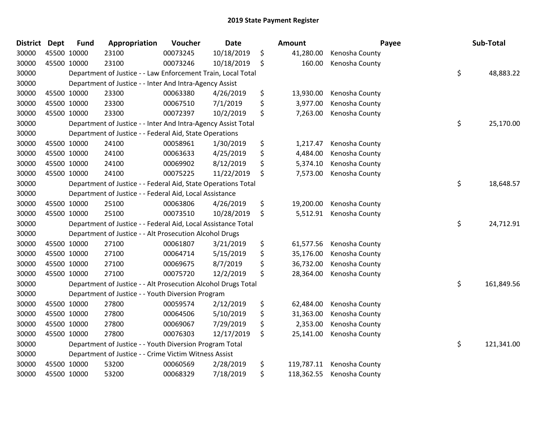| <b>District</b> | <b>Dept</b> | <b>Fund</b> | Appropriation                                                 | Voucher  | <b>Date</b> | Amount           | Payee          | Sub-Total        |
|-----------------|-------------|-------------|---------------------------------------------------------------|----------|-------------|------------------|----------------|------------------|
| 30000           | 45500 10000 |             | 23100                                                         | 00073245 | 10/18/2019  | \$<br>41,280.00  | Kenosha County |                  |
| 30000           | 45500 10000 |             | 23100                                                         | 00073246 | 10/18/2019  | \$<br>160.00     | Kenosha County |                  |
| 30000           |             |             | Department of Justice - - Law Enforcement Train, Local Total  |          |             |                  |                | \$<br>48,883.22  |
| 30000           |             |             | Department of Justice - - Inter And Intra-Agency Assist       |          |             |                  |                |                  |
| 30000           | 45500 10000 |             | 23300                                                         | 00063380 | 4/26/2019   | \$<br>13,930.00  | Kenosha County |                  |
| 30000           | 45500 10000 |             | 23300                                                         | 00067510 | 7/1/2019    | \$<br>3,977.00   | Kenosha County |                  |
| 30000           | 45500 10000 |             | 23300                                                         | 00072397 | 10/2/2019   | \$<br>7,263.00   | Kenosha County |                  |
| 30000           |             |             | Department of Justice - - Inter And Intra-Agency Assist Total |          |             |                  |                | \$<br>25,170.00  |
| 30000           |             |             | Department of Justice - - Federal Aid, State Operations       |          |             |                  |                |                  |
| 30000           | 45500 10000 |             | 24100                                                         | 00058961 | 1/30/2019   | \$<br>1,217.47   | Kenosha County |                  |
| 30000           | 45500 10000 |             | 24100                                                         | 00063633 | 4/25/2019   | \$<br>4,484.00   | Kenosha County |                  |
| 30000           | 45500 10000 |             | 24100                                                         | 00069902 | 8/12/2019   | \$<br>5,374.10   | Kenosha County |                  |
| 30000           | 45500 10000 |             | 24100                                                         | 00075225 | 11/22/2019  | \$<br>7,573.00   | Kenosha County |                  |
| 30000           |             |             | Department of Justice - - Federal Aid, State Operations Total |          |             |                  |                | \$<br>18,648.57  |
| 30000           |             |             | Department of Justice - - Federal Aid, Local Assistance       |          |             |                  |                |                  |
| 30000           | 45500 10000 |             | 25100                                                         | 00063806 | 4/26/2019   | \$<br>19,200.00  | Kenosha County |                  |
| 30000           | 45500 10000 |             | 25100                                                         | 00073510 | 10/28/2019  | \$<br>5,512.91   | Kenosha County |                  |
| 30000           |             |             | Department of Justice - - Federal Aid, Local Assistance Total |          |             |                  |                | \$<br>24,712.91  |
| 30000           |             |             | Department of Justice - - Alt Prosecution Alcohol Drugs       |          |             |                  |                |                  |
| 30000           | 45500 10000 |             | 27100                                                         | 00061807 | 3/21/2019   | \$<br>61,577.56  | Kenosha County |                  |
| 30000           | 45500 10000 |             | 27100                                                         | 00064714 | 5/15/2019   | \$<br>35,176.00  | Kenosha County |                  |
| 30000           | 45500 10000 |             | 27100                                                         | 00069675 | 8/7/2019    | \$<br>36,732.00  | Kenosha County |                  |
| 30000           | 45500 10000 |             | 27100                                                         | 00075720 | 12/2/2019   | \$<br>28,364.00  | Kenosha County |                  |
| 30000           |             |             | Department of Justice - - Alt Prosecution Alcohol Drugs Total |          |             |                  |                | \$<br>161,849.56 |
| 30000           |             |             | Department of Justice - - Youth Diversion Program             |          |             |                  |                |                  |
| 30000           | 45500 10000 |             | 27800                                                         | 00059574 | 2/12/2019   | \$<br>62,484.00  | Kenosha County |                  |
| 30000           | 45500 10000 |             | 27800                                                         | 00064506 | 5/10/2019   | \$<br>31,363.00  | Kenosha County |                  |
| 30000           | 45500 10000 |             | 27800                                                         | 00069067 | 7/29/2019   | \$<br>2,353.00   | Kenosha County |                  |
| 30000           | 45500 10000 |             | 27800                                                         | 00076303 | 12/17/2019  | \$<br>25,141.00  | Kenosha County |                  |
| 30000           |             |             | Department of Justice - - Youth Diversion Program Total       |          |             |                  |                | \$<br>121,341.00 |
| 30000           |             |             | Department of Justice - - Crime Victim Witness Assist         |          |             |                  |                |                  |
| 30000           | 45500 10000 |             | 53200                                                         | 00060569 | 2/28/2019   | \$<br>119,787.11 | Kenosha County |                  |
| 30000           | 45500 10000 |             | 53200                                                         | 00068329 | 7/18/2019   | \$<br>118,362.55 | Kenosha County |                  |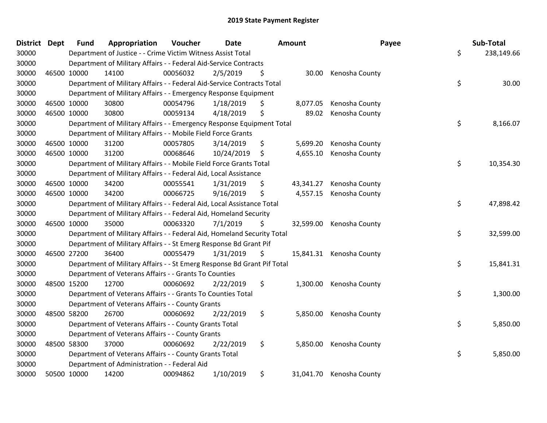| District Dept | <b>Fund</b> | Appropriation                                                           | Voucher  | <b>Date</b> |    | <b>Amount</b> | Payee                    | Sub-Total        |
|---------------|-------------|-------------------------------------------------------------------------|----------|-------------|----|---------------|--------------------------|------------------|
| 30000         |             | Department of Justice - - Crime Victim Witness Assist Total             |          |             |    |               |                          | \$<br>238,149.66 |
| 30000         |             | Department of Military Affairs - - Federal Aid-Service Contracts        |          |             |    |               |                          |                  |
| 30000         | 46500 10000 | 14100                                                                   | 00056032 | 2/5/2019    | \$ | 30.00         | Kenosha County           |                  |
| 30000         |             | Department of Military Affairs - - Federal Aid-Service Contracts Total  |          |             |    |               |                          | \$<br>30.00      |
| 30000         |             | Department of Military Affairs - - Emergency Response Equipment         |          |             |    |               |                          |                  |
| 30000         | 46500 10000 | 30800                                                                   | 00054796 | 1/18/2019   | \$ | 8,077.05      | Kenosha County           |                  |
| 30000         | 46500 10000 | 30800                                                                   | 00059134 | 4/18/2019   | \$ | 89.02         | Kenosha County           |                  |
| 30000         |             | Department of Military Affairs - - Emergency Response Equipment Total   |          |             |    |               |                          | \$<br>8,166.07   |
| 30000         |             | Department of Military Affairs - - Mobile Field Force Grants            |          |             |    |               |                          |                  |
| 30000         | 46500 10000 | 31200                                                                   | 00057805 | 3/14/2019   | \$ | 5,699.20      | Kenosha County           |                  |
| 30000         | 46500 10000 | 31200                                                                   | 00068646 | 10/24/2019  | S. | 4,655.10      | Kenosha County           |                  |
| 30000         |             | Department of Military Affairs - - Mobile Field Force Grants Total      |          |             |    |               |                          | \$<br>10,354.30  |
| 30000         |             | Department of Military Affairs - - Federal Aid, Local Assistance        |          |             |    |               |                          |                  |
| 30000         | 46500 10000 | 34200                                                                   | 00055541 | 1/31/2019   | \$ | 43,341.27     | Kenosha County           |                  |
| 30000         | 46500 10000 | 34200                                                                   | 00066725 | 9/16/2019   | \$ | 4,557.15      | Kenosha County           |                  |
| 30000         |             | Department of Military Affairs - - Federal Aid, Local Assistance Total  |          |             |    |               |                          | \$<br>47,898.42  |
| 30000         |             | Department of Military Affairs - - Federal Aid, Homeland Security       |          |             |    |               |                          |                  |
| 30000         | 46500 10000 | 35000                                                                   | 00063320 | 7/1/2019    | \$ | 32,599.00     | Kenosha County           |                  |
| 30000         |             | Department of Military Affairs - - Federal Aid, Homeland Security Total |          |             |    |               |                          | \$<br>32,599.00  |
| 30000         |             | Department of Military Affairs - - St Emerg Response Bd Grant Pif       |          |             |    |               |                          |                  |
| 30000         | 46500 27200 | 36400                                                                   | 00055479 | 1/31/2019   | \$ |               | 15,841.31 Kenosha County |                  |
| 30000         |             | Department of Military Affairs - - St Emerg Response Bd Grant Pif Total |          |             |    |               |                          | \$<br>15,841.31  |
| 30000         |             | Department of Veterans Affairs - - Grants To Counties                   |          |             |    |               |                          |                  |
| 30000         | 48500 15200 | 12700                                                                   | 00060692 | 2/22/2019   | \$ | 1,300.00      | Kenosha County           |                  |
| 30000         |             | Department of Veterans Affairs - - Grants To Counties Total             |          |             |    |               |                          | \$<br>1,300.00   |
| 30000         |             | Department of Veterans Affairs - - County Grants                        |          |             |    |               |                          |                  |
| 30000         | 48500 58200 | 26700                                                                   | 00060692 | 2/22/2019   | \$ | 5,850.00      | Kenosha County           |                  |
| 30000         |             | Department of Veterans Affairs - - County Grants Total                  |          |             |    |               |                          | \$<br>5,850.00   |
| 30000         |             | Department of Veterans Affairs - - County Grants                        |          |             |    |               |                          |                  |
| 30000         | 48500 58300 | 37000                                                                   | 00060692 | 2/22/2019   | \$ | 5,850.00      | Kenosha County           |                  |
| 30000         |             | Department of Veterans Affairs - - County Grants Total                  |          |             |    |               |                          | \$<br>5,850.00   |
| 30000         |             | Department of Administration - - Federal Aid                            |          |             |    |               |                          |                  |
| 30000         | 50500 10000 | 14200                                                                   | 00094862 | 1/10/2019   | \$ | 31,041.70     | Kenosha County           |                  |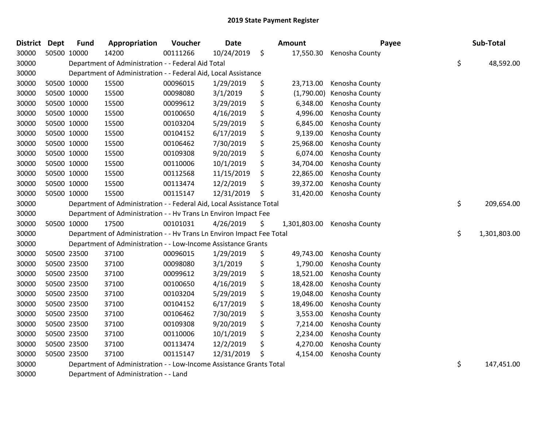| <b>District Dept</b> |             | <b>Fund</b> | Appropriation                                                         | Voucher  | <b>Date</b> | Amount           | Payee                       | Sub-Total          |
|----------------------|-------------|-------------|-----------------------------------------------------------------------|----------|-------------|------------------|-----------------------------|--------------------|
| 30000                | 50500 10000 |             | 14200                                                                 | 00111266 | 10/24/2019  | \$<br>17,550.30  | Kenosha County              |                    |
| 30000                |             |             | Department of Administration - - Federal Aid Total                    |          |             |                  |                             | \$<br>48,592.00    |
| 30000                |             |             | Department of Administration - - Federal Aid, Local Assistance        |          |             |                  |                             |                    |
| 30000                | 50500 10000 |             | 15500                                                                 | 00096015 | 1/29/2019   | \$<br>23,713.00  | Kenosha County              |                    |
| 30000                | 50500 10000 |             | 15500                                                                 | 00098080 | 3/1/2019    | \$<br>(1,790.00) | Kenosha County              |                    |
| 30000                | 50500 10000 |             | 15500                                                                 | 00099612 | 3/29/2019   | \$<br>6,348.00   | Kenosha County              |                    |
| 30000                | 50500 10000 |             | 15500                                                                 | 00100650 | 4/16/2019   | \$<br>4,996.00   | Kenosha County              |                    |
| 30000                | 50500 10000 |             | 15500                                                                 | 00103204 | 5/29/2019   | \$<br>6,845.00   | Kenosha County              |                    |
| 30000                | 50500 10000 |             | 15500                                                                 | 00104152 | 6/17/2019   | \$<br>9,139.00   | Kenosha County              |                    |
| 30000                | 50500 10000 |             | 15500                                                                 | 00106462 | 7/30/2019   | \$<br>25,968.00  | Kenosha County              |                    |
| 30000                | 50500 10000 |             | 15500                                                                 | 00109308 | 9/20/2019   | \$<br>6,074.00   | Kenosha County              |                    |
| 30000                | 50500 10000 |             | 15500                                                                 | 00110006 | 10/1/2019   | \$<br>34,704.00  | Kenosha County              |                    |
| 30000                | 50500 10000 |             | 15500                                                                 | 00112568 | 11/15/2019  | \$<br>22,865.00  | Kenosha County              |                    |
| 30000                | 50500 10000 |             | 15500                                                                 | 00113474 | 12/2/2019   | \$<br>39,372.00  | Kenosha County              |                    |
| 30000                | 50500 10000 |             | 15500                                                                 | 00115147 | 12/31/2019  | \$<br>31,420.00  | Kenosha County              |                    |
| 30000                |             |             | Department of Administration - - Federal Aid, Local Assistance Total  |          |             |                  |                             | \$<br>209,654.00   |
| 30000                |             |             | Department of Administration - - Hv Trans Ln Environ Impact Fee       |          |             |                  |                             |                    |
| 30000                | 50500 10000 |             | 17500                                                                 | 00101031 | 4/26/2019   | \$               | 1,301,803.00 Kenosha County |                    |
| 30000                |             |             | Department of Administration - - Hv Trans Ln Environ Impact Fee Total |          |             |                  |                             | \$<br>1,301,803.00 |
| 30000                |             |             | Department of Administration - - Low-Income Assistance Grants         |          |             |                  |                             |                    |
| 30000                | 50500 23500 |             | 37100                                                                 | 00096015 | 1/29/2019   | \$<br>49,743.00  | Kenosha County              |                    |
| 30000                | 50500 23500 |             | 37100                                                                 | 00098080 | 3/1/2019    | \$<br>1,790.00   | Kenosha County              |                    |
| 30000                | 50500 23500 |             | 37100                                                                 | 00099612 | 3/29/2019   | \$<br>18,521.00  | Kenosha County              |                    |
| 30000                | 50500 23500 |             | 37100                                                                 | 00100650 | 4/16/2019   | \$<br>18,428.00  | Kenosha County              |                    |
| 30000                | 50500 23500 |             | 37100                                                                 | 00103204 | 5/29/2019   | \$<br>19,048.00  | Kenosha County              |                    |
| 30000                | 50500 23500 |             | 37100                                                                 | 00104152 | 6/17/2019   | \$<br>18,496.00  | Kenosha County              |                    |
| 30000                | 50500 23500 |             | 37100                                                                 | 00106462 | 7/30/2019   | \$<br>3,553.00   | Kenosha County              |                    |
| 30000                | 50500 23500 |             | 37100                                                                 | 00109308 | 9/20/2019   | \$<br>7,214.00   | Kenosha County              |                    |
| 30000                | 50500 23500 |             | 37100                                                                 | 00110006 | 10/1/2019   | \$<br>2,234.00   | Kenosha County              |                    |
| 30000                | 50500 23500 |             | 37100                                                                 | 00113474 | 12/2/2019   | \$<br>4,270.00   | Kenosha County              |                    |
| 30000                | 50500 23500 |             | 37100                                                                 | 00115147 | 12/31/2019  | \$<br>4,154.00   | Kenosha County              |                    |
| 30000                |             |             | Department of Administration - - Low-Income Assistance Grants Total   |          |             |                  |                             | \$<br>147,451.00   |

Department of Administration - - Land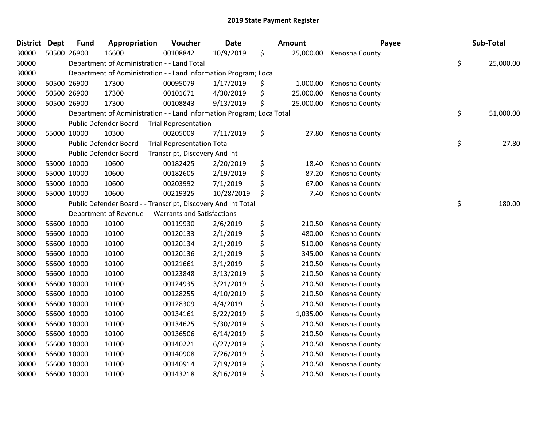| <b>District Dept</b> | <b>Fund</b> | Appropriation                                                         | Voucher  | <b>Date</b> | Amount          | Payee          | Sub-Total       |
|----------------------|-------------|-----------------------------------------------------------------------|----------|-------------|-----------------|----------------|-----------------|
| 30000                | 50500 26900 | 16600                                                                 | 00108842 | 10/9/2019   | \$<br>25,000.00 | Kenosha County |                 |
| 30000                |             | Department of Administration - - Land Total                           |          |             |                 |                | \$<br>25,000.00 |
| 30000                |             | Department of Administration - - Land Information Program; Loca       |          |             |                 |                |                 |
| 30000                | 50500 26900 | 17300                                                                 | 00095079 | 1/17/2019   | \$<br>1,000.00  | Kenosha County |                 |
| 30000                | 50500 26900 | 17300                                                                 | 00101671 | 4/30/2019   | \$<br>25,000.00 | Kenosha County |                 |
| 30000                | 50500 26900 | 17300                                                                 | 00108843 | 9/13/2019   | \$<br>25,000.00 | Kenosha County |                 |
| 30000                |             | Department of Administration - - Land Information Program; Loca Total |          |             |                 |                | \$<br>51,000.00 |
| 30000                |             | Public Defender Board - - Trial Representation                        |          |             |                 |                |                 |
| 30000                | 55000 10000 | 10300                                                                 | 00205009 | 7/11/2019   | \$<br>27.80     | Kenosha County |                 |
| 30000                |             | Public Defender Board - - Trial Representation Total                  |          |             |                 |                | \$<br>27.80     |
| 30000                |             | Public Defender Board - - Transcript, Discovery And Int               |          |             |                 |                |                 |
| 30000                | 55000 10000 | 10600                                                                 | 00182425 | 2/20/2019   | \$<br>18.40     | Kenosha County |                 |
| 30000                | 55000 10000 | 10600                                                                 | 00182605 | 2/19/2019   | \$<br>87.20     | Kenosha County |                 |
| 30000                | 55000 10000 | 10600                                                                 | 00203992 | 7/1/2019    | \$<br>67.00     | Kenosha County |                 |
| 30000                | 55000 10000 | 10600                                                                 | 00219325 | 10/28/2019  | \$<br>7.40      | Kenosha County |                 |
| 30000                |             | Public Defender Board - - Transcript, Discovery And Int Total         |          |             |                 |                | \$<br>180.00    |
| 30000                |             | Department of Revenue - - Warrants and Satisfactions                  |          |             |                 |                |                 |
| 30000                | 56600 10000 | 10100                                                                 | 00119930 | 2/6/2019    | \$<br>210.50    | Kenosha County |                 |
| 30000                | 56600 10000 | 10100                                                                 | 00120133 | 2/1/2019    | \$<br>480.00    | Kenosha County |                 |
| 30000                | 56600 10000 | 10100                                                                 | 00120134 | 2/1/2019    | \$<br>510.00    | Kenosha County |                 |
| 30000                | 56600 10000 | 10100                                                                 | 00120136 | 2/1/2019    | \$<br>345.00    | Kenosha County |                 |
| 30000                | 56600 10000 | 10100                                                                 | 00121661 | 3/1/2019    | \$<br>210.50    | Kenosha County |                 |
| 30000                | 56600 10000 | 10100                                                                 | 00123848 | 3/13/2019   | \$<br>210.50    | Kenosha County |                 |
| 30000                | 56600 10000 | 10100                                                                 | 00124935 | 3/21/2019   | \$<br>210.50    | Kenosha County |                 |
| 30000                | 56600 10000 | 10100                                                                 | 00128255 | 4/10/2019   | \$<br>210.50    | Kenosha County |                 |
| 30000                | 56600 10000 | 10100                                                                 | 00128309 | 4/4/2019    | \$<br>210.50    | Kenosha County |                 |
| 30000                | 56600 10000 | 10100                                                                 | 00134161 | 5/22/2019   | \$<br>1,035.00  | Kenosha County |                 |
| 30000                | 56600 10000 | 10100                                                                 | 00134625 | 5/30/2019   | \$<br>210.50    | Kenosha County |                 |
| 30000                | 56600 10000 | 10100                                                                 | 00136506 | 6/14/2019   | \$<br>210.50    | Kenosha County |                 |
| 30000                | 56600 10000 | 10100                                                                 | 00140221 | 6/27/2019   | \$<br>210.50    | Kenosha County |                 |
| 30000                | 56600 10000 | 10100                                                                 | 00140908 | 7/26/2019   | \$<br>210.50    | Kenosha County |                 |
| 30000                | 56600 10000 | 10100                                                                 | 00140914 | 7/19/2019   | \$<br>210.50    | Kenosha County |                 |
| 30000                | 56600 10000 | 10100                                                                 | 00143218 | 8/16/2019   | \$<br>210.50    | Kenosha County |                 |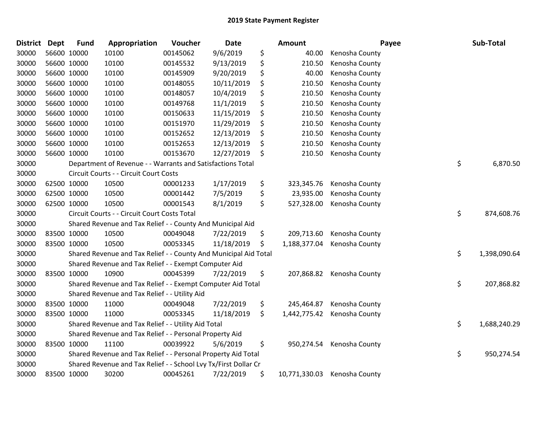| <b>District</b> | <b>Dept</b> | <b>Fund</b> | Appropriation                                                    | Voucher  | <b>Date</b> | Amount              | Payee          | Sub-Total          |
|-----------------|-------------|-------------|------------------------------------------------------------------|----------|-------------|---------------------|----------------|--------------------|
| 30000           |             | 56600 10000 | 10100                                                            | 00145062 | 9/6/2019    | \$<br>40.00         | Kenosha County |                    |
| 30000           |             | 56600 10000 | 10100                                                            | 00145532 | 9/13/2019   | \$<br>210.50        | Kenosha County |                    |
| 30000           |             | 56600 10000 | 10100                                                            | 00145909 | 9/20/2019   | \$<br>40.00         | Kenosha County |                    |
| 30000           |             | 56600 10000 | 10100                                                            | 00148055 | 10/11/2019  | \$<br>210.50        | Kenosha County |                    |
| 30000           |             | 56600 10000 | 10100                                                            | 00148057 | 10/4/2019   | \$<br>210.50        | Kenosha County |                    |
| 30000           |             | 56600 10000 | 10100                                                            | 00149768 | 11/1/2019   | \$<br>210.50        | Kenosha County |                    |
| 30000           |             | 56600 10000 | 10100                                                            | 00150633 | 11/15/2019  | \$<br>210.50        | Kenosha County |                    |
| 30000           |             | 56600 10000 | 10100                                                            | 00151970 | 11/29/2019  | \$<br>210.50        | Kenosha County |                    |
| 30000           |             | 56600 10000 | 10100                                                            | 00152652 | 12/13/2019  | \$<br>210.50        | Kenosha County |                    |
| 30000           |             | 56600 10000 | 10100                                                            | 00152653 | 12/13/2019  | \$<br>210.50        | Kenosha County |                    |
| 30000           |             | 56600 10000 | 10100                                                            | 00153670 | 12/27/2019  | \$<br>210.50        | Kenosha County |                    |
| 30000           |             |             | Department of Revenue - - Warrants and Satisfactions Total       |          |             |                     |                | \$<br>6,870.50     |
| 30000           |             |             | Circuit Courts - - Circuit Court Costs                           |          |             |                     |                |                    |
| 30000           |             | 62500 10000 | 10500                                                            | 00001233 | 1/17/2019   | \$<br>323,345.76    | Kenosha County |                    |
| 30000           |             | 62500 10000 | 10500                                                            | 00001442 | 7/5/2019    | \$<br>23,935.00     | Kenosha County |                    |
| 30000           |             | 62500 10000 | 10500                                                            | 00001543 | 8/1/2019    | \$<br>527,328.00    | Kenosha County |                    |
| 30000           |             |             | Circuit Courts - - Circuit Court Costs Total                     |          |             |                     |                | \$<br>874,608.76   |
| 30000           |             |             | Shared Revenue and Tax Relief - - County And Municipal Aid       |          |             |                     |                |                    |
| 30000           |             | 83500 10000 | 10500                                                            | 00049048 | 7/22/2019   | \$<br>209,713.60    | Kenosha County |                    |
| 30000           |             | 83500 10000 | 10500                                                            | 00053345 | 11/18/2019  | \$<br>1,188,377.04  | Kenosha County |                    |
| 30000           |             |             | Shared Revenue and Tax Relief - - County And Municipal Aid Total |          |             |                     |                | \$<br>1,398,090.64 |
| 30000           |             |             | Shared Revenue and Tax Relief - - Exempt Computer Aid            |          |             |                     |                |                    |
| 30000           |             | 83500 10000 | 10900                                                            | 00045399 | 7/22/2019   | \$<br>207,868.82    | Kenosha County |                    |
| 30000           |             |             | Shared Revenue and Tax Relief - - Exempt Computer Aid Total      |          |             |                     |                | \$<br>207,868.82   |
| 30000           |             |             | Shared Revenue and Tax Relief - - Utility Aid                    |          |             |                     |                |                    |
| 30000           |             | 83500 10000 | 11000                                                            | 00049048 | 7/22/2019   | \$<br>245,464.87    | Kenosha County |                    |
| 30000           |             | 83500 10000 | 11000                                                            | 00053345 | 11/18/2019  | \$<br>1,442,775.42  | Kenosha County |                    |
| 30000           |             |             | Shared Revenue and Tax Relief - - Utility Aid Total              |          |             |                     |                | \$<br>1,688,240.29 |
| 30000           |             |             | Shared Revenue and Tax Relief - - Personal Property Aid          |          |             |                     |                |                    |
| 30000           |             | 83500 10000 | 11100                                                            | 00039922 | 5/6/2019    | \$<br>950,274.54    | Kenosha County |                    |
| 30000           |             |             | Shared Revenue and Tax Relief - - Personal Property Aid Total    |          |             |                     |                | \$<br>950,274.54   |
| 30000           |             |             | Shared Revenue and Tax Relief - - School Lvy Tx/First Dollar Cr  |          |             |                     |                |                    |
| 30000           |             | 83500 10000 | 30200                                                            | 00045261 | 7/22/2019   | \$<br>10,771,330.03 | Kenosha County |                    |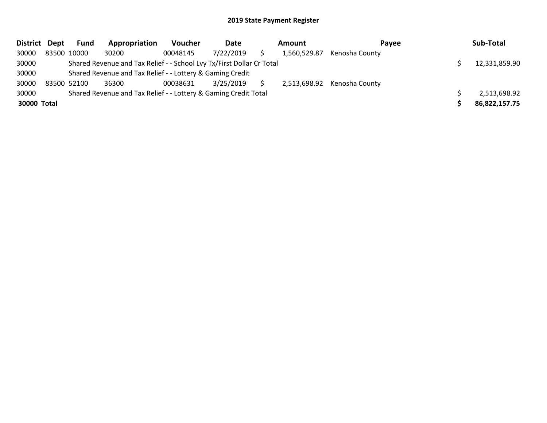| District Dept | <b>Fund</b> | Appropriation                                                         | <b>Voucher</b> | Date      | Amount |              | Pavee                       | Sub-Total     |
|---------------|-------------|-----------------------------------------------------------------------|----------------|-----------|--------|--------------|-----------------------------|---------------|
| 30000         | 83500 10000 | 30200                                                                 | 00048145       | 7/22/2019 |        | 1,560,529.87 | Kenosha County              |               |
| 30000         |             | Shared Revenue and Tax Relief - - School Lvy Tx/First Dollar Cr Total |                |           |        |              |                             | 12,331,859.90 |
| 30000         |             | Shared Revenue and Tax Relief - - Lottery & Gaming Credit             |                |           |        |              |                             |               |
| 30000         | 83500 52100 | 36300                                                                 | 00038631       | 3/25/2019 |        |              | 2,513,698.92 Kenosha County |               |
| 30000         |             | Shared Revenue and Tax Relief - - Lottery & Gaming Credit Total       |                |           |        |              |                             | 2,513,698.92  |
| 30000 Total   |             |                                                                       |                |           |        |              |                             | 86,822,157.75 |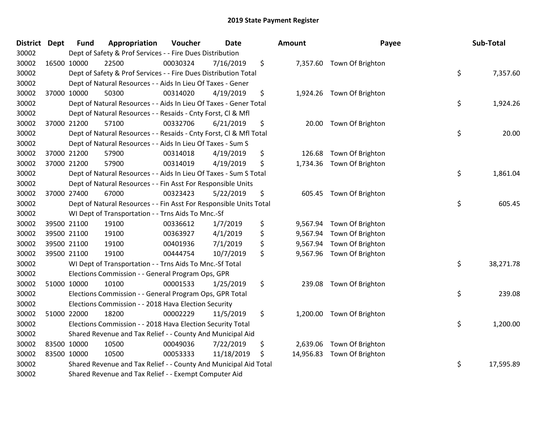| <b>District Dept</b> | <b>Fund</b> | Appropriation                                                      | Voucher  | <b>Date</b> | Amount          | Payee                     | Sub-Total       |
|----------------------|-------------|--------------------------------------------------------------------|----------|-------------|-----------------|---------------------------|-----------------|
| 30002                |             | Dept of Safety & Prof Services - - Fire Dues Distribution          |          |             |                 |                           |                 |
| 30002                | 16500 10000 | 22500                                                              | 00030324 | 7/16/2019   | \$              | 7,357.60 Town Of Brighton |                 |
| 30002                |             | Dept of Safety & Prof Services - - Fire Dues Distribution Total    |          |             |                 |                           | \$<br>7,357.60  |
| 30002                |             | Dept of Natural Resources - - Aids In Lieu Of Taxes - Gener        |          |             |                 |                           |                 |
| 30002                | 37000 10000 | 50300                                                              | 00314020 | 4/19/2019   | \$              | 1,924.26 Town Of Brighton |                 |
| 30002                |             | Dept of Natural Resources - - Aids In Lieu Of Taxes - Gener Total  |          |             |                 |                           | \$<br>1,924.26  |
| 30002                |             | Dept of Natural Resources - - Resaids - Cnty Forst, Cl & Mfl       |          |             |                 |                           |                 |
| 30002                | 37000 21200 | 57100                                                              | 00332706 | 6/21/2019   | \$<br>20.00     | Town Of Brighton          |                 |
| 30002                |             | Dept of Natural Resources - - Resaids - Cnty Forst, Cl & Mfl Total |          |             |                 |                           | \$<br>20.00     |
| 30002                |             | Dept of Natural Resources - - Aids In Lieu Of Taxes - Sum S        |          |             |                 |                           |                 |
| 30002                | 37000 21200 | 57900                                                              | 00314018 | 4/19/2019   | \$<br>126.68    | Town Of Brighton          |                 |
| 30002                | 37000 21200 | 57900                                                              | 00314019 | 4/19/2019   | \$<br>1,734.36  | Town Of Brighton          |                 |
| 30002                |             | Dept of Natural Resources - - Aids In Lieu Of Taxes - Sum S Total  |          |             |                 |                           | \$<br>1,861.04  |
| 30002                |             | Dept of Natural Resources - - Fin Asst For Responsible Units       |          |             |                 |                           |                 |
| 30002                | 37000 27400 | 67000                                                              | 00323423 | 5/22/2019   | \$<br>605.45    | Town Of Brighton          |                 |
| 30002                |             | Dept of Natural Resources - - Fin Asst For Responsible Units Total |          |             |                 |                           | \$<br>605.45    |
| 30002                |             | WI Dept of Transportation - - Trns Aids To Mnc.-Sf                 |          |             |                 |                           |                 |
| 30002                | 39500 21100 | 19100                                                              | 00336612 | 1/7/2019    | \$<br>9,567.94  | Town Of Brighton          |                 |
| 30002                | 39500 21100 | 19100                                                              | 00363927 | 4/1/2019    | \$<br>9,567.94  | Town Of Brighton          |                 |
| 30002                | 39500 21100 | 19100                                                              | 00401936 | 7/1/2019    | \$<br>9,567.94  | Town Of Brighton          |                 |
| 30002                | 39500 21100 | 19100                                                              | 00444754 | 10/7/2019   | \$              | 9,567.96 Town Of Brighton |                 |
| 30002                |             | WI Dept of Transportation - - Trns Aids To Mnc.-Sf Total           |          |             |                 |                           | \$<br>38,271.78 |
| 30002                |             | Elections Commission - - General Program Ops, GPR                  |          |             |                 |                           |                 |
| 30002                | 51000 10000 | 10100                                                              | 00001533 | 1/25/2019   | \$<br>239.08    | Town Of Brighton          |                 |
| 30002                |             | Elections Commission - - General Program Ops, GPR Total            |          |             |                 |                           | \$<br>239.08    |
| 30002                |             | Elections Commission - - 2018 Hava Election Security               |          |             |                 |                           |                 |
| 30002                | 51000 22000 | 18200                                                              | 00002229 | 11/5/2019   | \$<br>1,200.00  | Town Of Brighton          |                 |
| 30002                |             | Elections Commission - - 2018 Hava Election Security Total         |          |             |                 |                           | \$<br>1,200.00  |
| 30002                |             | Shared Revenue and Tax Relief - - County And Municipal Aid         |          |             |                 |                           |                 |
| 30002                | 83500 10000 | 10500                                                              | 00049036 | 7/22/2019   | \$<br>2,639.06  | Town Of Brighton          |                 |
| 30002                | 83500 10000 | 10500                                                              | 00053333 | 11/18/2019  | \$<br>14,956.83 | Town Of Brighton          |                 |
| 30002                |             | Shared Revenue and Tax Relief - - County And Municipal Aid Total   |          |             |                 |                           | \$<br>17,595.89 |
| 30002                |             | Shared Revenue and Tax Relief - - Exempt Computer Aid              |          |             |                 |                           |                 |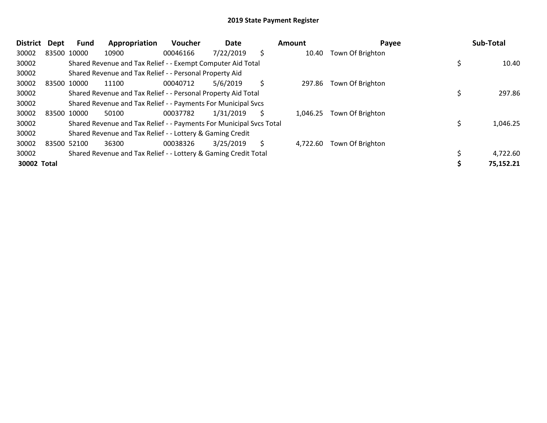| <b>District</b> | <b>Dept</b> | Fund | Appropriation                                                       | Voucher  | Date      |    | Amount   | Payee            | Sub-Total |
|-----------------|-------------|------|---------------------------------------------------------------------|----------|-----------|----|----------|------------------|-----------|
| 30002           | 83500 10000 |      | 10900                                                               | 00046166 | 7/22/2019 | \$ | 10.40    | Town Of Brighton |           |
| 30002           |             |      | Shared Revenue and Tax Relief - - Exempt Computer Aid Total         |          |           |    |          |                  | 10.40     |
| 30002           |             |      | Shared Revenue and Tax Relief - - Personal Property Aid             |          |           |    |          |                  |           |
| 30002           | 83500 10000 |      | 11100                                                               | 00040712 | 5/6/2019  | \$ | 297.86   | Town Of Brighton |           |
| 30002           |             |      | Shared Revenue and Tax Relief - - Personal Property Aid Total       |          |           |    |          |                  | 297.86    |
| 30002           |             |      | Shared Revenue and Tax Relief - - Payments For Municipal Svcs       |          |           |    |          |                  |           |
| 30002           | 83500 10000 |      | 50100                                                               | 00037782 | 1/31/2019 | Ś. | 1,046.25 | Town Of Brighton |           |
| 30002           |             |      | Shared Revenue and Tax Relief - - Payments For Municipal Svcs Total |          |           |    |          |                  | 1,046.25  |
| 30002           |             |      | Shared Revenue and Tax Relief - - Lottery & Gaming Credit           |          |           |    |          |                  |           |
| 30002           | 83500 52100 |      | 36300                                                               | 00038326 | 3/25/2019 | S  | 4,722.60 | Town Of Brighton |           |
| 30002           |             |      | Shared Revenue and Tax Relief - - Lottery & Gaming Credit Total     |          |           |    |          |                  | 4,722.60  |
| 30002 Total     |             |      |                                                                     |          |           |    |          |                  | 75,152.21 |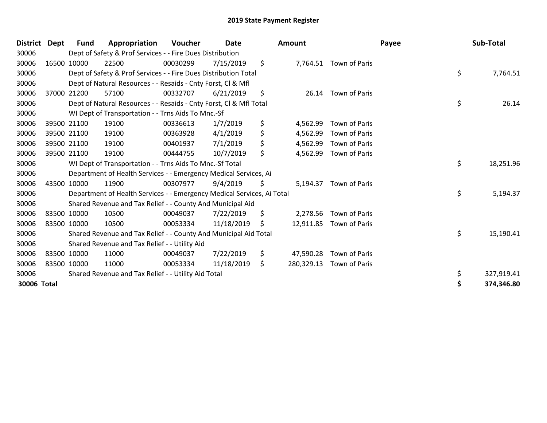| <b>District</b> | Dept  | <b>Fund</b> | Appropriation                                                          | Voucher  | <b>Date</b> | Amount           |                         | Payee | Sub-Total  |
|-----------------|-------|-------------|------------------------------------------------------------------------|----------|-------------|------------------|-------------------------|-------|------------|
| 30006           |       |             | Dept of Safety & Prof Services - - Fire Dues Distribution              |          |             |                  |                         |       |            |
| 30006           |       | 16500 10000 | 22500                                                                  | 00030299 | 7/15/2019   | \$               | 7,764.51 Town of Paris  |       |            |
| 30006           |       |             | Dept of Safety & Prof Services - - Fire Dues Distribution Total        |          |             |                  |                         | \$    | 7,764.51   |
| 30006           |       |             | Dept of Natural Resources - - Resaids - Cnty Forst, CI & Mfl           |          |             |                  |                         |       |            |
| 30006           | 37000 | 21200       | 57100                                                                  | 00332707 | 6/21/2019   | \$<br>26.14      | Town of Paris           |       |            |
| 30006           |       |             | Dept of Natural Resources - - Resaids - Cnty Forst, Cl & Mfl Total     |          |             |                  |                         | \$    | 26.14      |
| 30006           |       |             | WI Dept of Transportation - - Trns Aids To Mnc.-Sf                     |          |             |                  |                         |       |            |
| 30006           |       | 39500 21100 | 19100                                                                  | 00336613 | 1/7/2019    | \$<br>4,562.99   | Town of Paris           |       |            |
| 30006           |       | 39500 21100 | 19100                                                                  | 00363928 | 4/1/2019    | \$<br>4,562.99   | Town of Paris           |       |            |
| 30006           |       | 39500 21100 | 19100                                                                  | 00401937 | 7/1/2019    | \$<br>4,562.99   | Town of Paris           |       |            |
| 30006           |       | 39500 21100 | 19100                                                                  | 00444755 | 10/7/2019   | \$<br>4,562.99   | Town of Paris           |       |            |
| 30006           |       |             | WI Dept of Transportation - - Trns Aids To Mnc.-Sf Total               |          |             |                  |                         | \$    | 18,251.96  |
| 30006           |       |             | Department of Health Services - - Emergency Medical Services, Ai       |          |             |                  |                         |       |            |
| 30006           |       | 43500 10000 | 11900                                                                  | 00307977 | 9/4/2019    | \$<br>5,194.37   | Town of Paris           |       |            |
| 30006           |       |             | Department of Health Services - - Emergency Medical Services, Ai Total |          |             |                  |                         | \$    | 5,194.37   |
| 30006           |       |             | Shared Revenue and Tax Relief - - County And Municipal Aid             |          |             |                  |                         |       |            |
| 30006           |       | 83500 10000 | 10500                                                                  | 00049037 | 7/22/2019   | \$<br>2,278.56   | Town of Paris           |       |            |
| 30006           |       | 83500 10000 | 10500                                                                  | 00053334 | 11/18/2019  | \$               | 12,911.85 Town of Paris |       |            |
| 30006           |       |             | Shared Revenue and Tax Relief - - County And Municipal Aid Total       |          |             |                  |                         | \$    | 15,190.41  |
| 30006           |       |             | Shared Revenue and Tax Relief - - Utility Aid                          |          |             |                  |                         |       |            |
| 30006           |       | 83500 10000 | 11000                                                                  | 00049037 | 7/22/2019   | \$<br>47,590.28  | Town of Paris           |       |            |
| 30006           |       | 83500 10000 | 11000                                                                  | 00053334 | 11/18/2019  | \$<br>280,329.13 | Town of Paris           |       |            |
| 30006           |       |             | Shared Revenue and Tax Relief - - Utility Aid Total                    |          |             |                  |                         | \$    | 327,919.41 |
| 30006 Total     |       |             |                                                                        |          |             |                  |                         | \$    | 374,346.80 |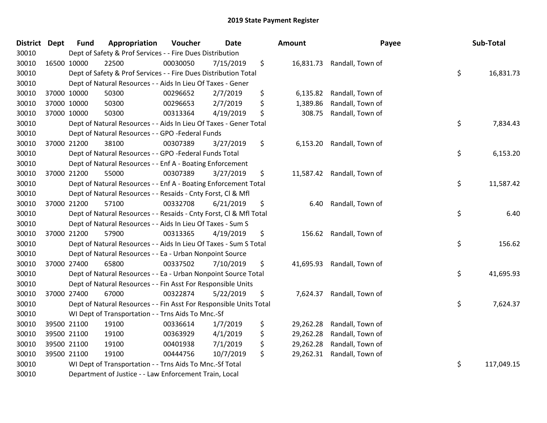| <b>District Dept</b> | <b>Fund</b> | Appropriation                                                      | Voucher  | <b>Date</b> | Amount          | Payee                      | Sub-Total        |
|----------------------|-------------|--------------------------------------------------------------------|----------|-------------|-----------------|----------------------------|------------------|
| 30010                |             | Dept of Safety & Prof Services - - Fire Dues Distribution          |          |             |                 |                            |                  |
| 30010                | 16500 10000 | 22500                                                              | 00030050 | 7/15/2019   | \$              | 16,831.73 Randall, Town of |                  |
| 30010                |             | Dept of Safety & Prof Services - - Fire Dues Distribution Total    |          |             |                 |                            | \$<br>16,831.73  |
| 30010                |             | Dept of Natural Resources - - Aids In Lieu Of Taxes - Gener        |          |             |                 |                            |                  |
| 30010                | 37000 10000 | 50300                                                              | 00296652 | 2/7/2019    | \$<br>6,135.82  | Randall, Town of           |                  |
| 30010                | 37000 10000 | 50300                                                              | 00296653 | 2/7/2019    | \$<br>1,389.86  | Randall, Town of           |                  |
| 30010                | 37000 10000 | 50300                                                              | 00313364 | 4/19/2019   | \$<br>308.75    | Randall, Town of           |                  |
| 30010                |             | Dept of Natural Resources - - Aids In Lieu Of Taxes - Gener Total  |          |             |                 |                            | \$<br>7,834.43   |
| 30010                |             | Dept of Natural Resources - - GPO -Federal Funds                   |          |             |                 |                            |                  |
| 30010                | 37000 21200 | 38100                                                              | 00307389 | 3/27/2019   | \$<br>6,153.20  | Randall, Town of           |                  |
| 30010                |             | Dept of Natural Resources - - GPO -Federal Funds Total             |          |             |                 |                            | \$<br>6,153.20   |
| 30010                |             | Dept of Natural Resources - - Enf A - Boating Enforcement          |          |             |                 |                            |                  |
| 30010                | 37000 21200 | 55000                                                              | 00307389 | 3/27/2019   | \$              | 11,587.42 Randall, Town of |                  |
| 30010                |             | Dept of Natural Resources - - Enf A - Boating Enforcement Total    |          |             |                 |                            | \$<br>11,587.42  |
| 30010                |             | Dept of Natural Resources - - Resaids - Cnty Forst, Cl & Mfl       |          |             |                 |                            |                  |
| 30010                | 37000 21200 | 57100                                                              | 00332708 | 6/21/2019   | \$<br>6.40      | Randall, Town of           |                  |
| 30010                |             | Dept of Natural Resources - - Resaids - Cnty Forst, CI & Mfl Total |          |             |                 |                            | \$<br>6.40       |
| 30010                |             | Dept of Natural Resources - - Aids In Lieu Of Taxes - Sum S        |          |             |                 |                            |                  |
| 30010                | 37000 21200 | 57900                                                              | 00313365 | 4/19/2019   | \$              | 156.62 Randall, Town of    |                  |
| 30010                |             | Dept of Natural Resources - - Aids In Lieu Of Taxes - Sum S Total  |          |             |                 |                            | \$<br>156.62     |
| 30010                |             | Dept of Natural Resources - - Ea - Urban Nonpoint Source           |          |             |                 |                            |                  |
| 30010                | 37000 27400 | 65800                                                              | 00337502 | 7/10/2019   | \$              | 41,695.93 Randall, Town of |                  |
| 30010                |             | Dept of Natural Resources - - Ea - Urban Nonpoint Source Total     |          |             |                 |                            | \$<br>41,695.93  |
| 30010                |             | Dept of Natural Resources - - Fin Asst For Responsible Units       |          |             |                 |                            |                  |
| 30010                | 37000 27400 | 67000                                                              | 00322874 | 5/22/2019   | \$<br>7,624.37  | Randall, Town of           |                  |
| 30010                |             | Dept of Natural Resources - - Fin Asst For Responsible Units Total |          |             |                 |                            | \$<br>7,624.37   |
| 30010                |             | WI Dept of Transportation - - Trns Aids To Mnc.-Sf                 |          |             |                 |                            |                  |
| 30010                | 39500 21100 | 19100                                                              | 00336614 | 1/7/2019    | \$<br>29,262.28 | Randall, Town of           |                  |
| 30010                | 39500 21100 | 19100                                                              | 00363929 | 4/1/2019    | \$<br>29,262.28 | Randall, Town of           |                  |
| 30010                | 39500 21100 | 19100                                                              | 00401938 | 7/1/2019    | \$<br>29,262.28 | Randall, Town of           |                  |
| 30010                | 39500 21100 | 19100                                                              | 00444756 | 10/7/2019   | \$<br>29,262.31 | Randall, Town of           |                  |
| 30010                |             | WI Dept of Transportation - - Trns Aids To Mnc.-Sf Total           |          |             |                 |                            | \$<br>117,049.15 |
| 30010                |             | Department of Justice - - Law Enforcement Train, Local             |          |             |                 |                            |                  |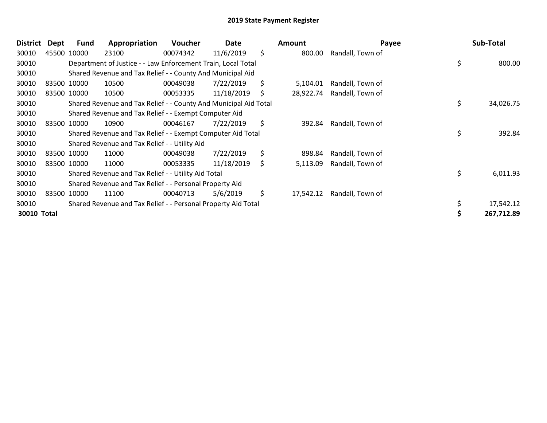| <b>District</b> | Dept | Fund        | Appropriation                                                    | <b>Voucher</b> | Date       |    | Amount    | Payee            | Sub-Total       |
|-----------------|------|-------------|------------------------------------------------------------------|----------------|------------|----|-----------|------------------|-----------------|
| 30010           |      | 45500 10000 | 23100                                                            | 00074342       | 11/6/2019  | \$ | 800.00    | Randall, Town of |                 |
| 30010           |      |             | Department of Justice - - Law Enforcement Train, Local Total     |                |            |    |           |                  | \$<br>800.00    |
| 30010           |      |             | Shared Revenue and Tax Relief - - County And Municipal Aid       |                |            |    |           |                  |                 |
| 30010           |      | 83500 10000 | 10500                                                            | 00049038       | 7/22/2019  | \$ | 5,104.01  | Randall, Town of |                 |
| 30010           |      | 83500 10000 | 10500                                                            | 00053335       | 11/18/2019 | S  | 28,922.74 | Randall, Town of |                 |
| 30010           |      |             | Shared Revenue and Tax Relief - - County And Municipal Aid Total |                |            |    |           |                  | \$<br>34,026.75 |
| 30010           |      |             | Shared Revenue and Tax Relief - - Exempt Computer Aid            |                |            |    |           |                  |                 |
| 30010           |      | 83500 10000 | 10900                                                            | 00046167       | 7/22/2019  | \$ | 392.84    | Randall, Town of |                 |
| 30010           |      |             | Shared Revenue and Tax Relief - - Exempt Computer Aid Total      |                |            |    |           |                  | \$<br>392.84    |
| 30010           |      |             | Shared Revenue and Tax Relief - - Utility Aid                    |                |            |    |           |                  |                 |
| 30010           |      | 83500 10000 | 11000                                                            | 00049038       | 7/22/2019  | \$ | 898.84    | Randall, Town of |                 |
| 30010           |      | 83500 10000 | 11000                                                            | 00053335       | 11/18/2019 | \$ | 5,113.09  | Randall, Town of |                 |
| 30010           |      |             | Shared Revenue and Tax Relief - - Utility Aid Total              |                |            |    |           |                  | \$<br>6,011.93  |
| 30010           |      |             | Shared Revenue and Tax Relief - - Personal Property Aid          |                |            |    |           |                  |                 |
| 30010           |      | 83500 10000 | 11100                                                            | 00040713       | 5/6/2019   | \$ | 17,542.12 | Randall, Town of |                 |
| 30010           |      |             | Shared Revenue and Tax Relief - - Personal Property Aid Total    |                |            |    |           |                  | 17,542.12       |
| 30010 Total     |      |             |                                                                  |                |            |    |           |                  | 267,712.89      |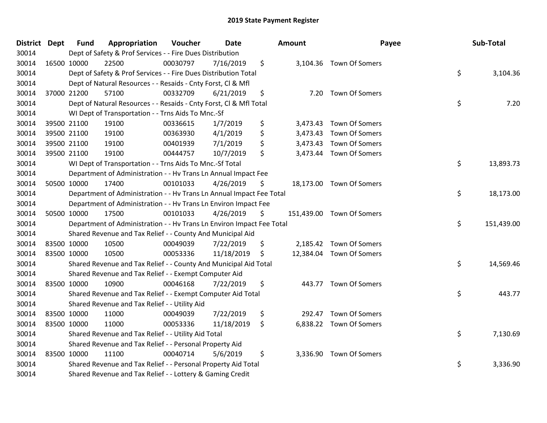| District Dept |             | <b>Fund</b> | Appropriation                                                         | Voucher  | <b>Date</b> | Amount       | Payee                     | Sub-Total        |
|---------------|-------------|-------------|-----------------------------------------------------------------------|----------|-------------|--------------|---------------------------|------------------|
| 30014         |             |             | Dept of Safety & Prof Services - - Fire Dues Distribution             |          |             |              |                           |                  |
| 30014         | 16500 10000 |             | 22500                                                                 | 00030797 | 7/16/2019   | \$           | 3,104.36 Town Of Somers   |                  |
| 30014         |             |             | Dept of Safety & Prof Services - - Fire Dues Distribution Total       |          |             |              |                           | \$<br>3,104.36   |
| 30014         |             |             | Dept of Natural Resources - - Resaids - Cnty Forst, CI & Mfl          |          |             |              |                           |                  |
| 30014         |             | 37000 21200 | 57100                                                                 | 00332709 | 6/21/2019   | \$<br>7.20   | <b>Town Of Somers</b>     |                  |
| 30014         |             |             | Dept of Natural Resources - - Resaids - Cnty Forst, Cl & Mfl Total    |          |             |              |                           | \$<br>7.20       |
| 30014         |             |             | WI Dept of Transportation - - Trns Aids To Mnc.-Sf                    |          |             |              |                           |                  |
| 30014         |             | 39500 21100 | 19100                                                                 | 00336615 | 1/7/2019    | \$           | 3,473.43 Town Of Somers   |                  |
| 30014         | 39500 21100 |             | 19100                                                                 | 00363930 | 4/1/2019    | \$           | 3,473.43 Town Of Somers   |                  |
| 30014         |             | 39500 21100 | 19100                                                                 | 00401939 | 7/1/2019    | \$           | 3,473.43 Town Of Somers   |                  |
| 30014         |             | 39500 21100 | 19100                                                                 | 00444757 | 10/7/2019   | \$           | 3,473.44 Town Of Somers   |                  |
| 30014         |             |             | WI Dept of Transportation - - Trns Aids To Mnc.-Sf Total              |          |             |              |                           | \$<br>13,893.73  |
| 30014         |             |             | Department of Administration - - Hv Trans Ln Annual Impact Fee        |          |             |              |                           |                  |
| 30014         |             | 50500 10000 | 17400                                                                 | 00101033 | 4/26/2019   | \$           | 18,173.00 Town Of Somers  |                  |
| 30014         |             |             | Department of Administration - - Hv Trans Ln Annual Impact Fee Total  |          |             |              |                           | \$<br>18,173.00  |
| 30014         |             |             | Department of Administration - - Hv Trans Ln Environ Impact Fee       |          |             |              |                           |                  |
| 30014         |             | 50500 10000 | 17500                                                                 | 00101033 | 4/26/2019   | \$           | 151,439.00 Town Of Somers |                  |
| 30014         |             |             | Department of Administration - - Hv Trans Ln Environ Impact Fee Total |          |             |              |                           | \$<br>151,439.00 |
| 30014         |             |             | Shared Revenue and Tax Relief - - County And Municipal Aid            |          |             |              |                           |                  |
| 30014         | 83500 10000 |             | 10500                                                                 | 00049039 | 7/22/2019   | \$           | 2,185.42 Town Of Somers   |                  |
| 30014         |             | 83500 10000 | 10500                                                                 | 00053336 | 11/18/2019  | \$           | 12,384.04 Town Of Somers  |                  |
| 30014         |             |             | Shared Revenue and Tax Relief - - County And Municipal Aid Total      |          |             |              |                           | \$<br>14,569.46  |
| 30014         |             |             | Shared Revenue and Tax Relief - - Exempt Computer Aid                 |          |             |              |                           |                  |
| 30014         | 83500 10000 |             | 10900                                                                 | 00046168 | 7/22/2019   | \$           | 443.77 Town Of Somers     |                  |
| 30014         |             |             | Shared Revenue and Tax Relief - - Exempt Computer Aid Total           |          |             |              |                           | \$<br>443.77     |
| 30014         |             |             | Shared Revenue and Tax Relief - - Utility Aid                         |          |             |              |                           |                  |
| 30014         | 83500 10000 |             | 11000                                                                 | 00049039 | 7/22/2019   | \$<br>292.47 | Town Of Somers            |                  |
| 30014         | 83500 10000 |             | 11000                                                                 | 00053336 | 11/18/2019  | \$           | 6,838.22 Town Of Somers   |                  |
| 30014         |             |             | Shared Revenue and Tax Relief - - Utility Aid Total                   |          |             |              |                           | \$<br>7,130.69   |
| 30014         |             |             | Shared Revenue and Tax Relief - - Personal Property Aid               |          |             |              |                           |                  |
| 30014         | 83500 10000 |             | 11100                                                                 | 00040714 | 5/6/2019    | \$           | 3,336.90 Town Of Somers   |                  |
| 30014         |             |             | Shared Revenue and Tax Relief - - Personal Property Aid Total         |          |             |              |                           | \$<br>3,336.90   |
| 30014         |             |             | Shared Revenue and Tax Relief - - Lottery & Gaming Credit             |          |             |              |                           |                  |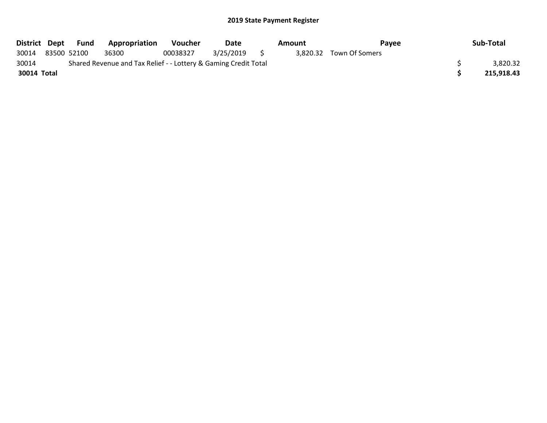|             | District Dept Fund | Appropriation                                                   | Voucher  | Date         | Amount | Pavee                   | Sub-Total  |
|-------------|--------------------|-----------------------------------------------------------------|----------|--------------|--------|-------------------------|------------|
| 30014       | 83500 52100        | 36300                                                           | 00038327 | 3/25/2019 \$ |        | 3,820.32 Town Of Somers |            |
| 30014       |                    | Shared Revenue and Tax Relief - - Lottery & Gaming Credit Total |          |              |        |                         | 3,820.32   |
| 30014 Total |                    |                                                                 |          |              |        |                         | 215.918.43 |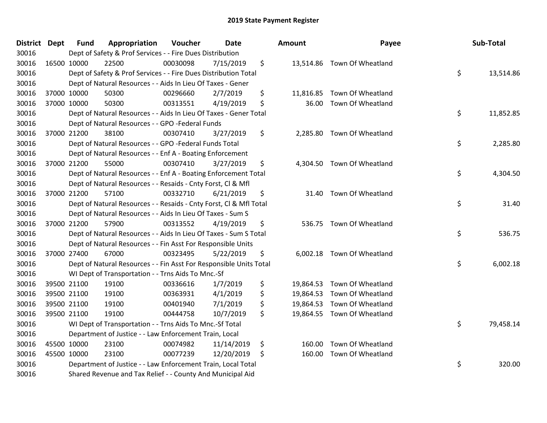| District Dept | <b>Fund</b> | Appropriation                                                      | Voucher  | <b>Date</b> | <b>Amount</b> | Payee                       | Sub-Total       |
|---------------|-------------|--------------------------------------------------------------------|----------|-------------|---------------|-----------------------------|-----------------|
| 30016         |             | Dept of Safety & Prof Services - - Fire Dues Distribution          |          |             |               |                             |                 |
| 30016         | 16500 10000 | 22500                                                              | 00030098 | 7/15/2019   | \$            | 13,514.86 Town Of Wheatland |                 |
| 30016         |             | Dept of Safety & Prof Services - - Fire Dues Distribution Total    |          |             |               |                             | \$<br>13,514.86 |
| 30016         |             | Dept of Natural Resources - - Aids In Lieu Of Taxes - Gener        |          |             |               |                             |                 |
| 30016         | 37000 10000 | 50300                                                              | 00296660 | 2/7/2019    | \$            | 11,816.85 Town Of Wheatland |                 |
| 30016         | 37000 10000 | 50300                                                              | 00313551 | 4/19/2019   | \$<br>36.00   | Town Of Wheatland           |                 |
| 30016         |             | Dept of Natural Resources - - Aids In Lieu Of Taxes - Gener Total  |          |             |               |                             | \$<br>11,852.85 |
| 30016         |             | Dept of Natural Resources - - GPO -Federal Funds                   |          |             |               |                             |                 |
| 30016         | 37000 21200 | 38100                                                              | 00307410 | 3/27/2019   | \$            | 2,285.80 Town Of Wheatland  |                 |
| 30016         |             | Dept of Natural Resources - - GPO -Federal Funds Total             |          |             |               |                             | \$<br>2,285.80  |
| 30016         |             | Dept of Natural Resources - - Enf A - Boating Enforcement          |          |             |               |                             |                 |
| 30016         | 37000 21200 | 55000                                                              | 00307410 | 3/27/2019   | \$            | 4,304.50 Town Of Wheatland  |                 |
| 30016         |             | Dept of Natural Resources - - Enf A - Boating Enforcement Total    |          |             |               |                             | \$<br>4,304.50  |
| 30016         |             | Dept of Natural Resources - - Resaids - Cnty Forst, Cl & Mfl       |          |             |               |                             |                 |
| 30016         | 37000 21200 | 57100                                                              | 00332710 | 6/21/2019   | \$            | 31.40 Town Of Wheatland     |                 |
| 30016         |             | Dept of Natural Resources - - Resaids - Cnty Forst, Cl & Mfl Total |          |             |               |                             | \$<br>31.40     |
| 30016         |             | Dept of Natural Resources - - Aids In Lieu Of Taxes - Sum S        |          |             |               |                             |                 |
| 30016         | 37000 21200 | 57900                                                              | 00313552 | 4/19/2019   | \$            | 536.75 Town Of Wheatland    |                 |
| 30016         |             | Dept of Natural Resources - - Aids In Lieu Of Taxes - Sum S Total  |          |             |               |                             | \$<br>536.75    |
| 30016         |             | Dept of Natural Resources - - Fin Asst For Responsible Units       |          |             |               |                             |                 |
| 30016         | 37000 27400 | 67000                                                              | 00323495 | 5/22/2019   | \$            | 6,002.18 Town Of Wheatland  |                 |
| 30016         |             | Dept of Natural Resources - - Fin Asst For Responsible Units Total |          |             |               |                             | \$<br>6,002.18  |
| 30016         |             | WI Dept of Transportation - - Trns Aids To Mnc.-Sf                 |          |             |               |                             |                 |
| 30016         | 39500 21100 | 19100                                                              | 00336616 | 1/7/2019    | \$            | 19,864.53 Town Of Wheatland |                 |
| 30016         | 39500 21100 | 19100                                                              | 00363931 | 4/1/2019    | \$            | 19,864.53 Town Of Wheatland |                 |
| 30016         | 39500 21100 | 19100                                                              | 00401940 | 7/1/2019    | \$            | 19,864.53 Town Of Wheatland |                 |
| 30016         | 39500 21100 | 19100                                                              | 00444758 | 10/7/2019   | \$            | 19,864.55 Town Of Wheatland |                 |
| 30016         |             | WI Dept of Transportation - - Trns Aids To Mnc .- Sf Total         |          |             |               |                             | \$<br>79,458.14 |
| 30016         |             | Department of Justice - - Law Enforcement Train, Local             |          |             |               |                             |                 |
| 30016         | 45500 10000 | 23100                                                              | 00074982 | 11/14/2019  | \$<br>160.00  | Town Of Wheatland           |                 |
| 30016         | 45500 10000 | 23100                                                              | 00077239 | 12/20/2019  | \$            | 160.00 Town Of Wheatland    |                 |
| 30016         |             | Department of Justice - - Law Enforcement Train, Local Total       |          |             |               |                             | \$<br>320.00    |
| 30016         |             | Shared Revenue and Tax Relief - - County And Municipal Aid         |          |             |               |                             |                 |
|               |             |                                                                    |          |             |               |                             |                 |

| unt                | Payee                                  | Sub-Total       |
|--------------------|----------------------------------------|-----------------|
|                    | 13,514.86 Town Of Wheatland            | \$<br>13,514.86 |
| 11,816.85<br>36.00 | Town Of Wheatland<br>Town Of Wheatland |                 |
|                    |                                        | \$<br>11,852.85 |
| 2,285.80           | Town Of Wheatland                      | \$<br>2,285.80  |
|                    |                                        |                 |
| 4,304.50           | Town Of Wheatland                      | \$<br>4,304.50  |
| 31.40              | Town Of Wheatland                      | \$<br>31.40     |
|                    |                                        |                 |
|                    | 536.75 Town Of Wheatland               | \$<br>536.75    |
| 6,002.18           | Town Of Wheatland                      | \$<br>6,002.18  |
| 19,864.53          | Town Of Wheatland                      |                 |
| 19,864.53          | Town Of Wheatland                      |                 |
| 19,864.53          | Town Of Wheatland                      |                 |
| 19,864.55          | Town Of Wheatland                      |                 |
|                    |                                        | \$<br>79,458.14 |
| 160.00             | Town Of Wheatland                      |                 |
| 160.00             | Town Of Wheatland                      | \$<br>320.00    |
|                    |                                        |                 |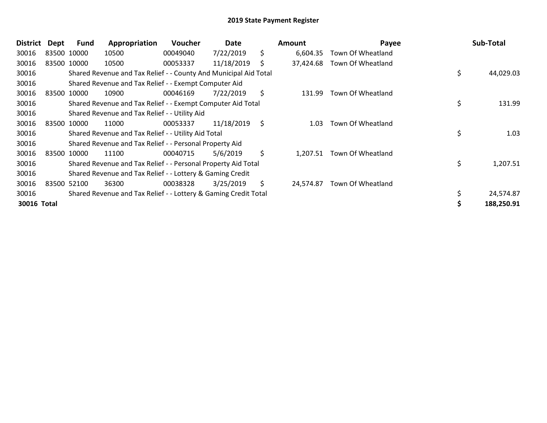| <b>District</b> | Dept | <b>Fund</b> | Appropriation                                                    | <b>Voucher</b> | Date       | <b>Amount</b>   | Payee                      | Sub-Total       |
|-----------------|------|-------------|------------------------------------------------------------------|----------------|------------|-----------------|----------------------------|-----------------|
| 30016           |      | 83500 10000 | 10500                                                            | 00049040       | 7/22/2019  | \$<br>6,604.35  | Town Of Wheatland          |                 |
| 30016           |      | 83500 10000 | 10500                                                            | 00053337       | 11/18/2019 | \$<br>37,424.68 | Town Of Wheatland          |                 |
| 30016           |      |             | Shared Revenue and Tax Relief - - County And Municipal Aid Total |                |            |                 |                            | \$<br>44,029.03 |
| 30016           |      |             | Shared Revenue and Tax Relief - - Exempt Computer Aid            |                |            |                 |                            |                 |
| 30016           |      | 83500 10000 | 10900                                                            | 00046169       | 7/22/2019  | \$<br>131.99    | Town Of Wheatland          |                 |
| 30016           |      |             | Shared Revenue and Tax Relief - - Exempt Computer Aid Total      |                |            |                 |                            | \$<br>131.99    |
| 30016           |      |             | Shared Revenue and Tax Relief - - Utility Aid                    |                |            |                 |                            |                 |
| 30016           |      | 83500 10000 | 11000                                                            | 00053337       | 11/18/2019 | \$<br>1.03      | Town Of Wheatland          |                 |
| 30016           |      |             | Shared Revenue and Tax Relief - - Utility Aid Total              |                |            |                 |                            | \$<br>1.03      |
| 30016           |      |             | Shared Revenue and Tax Relief - - Personal Property Aid          |                |            |                 |                            |                 |
| 30016           |      | 83500 10000 | 11100                                                            | 00040715       | 5/6/2019   | \$              | 1,207.51 Town Of Wheatland |                 |
| 30016           |      |             | Shared Revenue and Tax Relief - - Personal Property Aid Total    |                |            |                 |                            | \$<br>1,207.51  |
| 30016           |      |             | Shared Revenue and Tax Relief - - Lottery & Gaming Credit        |                |            |                 |                            |                 |
| 30016           |      | 83500 52100 | 36300                                                            | 00038328       | 3/25/2019  | \$<br>24.574.87 | Town Of Wheatland          |                 |
| 30016           |      |             | Shared Revenue and Tax Relief - - Lottery & Gaming Credit Total  |                |            |                 |                            | \$<br>24,574.87 |
| 30016 Total     |      |             |                                                                  |                |            |                 |                            | 188,250.91      |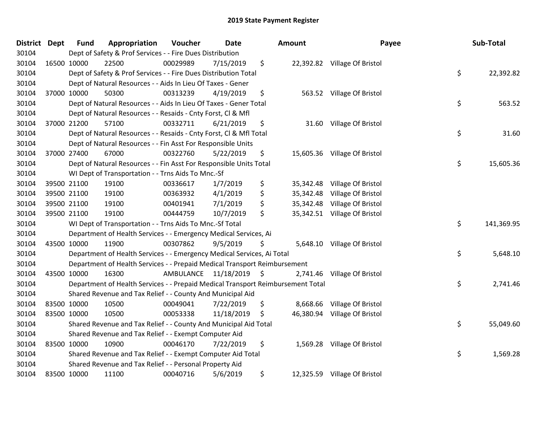| District Dept |             | <b>Fund</b> | Appropriation                                                                   | Voucher                 | <b>Date</b> | Amount          | Payee                        | Sub-Total        |
|---------------|-------------|-------------|---------------------------------------------------------------------------------|-------------------------|-------------|-----------------|------------------------------|------------------|
| 30104         |             |             | Dept of Safety & Prof Services - - Fire Dues Distribution                       |                         |             |                 |                              |                  |
| 30104         | 16500 10000 |             | 22500                                                                           | 00029989                | 7/15/2019   | \$              | 22,392.82 Village Of Bristol |                  |
| 30104         |             |             | Dept of Safety & Prof Services - - Fire Dues Distribution Total                 |                         |             |                 |                              | \$<br>22,392.82  |
| 30104         |             |             | Dept of Natural Resources - - Aids In Lieu Of Taxes - Gener                     |                         |             |                 |                              |                  |
| 30104         |             | 37000 10000 | 50300                                                                           | 00313239                | 4/19/2019   | \$              | 563.52 Village Of Bristol    |                  |
| 30104         |             |             | Dept of Natural Resources - - Aids In Lieu Of Taxes - Gener Total               |                         |             |                 |                              | \$<br>563.52     |
| 30104         |             |             | Dept of Natural Resources - - Resaids - Cnty Forst, Cl & Mfl                    |                         |             |                 |                              |                  |
| 30104         |             | 37000 21200 | 57100                                                                           | 00332711                | 6/21/2019   | \$              | 31.60 Village Of Bristol     |                  |
| 30104         |             |             | Dept of Natural Resources - - Resaids - Cnty Forst, Cl & Mfl Total              |                         |             |                 |                              | \$<br>31.60      |
| 30104         |             |             | Dept of Natural Resources - - Fin Asst For Responsible Units                    |                         |             |                 |                              |                  |
| 30104         |             | 37000 27400 | 67000                                                                           | 00322760                | 5/22/2019   | \$              | 15,605.36 Village Of Bristol |                  |
| 30104         |             |             | Dept of Natural Resources - - Fin Asst For Responsible Units Total              |                         |             |                 |                              | \$<br>15,605.36  |
| 30104         |             |             | WI Dept of Transportation - - Trns Aids To Mnc.-Sf                              |                         |             |                 |                              |                  |
| 30104         |             | 39500 21100 | 19100                                                                           | 00336617                | 1/7/2019    | \$<br>35,342.48 | Village Of Bristol           |                  |
| 30104         |             | 39500 21100 | 19100                                                                           | 00363932                | 4/1/2019    | \$<br>35,342.48 | Village Of Bristol           |                  |
| 30104         |             | 39500 21100 | 19100                                                                           | 00401941                | 7/1/2019    | \$              | 35,342.48 Village Of Bristol |                  |
| 30104         |             | 39500 21100 | 19100                                                                           | 00444759                | 10/7/2019   | \$              | 35,342.51 Village Of Bristol |                  |
| 30104         |             |             | WI Dept of Transportation - - Trns Aids To Mnc.-Sf Total                        |                         |             |                 |                              | \$<br>141,369.95 |
| 30104         |             |             | Department of Health Services - - Emergency Medical Services, Ai                |                         |             |                 |                              |                  |
| 30104         | 43500 10000 |             | 11900                                                                           | 00307862                | 9/5/2019    | \$              | 5,648.10 Village Of Bristol  |                  |
| 30104         |             |             | Department of Health Services - - Emergency Medical Services, Ai Total          |                         |             |                 |                              | \$<br>5,648.10   |
| 30104         |             |             | Department of Health Services - - Prepaid Medical Transport Reimbursement       |                         |             |                 |                              |                  |
| 30104         | 43500 10000 |             | 16300                                                                           | AMBULANCE 11/18/2019 \$ |             |                 | 2,741.46 Village Of Bristol  |                  |
| 30104         |             |             | Department of Health Services - - Prepaid Medical Transport Reimbursement Total |                         |             |                 |                              | \$<br>2,741.46   |
| 30104         |             |             | Shared Revenue and Tax Relief - - County And Municipal Aid                      |                         |             |                 |                              |                  |
| 30104         | 83500 10000 |             | 10500                                                                           | 00049041                | 7/22/2019   | \$              | 8,668.66 Village Of Bristol  |                  |
| 30104         | 83500 10000 |             | 10500                                                                           | 00053338                | 11/18/2019  | \$              | 46,380.94 Village Of Bristol |                  |
| 30104         |             |             | Shared Revenue and Tax Relief - - County And Municipal Aid Total                |                         |             |                 |                              | \$<br>55,049.60  |
| 30104         |             |             | Shared Revenue and Tax Relief - - Exempt Computer Aid                           |                         |             |                 |                              |                  |
| 30104         | 83500 10000 |             | 10900                                                                           | 00046170                | 7/22/2019   | \$              | 1,569.28 Village Of Bristol  |                  |
| 30104         |             |             | Shared Revenue and Tax Relief - - Exempt Computer Aid Total                     |                         |             |                 |                              | \$<br>1,569.28   |
| 30104         |             |             | Shared Revenue and Tax Relief - - Personal Property Aid                         |                         |             |                 |                              |                  |
| 30104         | 83500 10000 |             | 11100                                                                           | 00040716                | 5/6/2019    | \$              | 12,325.59 Village Of Bristol |                  |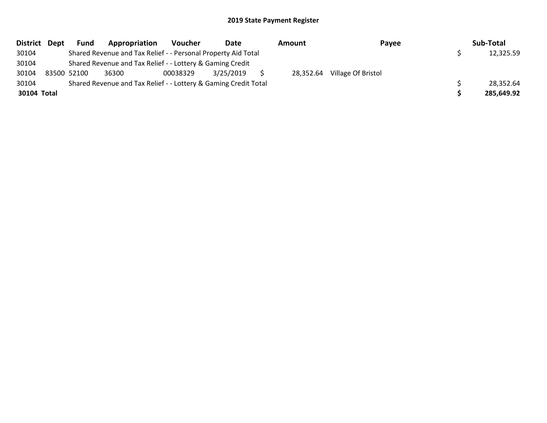|             | District Dept | <b>Fund</b> | Appropriation                                                   | Voucher  | Date      | Amount    | Payee              | Sub-Total  |
|-------------|---------------|-------------|-----------------------------------------------------------------|----------|-----------|-----------|--------------------|------------|
| 30104       |               |             | Shared Revenue and Tax Relief - - Personal Property Aid Total   |          |           |           |                    | 12,325.59  |
| 30104       |               |             | Shared Revenue and Tax Relief - - Lottery & Gaming Credit       |          |           |           |                    |            |
| 30104       |               | 83500 52100 | 36300                                                           | 00038329 | 3/25/2019 | 28,352.64 | Village Of Bristol |            |
| 30104       |               |             | Shared Revenue and Tax Relief - - Lottery & Gaming Credit Total |          |           |           |                    | 28,352.64  |
| 30104 Total |               |             |                                                                 |          |           |           |                    | 285,649.92 |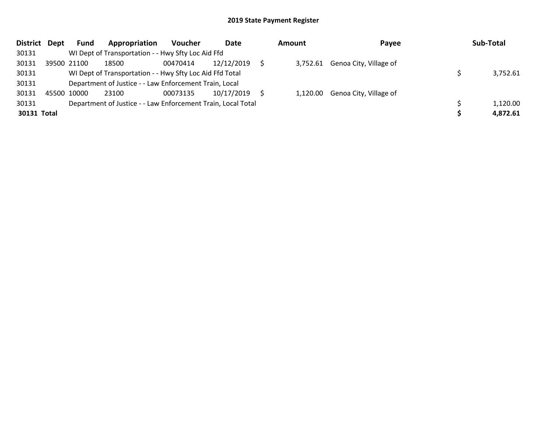|             | District Dept | Fund        | Appropriation                                                | <b>Voucher</b> | Date       | Amount | Payee                           | Sub-Total |
|-------------|---------------|-------------|--------------------------------------------------------------|----------------|------------|--------|---------------------------------|-----------|
| 30131       |               |             | WI Dept of Transportation - - Hwy Sfty Loc Aid Ffd           |                |            |        |                                 |           |
| 30131       |               | 39500 21100 | 18500                                                        | 00470414       | 12/12/2019 |        | 3,752.61 Genoa City, Village of |           |
| 30131       |               |             | WI Dept of Transportation - - Hwy Sfty Loc Aid Ffd Total     |                |            |        |                                 | 3,752.61  |
| 30131       |               |             | Department of Justice - - Law Enforcement Train, Local       |                |            |        |                                 |           |
| 30131       | 45500 10000   |             | 23100                                                        | 00073135       | 10/17/2019 |        | 1,120.00 Genoa City, Village of |           |
| 30131       |               |             | Department of Justice - - Law Enforcement Train, Local Total |                |            |        |                                 | 1,120.00  |
| 30131 Total |               |             |                                                              |                |            |        |                                 | 4,872.61  |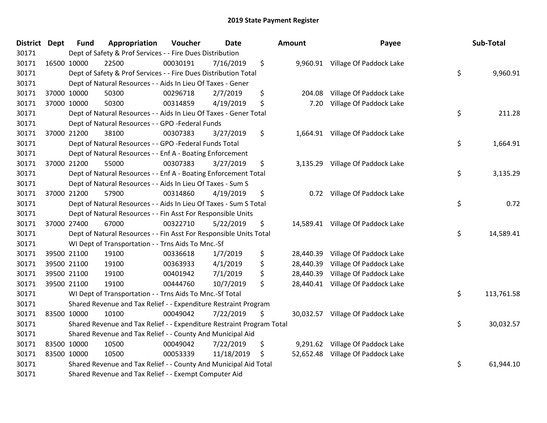| <b>District Dept</b> | <b>Fund</b> | Appropriation                                                         | Voucher  | <b>Date</b> | Amount          | Payee                             | Sub-Total        |
|----------------------|-------------|-----------------------------------------------------------------------|----------|-------------|-----------------|-----------------------------------|------------------|
| 30171                |             | Dept of Safety & Prof Services - - Fire Dues Distribution             |          |             |                 |                                   |                  |
| 30171                | 16500 10000 | 22500                                                                 | 00030191 | 7/16/2019   | \$              | 9,960.91 Village Of Paddock Lake  |                  |
| 30171                |             | Dept of Safety & Prof Services - - Fire Dues Distribution Total       |          |             |                 |                                   | \$<br>9,960.91   |
| 30171                |             | Dept of Natural Resources - - Aids In Lieu Of Taxes - Gener           |          |             |                 |                                   |                  |
| 30171                | 37000 10000 | 50300                                                                 | 00296718 | 2/7/2019    | \$<br>204.08    | Village Of Paddock Lake           |                  |
| 30171                | 37000 10000 | 50300                                                                 | 00314859 | 4/19/2019   | \$<br>7.20      | Village Of Paddock Lake           |                  |
| 30171                |             | Dept of Natural Resources - - Aids In Lieu Of Taxes - Gener Total     |          |             |                 |                                   | \$<br>211.28     |
| 30171                |             | Dept of Natural Resources - - GPO -Federal Funds                      |          |             |                 |                                   |                  |
| 30171                | 37000 21200 | 38100                                                                 | 00307383 | 3/27/2019   | \$              | 1,664.91 Village Of Paddock Lake  |                  |
| 30171                |             | Dept of Natural Resources - - GPO -Federal Funds Total                |          |             |                 |                                   | \$<br>1,664.91   |
| 30171                |             | Dept of Natural Resources - - Enf A - Boating Enforcement             |          |             |                 |                                   |                  |
| 30171                | 37000 21200 | 55000                                                                 | 00307383 | 3/27/2019   | \$              | 3,135.29 Village Of Paddock Lake  |                  |
| 30171                |             | Dept of Natural Resources - - Enf A - Boating Enforcement Total       |          |             |                 |                                   | \$<br>3,135.29   |
| 30171                |             | Dept of Natural Resources - - Aids In Lieu Of Taxes - Sum S           |          |             |                 |                                   |                  |
| 30171                | 37000 21200 | 57900                                                                 | 00314860 | 4/19/2019   | \$<br>0.72      | Village Of Paddock Lake           |                  |
| 30171                |             | Dept of Natural Resources - - Aids In Lieu Of Taxes - Sum S Total     |          |             |                 |                                   | \$<br>0.72       |
| 30171                |             | Dept of Natural Resources - - Fin Asst For Responsible Units          |          |             |                 |                                   |                  |
| 30171                | 37000 27400 | 67000                                                                 | 00322710 | 5/22/2019   | \$              | 14,589.41 Village Of Paddock Lake |                  |
| 30171                |             | Dept of Natural Resources - - Fin Asst For Responsible Units Total    |          |             |                 |                                   | \$<br>14,589.41  |
| 30171                |             | WI Dept of Transportation - - Trns Aids To Mnc.-Sf                    |          |             |                 |                                   |                  |
| 30171                | 39500 21100 | 19100                                                                 | 00336618 | 1/7/2019    | \$<br>28,440.39 | Village Of Paddock Lake           |                  |
| 30171                | 39500 21100 | 19100                                                                 | 00363933 | 4/1/2019    | \$<br>28,440.39 | Village Of Paddock Lake           |                  |
| 30171                | 39500 21100 | 19100                                                                 | 00401942 | 7/1/2019    | \$<br>28,440.39 | Village Of Paddock Lake           |                  |
| 30171                | 39500 21100 | 19100                                                                 | 00444760 | 10/7/2019   | \$<br>28,440.41 | Village Of Paddock Lake           |                  |
| 30171                |             | WI Dept of Transportation - - Trns Aids To Mnc.-Sf Total              |          |             |                 |                                   | \$<br>113,761.58 |
| 30171                |             | Shared Revenue and Tax Relief - - Expenditure Restraint Program       |          |             |                 |                                   |                  |
| 30171                | 83500 10000 | 10100                                                                 | 00049042 | 7/22/2019   | \$              | 30,032.57 Village Of Paddock Lake |                  |
| 30171                |             | Shared Revenue and Tax Relief - - Expenditure Restraint Program Total |          |             |                 |                                   | \$<br>30,032.57  |
| 30171                |             | Shared Revenue and Tax Relief - - County And Municipal Aid            |          |             |                 |                                   |                  |
| 30171                | 83500 10000 | 10500                                                                 | 00049042 | 7/22/2019   | \$              | 9,291.62 Village Of Paddock Lake  |                  |
| 30171                | 83500 10000 | 10500                                                                 | 00053339 | 11/18/2019  | \$              | 52,652.48 Village Of Paddock Lake |                  |
| 30171                |             | Shared Revenue and Tax Relief - - County And Municipal Aid Total      |          |             |                 |                                   | \$<br>61,944.10  |
| 30171                |             | Shared Revenue and Tax Relief - - Exempt Computer Aid                 |          |             |                 |                                   |                  |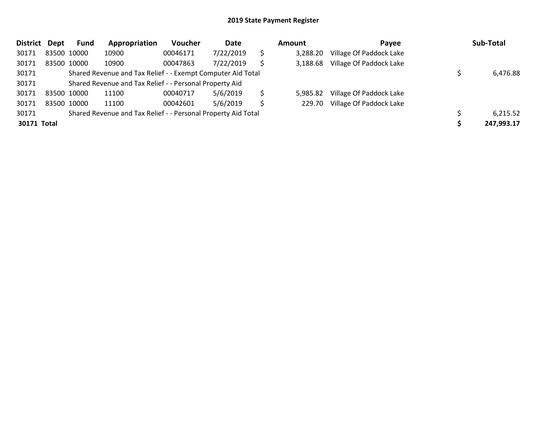| <b>District</b> | <b>Dept</b> | Fund        | Appropriation                                                 | Voucher  | Date      |    | <b>Amount</b> | Payee                   | Sub-Total  |
|-----------------|-------------|-------------|---------------------------------------------------------------|----------|-----------|----|---------------|-------------------------|------------|
| 30171           |             | 83500 10000 | 10900                                                         | 00046171 | 7/22/2019 | \$ | 3,288.20      | Village Of Paddock Lake |            |
| 30171           |             | 83500 10000 | 10900                                                         | 00047863 | 7/22/2019 |    | 3,188.68      | Village Of Paddock Lake |            |
| 30171           |             |             | Shared Revenue and Tax Relief - - Exempt Computer Aid Total   |          |           |    |               |                         | 6,476.88   |
| 30171           |             |             | Shared Revenue and Tax Relief - - Personal Property Aid       |          |           |    |               |                         |            |
| 30171           |             | 83500 10000 | 11100                                                         | 00040717 | 5/6/2019  | \$ | 5,985.82      | Village Of Paddock Lake |            |
| 30171           |             | 83500 10000 | 11100                                                         | 00042601 | 5/6/2019  | S  | 229.70        | Village Of Paddock Lake |            |
| 30171           |             |             | Shared Revenue and Tax Relief - - Personal Property Aid Total |          |           |    |               |                         | 6,215.52   |
| 30171 Total     |             |             |                                                               |          |           |    |               |                         | 247,993.17 |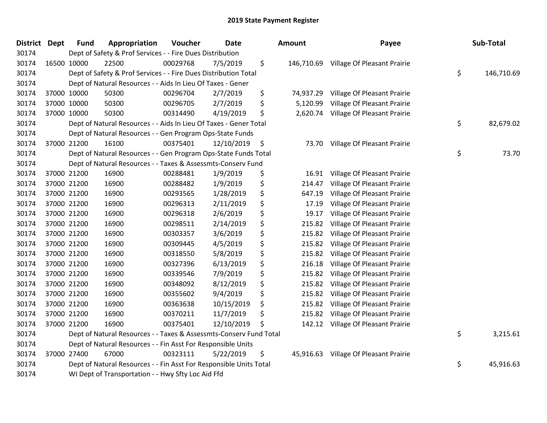| District Dept | <b>Fund</b> | Appropriation                                                      | Voucher  | <b>Date</b> | Amount          | Payee                                  | Sub-Total        |
|---------------|-------------|--------------------------------------------------------------------|----------|-------------|-----------------|----------------------------------------|------------------|
| 30174         |             | Dept of Safety & Prof Services - - Fire Dues Distribution          |          |             |                 |                                        |                  |
| 30174         | 16500 10000 | 22500                                                              | 00029768 | 7/5/2019    | \$              | 146,710.69 Village Of Pleasant Prairie |                  |
| 30174         |             | Dept of Safety & Prof Services - - Fire Dues Distribution Total    |          |             |                 |                                        | \$<br>146,710.69 |
| 30174         |             | Dept of Natural Resources - - Aids In Lieu Of Taxes - Gener        |          |             |                 |                                        |                  |
| 30174         | 37000 10000 | 50300                                                              | 00296704 | 2/7/2019    | \$<br>74,937.29 | Village Of Pleasant Prairie            |                  |
| 30174         | 37000 10000 | 50300                                                              | 00296705 | 2/7/2019    | \$<br>5,120.99  | Village Of Pleasant Prairie            |                  |
| 30174         | 37000 10000 | 50300                                                              | 00314490 | 4/19/2019   | \$<br>2,620.74  | Village Of Pleasant Prairie            |                  |
| 30174         |             | Dept of Natural Resources - - Aids In Lieu Of Taxes - Gener Total  |          |             |                 |                                        | \$<br>82,679.02  |
| 30174         |             | Dept of Natural Resources - - Gen Program Ops-State Funds          |          |             |                 |                                        |                  |
| 30174         | 37000 21200 | 16100                                                              | 00375401 | 12/10/2019  | \$<br>73.70     | Village Of Pleasant Prairie            |                  |
| 30174         |             | Dept of Natural Resources - - Gen Program Ops-State Funds Total    |          |             |                 |                                        | \$<br>73.70      |
| 30174         |             | Dept of Natural Resources - - Taxes & Assessmts-Conserv Fund       |          |             |                 |                                        |                  |
| 30174         | 37000 21200 | 16900                                                              | 00288481 | 1/9/2019    | \$<br>16.91     | Village Of Pleasant Prairie            |                  |
| 30174         | 37000 21200 | 16900                                                              | 00288482 | 1/9/2019    | \$<br>214.47    | Village Of Pleasant Prairie            |                  |
| 30174         | 37000 21200 | 16900                                                              | 00293565 | 1/28/2019   | \$<br>647.19    | Village Of Pleasant Prairie            |                  |
| 30174         | 37000 21200 | 16900                                                              | 00296313 | 2/11/2019   | \$<br>17.19     | Village Of Pleasant Prairie            |                  |
| 30174         | 37000 21200 | 16900                                                              | 00296318 | 2/6/2019    | \$<br>19.17     | Village Of Pleasant Prairie            |                  |
| 30174         | 37000 21200 | 16900                                                              | 00298511 | 2/14/2019   | \$<br>215.82    | Village Of Pleasant Prairie            |                  |
| 30174         | 37000 21200 | 16900                                                              | 00303357 | 3/6/2019    | \$<br>215.82    | Village Of Pleasant Prairie            |                  |
| 30174         | 37000 21200 | 16900                                                              | 00309445 | 4/5/2019    | \$<br>215.82    | Village Of Pleasant Prairie            |                  |
| 30174         | 37000 21200 | 16900                                                              | 00318550 | 5/8/2019    | \$<br>215.82    | Village Of Pleasant Prairie            |                  |
| 30174         | 37000 21200 | 16900                                                              | 00327396 | 6/13/2019   | \$<br>216.18    | Village Of Pleasant Prairie            |                  |
| 30174         | 37000 21200 | 16900                                                              | 00339546 | 7/9/2019    | \$<br>215.82    | Village Of Pleasant Prairie            |                  |
| 30174         | 37000 21200 | 16900                                                              | 00348092 | 8/12/2019   | \$<br>215.82    | Village Of Pleasant Prairie            |                  |
| 30174         | 37000 21200 | 16900                                                              | 00355602 | 9/4/2019    | \$<br>215.82    | Village Of Pleasant Prairie            |                  |
| 30174         | 37000 21200 | 16900                                                              | 00363638 | 10/15/2019  | \$<br>215.82    | Village Of Pleasant Prairie            |                  |
| 30174         | 37000 21200 | 16900                                                              | 00370211 | 11/7/2019   | \$<br>215.82    | Village Of Pleasant Prairie            |                  |
| 30174         | 37000 21200 | 16900                                                              | 00375401 | 12/10/2019  | \$<br>142.12    | Village Of Pleasant Prairie            |                  |
| 30174         |             | Dept of Natural Resources - - Taxes & Assessmts-Conserv Fund Total |          |             |                 |                                        | \$<br>3,215.61   |
| 30174         |             | Dept of Natural Resources - - Fin Asst For Responsible Units       |          |             |                 |                                        |                  |
| 30174         | 37000 27400 | 67000                                                              | 00323111 | 5/22/2019   | \$<br>45,916.63 | Village Of Pleasant Prairie            |                  |
| 30174         |             | Dept of Natural Resources - - Fin Asst For Responsible Units Total |          |             |                 |                                        | \$<br>45,916.63  |
| 30174         |             | WI Dept of Transportation - - Hwy Sfty Loc Aid Ffd                 |          |             |                 |                                        |                  |

| ount      | Payee                                  | Sub-Total        |
|-----------|----------------------------------------|------------------|
|           | 146,710.69 Village Of Pleasant Prairie | \$<br>146,710.69 |
| 74,937.29 | Village Of Pleasant Prairie            |                  |
| 5,120.99  | Village Of Pleasant Prairie            |                  |
| 2,620.74  | Village Of Pleasant Prairie            |                  |
|           |                                        | \$<br>82,679.02  |
| 73.70     | Village Of Pleasant Prairie            |                  |
|           |                                        | \$<br>73.70      |
| 16.91     | Village Of Pleasant Prairie            |                  |
| 214.47    | Village Of Pleasant Prairie            |                  |
| 647.19    | Village Of Pleasant Prairie            |                  |
| 17.19     | Village Of Pleasant Prairie            |                  |
| 19.17     | Village Of Pleasant Prairie            |                  |
| 215.82    | Village Of Pleasant Prairie            |                  |
| 215.82    | Village Of Pleasant Prairie            |                  |
| 215.82    | Village Of Pleasant Prairie            |                  |
| 215.82    | Village Of Pleasant Prairie            |                  |
| 216.18    | Village Of Pleasant Prairie            |                  |
| 215.82    | Village Of Pleasant Prairie            |                  |
| 215.82    | Village Of Pleasant Prairie            |                  |
| 215.82    | Village Of Pleasant Prairie            |                  |
| 215.82    | Village Of Pleasant Prairie            |                  |
| 215.82    | Village Of Pleasant Prairie            |                  |
| 142.12    | Village Of Pleasant Prairie            |                  |
|           |                                        | \$<br>3,215.61   |
| 45,916.63 | Village Of Pleasant Prairie            |                  |
|           |                                        | \$<br>45,916.63  |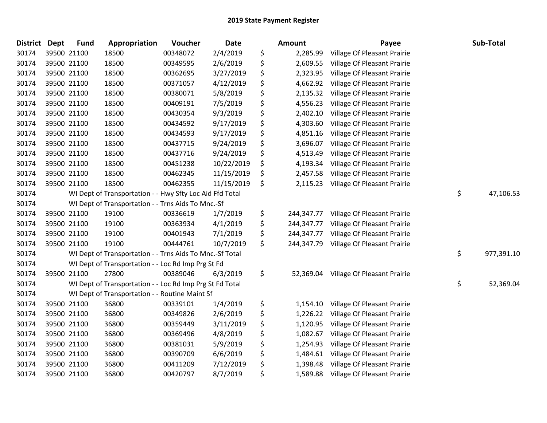| <b>District</b> | <b>Dept</b> | <b>Fund</b> | Appropriation                                            | Voucher  | <b>Date</b> | <b>Amount</b>    | Payee                       | Sub-Total        |
|-----------------|-------------|-------------|----------------------------------------------------------|----------|-------------|------------------|-----------------------------|------------------|
| 30174           |             | 39500 21100 | 18500                                                    | 00348072 | 2/4/2019    | \$<br>2,285.99   | Village Of Pleasant Prairie |                  |
| 30174           |             | 39500 21100 | 18500                                                    | 00349595 | 2/6/2019    | \$<br>2,609.55   | Village Of Pleasant Prairie |                  |
| 30174           |             | 39500 21100 | 18500                                                    | 00362695 | 3/27/2019   | \$<br>2,323.95   | Village Of Pleasant Prairie |                  |
| 30174           |             | 39500 21100 | 18500                                                    | 00371057 | 4/12/2019   | \$<br>4,662.92   | Village Of Pleasant Prairie |                  |
| 30174           |             | 39500 21100 | 18500                                                    | 00380071 | 5/8/2019    | \$<br>2,135.32   | Village Of Pleasant Prairie |                  |
| 30174           |             | 39500 21100 | 18500                                                    | 00409191 | 7/5/2019    | \$<br>4,556.23   | Village Of Pleasant Prairie |                  |
| 30174           |             | 39500 21100 | 18500                                                    | 00430354 | 9/3/2019    | \$<br>2,402.10   | Village Of Pleasant Prairie |                  |
| 30174           |             | 39500 21100 | 18500                                                    | 00434592 | 9/17/2019   | \$<br>4,303.60   | Village Of Pleasant Prairie |                  |
| 30174           |             | 39500 21100 | 18500                                                    | 00434593 | 9/17/2019   | \$<br>4,851.16   | Village Of Pleasant Prairie |                  |
| 30174           |             | 39500 21100 | 18500                                                    | 00437715 | 9/24/2019   | \$<br>3,696.07   | Village Of Pleasant Prairie |                  |
| 30174           |             | 39500 21100 | 18500                                                    | 00437716 | 9/24/2019   | \$<br>4,513.49   | Village Of Pleasant Prairie |                  |
| 30174           |             | 39500 21100 | 18500                                                    | 00451238 | 10/22/2019  | \$<br>4,193.34   | Village Of Pleasant Prairie |                  |
| 30174           |             | 39500 21100 | 18500                                                    | 00462345 | 11/15/2019  | \$<br>2,457.58   | Village Of Pleasant Prairie |                  |
| 30174           |             | 39500 21100 | 18500                                                    | 00462355 | 11/15/2019  | \$<br>2,115.23   | Village Of Pleasant Prairie |                  |
| 30174           |             |             | WI Dept of Transportation - - Hwy Sfty Loc Aid Ffd Total |          |             |                  |                             | \$<br>47,106.53  |
| 30174           |             |             | WI Dept of Transportation - - Trns Aids To Mnc.-Sf       |          |             |                  |                             |                  |
| 30174           |             | 39500 21100 | 19100                                                    | 00336619 | 1/7/2019    | \$<br>244,347.77 | Village Of Pleasant Prairie |                  |
| 30174           |             | 39500 21100 | 19100                                                    | 00363934 | 4/1/2019    | \$<br>244,347.77 | Village Of Pleasant Prairie |                  |
| 30174           |             | 39500 21100 | 19100                                                    | 00401943 | 7/1/2019    | \$<br>244,347.77 | Village Of Pleasant Prairie |                  |
| 30174           |             | 39500 21100 | 19100                                                    | 00444761 | 10/7/2019   | \$<br>244,347.79 | Village Of Pleasant Prairie |                  |
| 30174           |             |             | WI Dept of Transportation - - Trns Aids To Mnc.-Sf Total |          |             |                  |                             | \$<br>977,391.10 |
| 30174           |             |             | WI Dept of Transportation - - Loc Rd Imp Prg St Fd       |          |             |                  |                             |                  |
| 30174           |             | 39500 21100 | 27800                                                    | 00389046 | 6/3/2019    | \$<br>52,369.04  | Village Of Pleasant Prairie |                  |
| 30174           |             |             | WI Dept of Transportation - - Loc Rd Imp Prg St Fd Total |          |             |                  |                             | \$<br>52,369.04  |
| 30174           |             |             | WI Dept of Transportation - - Routine Maint Sf           |          |             |                  |                             |                  |
| 30174           |             | 39500 21100 | 36800                                                    | 00339101 | 1/4/2019    | \$<br>1,154.10   | Village Of Pleasant Prairie |                  |
| 30174           |             | 39500 21100 | 36800                                                    | 00349826 | 2/6/2019    | \$<br>1,226.22   | Village Of Pleasant Prairie |                  |
| 30174           |             | 39500 21100 | 36800                                                    | 00359449 | 3/11/2019   | \$<br>1,120.95   | Village Of Pleasant Prairie |                  |
| 30174           |             | 39500 21100 | 36800                                                    | 00369496 | 4/8/2019    | \$<br>1,082.67   | Village Of Pleasant Prairie |                  |
| 30174           |             | 39500 21100 | 36800                                                    | 00381031 | 5/9/2019    | \$<br>1,254.93   | Village Of Pleasant Prairie |                  |
| 30174           |             | 39500 21100 | 36800                                                    | 00390709 | 6/6/2019    | \$<br>1,484.61   | Village Of Pleasant Prairie |                  |
| 30174           |             | 39500 21100 | 36800                                                    | 00411209 | 7/12/2019   | \$<br>1,398.48   | Village Of Pleasant Prairie |                  |
| 30174           |             | 39500 21100 | 36800                                                    | 00420797 | 8/7/2019    | \$<br>1,589.88   | Village Of Pleasant Prairie |                  |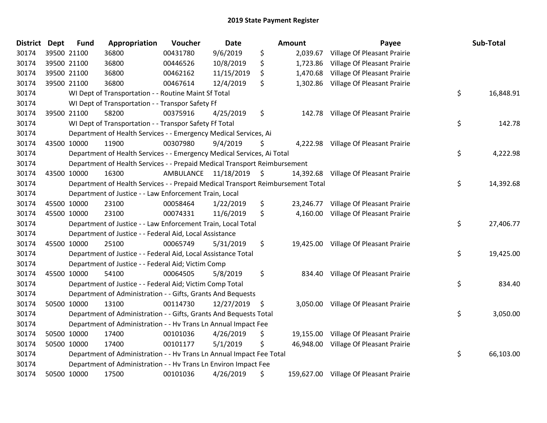| District Dept | <b>Fund</b> | Appropriation                                                                   | Voucher   | <b>Date</b>   |    | <b>Amount</b> | Payee                                  | Sub-Total       |
|---------------|-------------|---------------------------------------------------------------------------------|-----------|---------------|----|---------------|----------------------------------------|-----------------|
| 30174         | 39500 21100 | 36800                                                                           | 00431780  | 9/6/2019      | \$ | 2,039.67      | Village Of Pleasant Prairie            |                 |
| 30174         | 39500 21100 | 36800                                                                           | 00446526  | 10/8/2019     | \$ | 1,723.86      | Village Of Pleasant Prairie            |                 |
| 30174         | 39500 21100 | 36800                                                                           | 00462162  | 11/15/2019    | \$ | 1,470.68      | Village Of Pleasant Prairie            |                 |
| 30174         | 39500 21100 | 36800                                                                           | 00467614  | 12/4/2019     | \$ | 1,302.86      | Village Of Pleasant Prairie            |                 |
| 30174         |             | WI Dept of Transportation - - Routine Maint Sf Total                            |           |               |    |               |                                        | \$<br>16,848.91 |
| 30174         |             | WI Dept of Transportation - - Transpor Safety Ff                                |           |               |    |               |                                        |                 |
| 30174         | 39500 21100 | 58200                                                                           | 00375916  | 4/25/2019     | \$ | 142.78        | Village Of Pleasant Prairie            |                 |
| 30174         |             | WI Dept of Transportation - - Transpor Safety Ff Total                          |           |               |    |               |                                        | \$<br>142.78    |
| 30174         |             | Department of Health Services - - Emergency Medical Services, Ai                |           |               |    |               |                                        |                 |
| 30174         | 43500 10000 | 11900                                                                           | 00307980  | 9/4/2019      | S  |               | 4,222.98 Village Of Pleasant Prairie   |                 |
| 30174         |             | Department of Health Services - - Emergency Medical Services, Ai Total          |           |               |    |               |                                        | \$<br>4,222.98  |
| 30174         |             | Department of Health Services - - Prepaid Medical Transport Reimbursement       |           |               |    |               |                                        |                 |
| 30174         | 43500 10000 | 16300                                                                           | AMBULANCE | 11/18/2019 \$ |    |               | 14,392.68 Village Of Pleasant Prairie  |                 |
| 30174         |             | Department of Health Services - - Prepaid Medical Transport Reimbursement Total |           |               |    |               |                                        | \$<br>14,392.68 |
| 30174         |             | Department of Justice - - Law Enforcement Train, Local                          |           |               |    |               |                                        |                 |
| 30174         | 45500 10000 | 23100                                                                           | 00058464  | 1/22/2019     | \$ | 23,246.77     | Village Of Pleasant Prairie            |                 |
| 30174         | 45500 10000 | 23100                                                                           | 00074331  | 11/6/2019     | \$ |               | 4,160.00 Village Of Pleasant Prairie   |                 |
| 30174         |             | Department of Justice - - Law Enforcement Train, Local Total                    |           |               |    |               |                                        | \$<br>27,406.77 |
| 30174         |             | Department of Justice - - Federal Aid, Local Assistance                         |           |               |    |               |                                        |                 |
| 30174         | 45500 10000 | 25100                                                                           | 00065749  | 5/31/2019     | \$ |               | 19,425.00 Village Of Pleasant Prairie  |                 |
| 30174         |             | Department of Justice - - Federal Aid, Local Assistance Total                   |           |               |    |               |                                        | \$<br>19,425.00 |
| 30174         |             | Department of Justice - - Federal Aid; Victim Comp                              |           |               |    |               |                                        |                 |
| 30174         | 45500 10000 | 54100                                                                           | 00064505  | 5/8/2019      | \$ |               | 834.40 Village Of Pleasant Prairie     |                 |
| 30174         |             | Department of Justice - - Federal Aid; Victim Comp Total                        |           |               |    |               |                                        | \$<br>834.40    |
| 30174         |             | Department of Administration - - Gifts, Grants And Bequests                     |           |               |    |               |                                        |                 |
| 30174         | 50500 10000 | 13100                                                                           | 00114730  | 12/27/2019    | \$ | 3,050.00      | Village Of Pleasant Prairie            |                 |
| 30174         |             | Department of Administration - - Gifts, Grants And Bequests Total               |           |               |    |               |                                        | \$<br>3,050.00  |
| 30174         |             | Department of Administration - - Hv Trans Ln Annual Impact Fee                  |           |               |    |               |                                        |                 |
| 30174         | 50500 10000 | 17400                                                                           | 00101036  | 4/26/2019     | \$ | 19,155.00     | Village Of Pleasant Prairie            |                 |
| 30174         | 50500 10000 | 17400                                                                           | 00101177  | 5/1/2019      | S  | 46,948.00     | Village Of Pleasant Prairie            |                 |
| 30174         |             | Department of Administration - - Hv Trans Ln Annual Impact Fee Total            |           |               |    |               |                                        | \$<br>66,103.00 |
| 30174         |             | Department of Administration - - Hv Trans Ln Environ Impact Fee                 |           |               |    |               |                                        |                 |
| 30174         | 50500 10000 | 17500                                                                           | 00101036  | 4/26/2019     | \$ |               | 159,627.00 Village Of Pleasant Prairie |                 |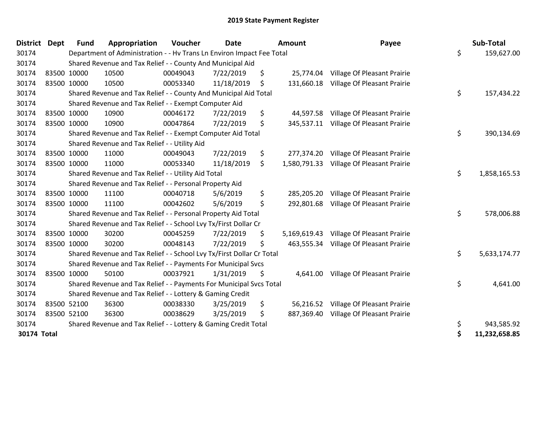| <b>District</b> | <b>Dept</b> | <b>Fund</b> | Appropriation                                                         | Voucher  | <b>Date</b> | <b>Amount</b>      | Payee                       | Sub-Total          |
|-----------------|-------------|-------------|-----------------------------------------------------------------------|----------|-------------|--------------------|-----------------------------|--------------------|
| 30174           |             |             | Department of Administration - - Hv Trans Ln Environ Impact Fee Total |          |             |                    |                             | \$<br>159,627.00   |
| 30174           |             |             | Shared Revenue and Tax Relief - - County And Municipal Aid            |          |             |                    |                             |                    |
| 30174           |             | 83500 10000 | 10500                                                                 | 00049043 | 7/22/2019   | \$<br>25,774.04    | Village Of Pleasant Prairie |                    |
| 30174           | 83500 10000 |             | 10500                                                                 | 00053340 | 11/18/2019  | \$<br>131,660.18   | Village Of Pleasant Prairie |                    |
| 30174           |             |             | Shared Revenue and Tax Relief - - County And Municipal Aid Total      |          |             |                    |                             | \$<br>157,434.22   |
| 30174           |             |             | Shared Revenue and Tax Relief - - Exempt Computer Aid                 |          |             |                    |                             |                    |
| 30174           |             | 83500 10000 | 10900                                                                 | 00046172 | 7/22/2019   | \$<br>44,597.58    | Village Of Pleasant Prairie |                    |
| 30174           | 83500 10000 |             | 10900                                                                 | 00047864 | 7/22/2019   | \$<br>345,537.11   | Village Of Pleasant Prairie |                    |
| 30174           |             |             | Shared Revenue and Tax Relief - - Exempt Computer Aid Total           |          |             |                    |                             | \$<br>390,134.69   |
| 30174           |             |             | Shared Revenue and Tax Relief - - Utility Aid                         |          |             |                    |                             |                    |
| 30174           |             | 83500 10000 | 11000                                                                 | 00049043 | 7/22/2019   | \$<br>277,374.20   | Village Of Pleasant Prairie |                    |
| 30174           | 83500 10000 |             | 11000                                                                 | 00053340 | 11/18/2019  | \$<br>1,580,791.33 | Village Of Pleasant Prairie |                    |
| 30174           |             |             | Shared Revenue and Tax Relief - - Utility Aid Total                   |          |             |                    |                             | \$<br>1,858,165.53 |
| 30174           |             |             | Shared Revenue and Tax Relief - - Personal Property Aid               |          |             |                    |                             |                    |
| 30174           |             | 83500 10000 | 11100                                                                 | 00040718 | 5/6/2019    | \$<br>285,205.20   | Village Of Pleasant Prairie |                    |
| 30174           | 83500 10000 |             | 11100                                                                 | 00042602 | 5/6/2019    | \$<br>292,801.68   | Village Of Pleasant Prairie |                    |
| 30174           |             |             | Shared Revenue and Tax Relief - - Personal Property Aid Total         |          |             |                    |                             | \$<br>578,006.88   |
| 30174           |             |             | Shared Revenue and Tax Relief - - School Lvy Tx/First Dollar Cr       |          |             |                    |                             |                    |
| 30174           |             | 83500 10000 | 30200                                                                 | 00045259 | 7/22/2019   | \$<br>5,169,619.43 | Village Of Pleasant Prairie |                    |
| 30174           | 83500 10000 |             | 30200                                                                 | 00048143 | 7/22/2019   | \$<br>463,555.34   | Village Of Pleasant Prairie |                    |
| 30174           |             |             | Shared Revenue and Tax Relief - - School Lvy Tx/First Dollar Cr Total |          |             |                    |                             | \$<br>5,633,174.77 |
| 30174           |             |             | Shared Revenue and Tax Relief - - Payments For Municipal Svcs         |          |             |                    |                             |                    |
| 30174           |             | 83500 10000 | 50100                                                                 | 00037921 | 1/31/2019   | \$<br>4,641.00     | Village Of Pleasant Prairie |                    |
| 30174           |             |             | Shared Revenue and Tax Relief - - Payments For Municipal Svcs Total   |          |             |                    |                             | \$<br>4,641.00     |
| 30174           |             |             | Shared Revenue and Tax Relief - - Lottery & Gaming Credit             |          |             |                    |                             |                    |
| 30174           |             | 83500 52100 | 36300                                                                 | 00038330 | 3/25/2019   | \$<br>56,216.52    | Village Of Pleasant Prairie |                    |
| 30174           | 83500 52100 |             | 36300                                                                 | 00038629 | 3/25/2019   | \$<br>887,369.40   | Village Of Pleasant Prairie |                    |
| 30174           |             |             | Shared Revenue and Tax Relief - - Lottery & Gaming Credit Total       |          |             |                    |                             | \$<br>943,585.92   |
| 30174 Total     |             |             |                                                                       |          |             |                    |                             | 11,232,658.85      |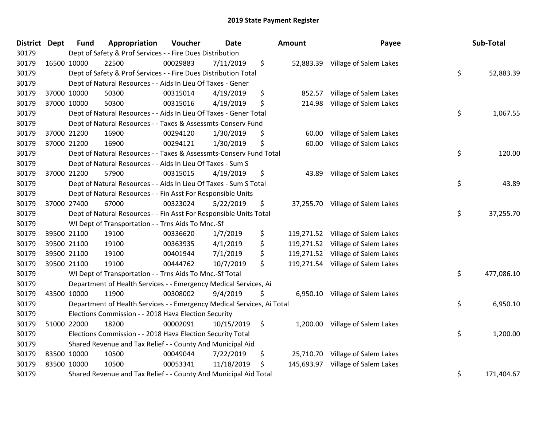| District Dept |             | <b>Fund</b> | Appropriation                                                          | Voucher  | <b>Date</b> | Amount           | Payee                             | Sub-Total        |
|---------------|-------------|-------------|------------------------------------------------------------------------|----------|-------------|------------------|-----------------------------------|------------------|
| 30179         |             |             | Dept of Safety & Prof Services - - Fire Dues Distribution              |          |             |                  |                                   |                  |
| 30179         | 16500 10000 |             | 22500                                                                  | 00029883 | 7/11/2019   | \$               | 52,883.39 Village of Salem Lakes  |                  |
| 30179         |             |             | Dept of Safety & Prof Services - - Fire Dues Distribution Total        |          |             |                  |                                   | \$<br>52,883.39  |
| 30179         |             |             | Dept of Natural Resources - - Aids In Lieu Of Taxes - Gener            |          |             |                  |                                   |                  |
| 30179         | 37000 10000 |             | 50300                                                                  | 00315014 | 4/19/2019   | \$<br>852.57     | Village of Salem Lakes            |                  |
| 30179         | 37000 10000 |             | 50300                                                                  | 00315016 | 4/19/2019   | \$<br>214.98     | Village of Salem Lakes            |                  |
| 30179         |             |             | Dept of Natural Resources - - Aids In Lieu Of Taxes - Gener Total      |          |             |                  |                                   | \$<br>1,067.55   |
| 30179         |             |             | Dept of Natural Resources - - Taxes & Assessmts-Conserv Fund           |          |             |                  |                                   |                  |
| 30179         | 37000 21200 |             | 16900                                                                  | 00294120 | 1/30/2019   | \$<br>60.00      | Village of Salem Lakes            |                  |
| 30179         | 37000 21200 |             | 16900                                                                  | 00294121 | 1/30/2019   | \$<br>60.00      | Village of Salem Lakes            |                  |
| 30179         |             |             | Dept of Natural Resources - - Taxes & Assessmts-Conserv Fund Total     |          |             |                  |                                   | \$<br>120.00     |
| 30179         |             |             | Dept of Natural Resources - - Aids In Lieu Of Taxes - Sum S            |          |             |                  |                                   |                  |
| 30179         | 37000 21200 |             | 57900                                                                  | 00315015 | 4/19/2019   | \$               | 43.89 Village of Salem Lakes      |                  |
| 30179         |             |             | Dept of Natural Resources - - Aids In Lieu Of Taxes - Sum S Total      |          |             |                  |                                   | \$<br>43.89      |
| 30179         |             |             | Dept of Natural Resources - - Fin Asst For Responsible Units           |          |             |                  |                                   |                  |
| 30179         | 37000 27400 |             | 67000                                                                  | 00323024 | 5/22/2019   | \$               | 37,255.70 Village of Salem Lakes  |                  |
| 30179         |             |             | Dept of Natural Resources - - Fin Asst For Responsible Units Total     |          |             |                  |                                   | \$<br>37,255.70  |
| 30179         |             |             | WI Dept of Transportation - - Trns Aids To Mnc.-Sf                     |          |             |                  |                                   |                  |
| 30179         | 39500 21100 |             | 19100                                                                  | 00336620 | 1/7/2019    | \$               | 119,271.52 Village of Salem Lakes |                  |
| 30179         | 39500 21100 |             | 19100                                                                  | 00363935 | 4/1/2019    | \$<br>119,271.52 | Village of Salem Lakes            |                  |
| 30179         | 39500 21100 |             | 19100                                                                  | 00401944 | 7/1/2019    | \$<br>119,271.52 | Village of Salem Lakes            |                  |
| 30179         | 39500 21100 |             | 19100                                                                  | 00444762 | 10/7/2019   | \$               | 119,271.54 Village of Salem Lakes |                  |
| 30179         |             |             | WI Dept of Transportation - - Trns Aids To Mnc.-Sf Total               |          |             |                  |                                   | \$<br>477,086.10 |
| 30179         |             |             | Department of Health Services - - Emergency Medical Services, Ai       |          |             |                  |                                   |                  |
| 30179         | 43500 10000 |             | 11900                                                                  | 00308002 | 9/4/2019    | \$<br>6,950.10   | Village of Salem Lakes            |                  |
| 30179         |             |             | Department of Health Services - - Emergency Medical Services, Ai Total |          |             |                  |                                   | \$<br>6,950.10   |
| 30179         |             |             | Elections Commission - - 2018 Hava Election Security                   |          |             |                  |                                   |                  |
| 30179         | 51000 22000 |             | 18200                                                                  | 00002091 | 10/15/2019  | \$               | 1,200.00 Village of Salem Lakes   |                  |
| 30179         |             |             | Elections Commission - - 2018 Hava Election Security Total             |          |             |                  |                                   | \$<br>1,200.00   |
| 30179         |             |             | Shared Revenue and Tax Relief - - County And Municipal Aid             |          |             |                  |                                   |                  |
| 30179         | 83500 10000 |             | 10500                                                                  | 00049044 | 7/22/2019   | \$               | 25,710.70 Village of Salem Lakes  |                  |
| 30179         | 83500 10000 |             | 10500                                                                  | 00053341 | 11/18/2019  | \$               | 145,693.97 Village of Salem Lakes |                  |
| 30179         |             |             | Shared Revenue and Tax Relief - - County And Municipal Aid Total       |          |             |                  |                                   | \$<br>171,404.67 |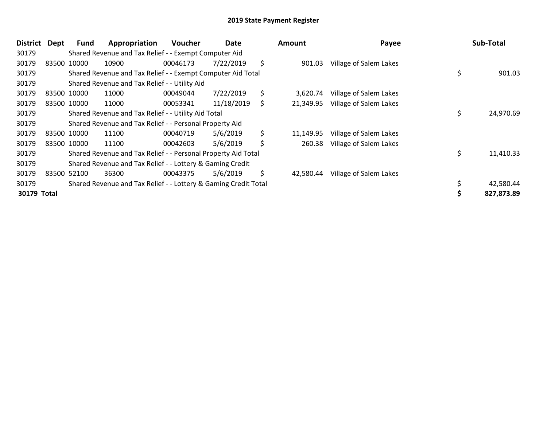| <b>District</b> | <b>Dept</b> | Fund        | Appropriation                                                   | <b>Voucher</b> | Date       | <b>Amount</b>   | Payee                  | Sub-Total       |
|-----------------|-------------|-------------|-----------------------------------------------------------------|----------------|------------|-----------------|------------------------|-----------------|
| 30179           |             |             | Shared Revenue and Tax Relief - - Exempt Computer Aid           |                |            |                 |                        |                 |
| 30179           |             | 83500 10000 | 10900                                                           | 00046173       | 7/22/2019  | \$<br>901.03    | Village of Salem Lakes |                 |
| 30179           |             |             | Shared Revenue and Tax Relief - - Exempt Computer Aid Total     |                |            |                 |                        | \$<br>901.03    |
| 30179           |             |             | Shared Revenue and Tax Relief - - Utility Aid                   |                |            |                 |                        |                 |
| 30179           |             | 83500 10000 | 11000                                                           | 00049044       | 7/22/2019  | \$<br>3.620.74  | Village of Salem Lakes |                 |
| 30179           |             | 83500 10000 | 11000                                                           | 00053341       | 11/18/2019 | \$<br>21,349.95 | Village of Salem Lakes |                 |
| 30179           |             |             | Shared Revenue and Tax Relief - - Utility Aid Total             |                |            |                 |                        | \$<br>24,970.69 |
| 30179           |             |             | Shared Revenue and Tax Relief - - Personal Property Aid         |                |            |                 |                        |                 |
| 30179           |             | 83500 10000 | 11100                                                           | 00040719       | 5/6/2019   | \$<br>11,149.95 | Village of Salem Lakes |                 |
| 30179           |             | 83500 10000 | 11100                                                           | 00042603       | 5/6/2019   | \$<br>260.38    | Village of Salem Lakes |                 |
| 30179           |             |             | Shared Revenue and Tax Relief - - Personal Property Aid Total   |                |            |                 |                        | \$<br>11,410.33 |
| 30179           |             |             | Shared Revenue and Tax Relief - - Lottery & Gaming Credit       |                |            |                 |                        |                 |
| 30179           |             | 83500 52100 | 36300                                                           | 00043375       | 5/6/2019   | \$<br>42,580.44 | Village of Salem Lakes |                 |
| 30179           |             |             | Shared Revenue and Tax Relief - - Lottery & Gaming Credit Total |                |            |                 |                        | 42,580.44       |
| 30179 Total     |             |             |                                                                 |                |            |                 |                        | 827,873.89      |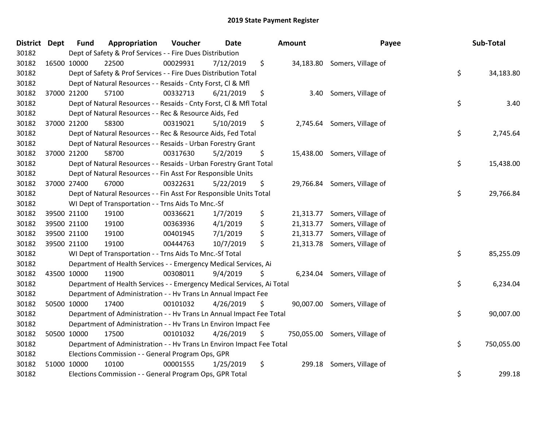| District Dept | <b>Fund</b> | Appropriation                                                          | Voucher  | <b>Date</b> | Amount          | Payee                         | Sub-Total        |
|---------------|-------------|------------------------------------------------------------------------|----------|-------------|-----------------|-------------------------------|------------------|
| 30182         |             | Dept of Safety & Prof Services - - Fire Dues Distribution              |          |             |                 |                               |                  |
| 30182         | 16500 10000 | 22500                                                                  | 00029931 | 7/12/2019   | \$              | 34,183.80 Somers, Village of  |                  |
| 30182         |             | Dept of Safety & Prof Services - - Fire Dues Distribution Total        |          |             |                 |                               | \$<br>34,183.80  |
| 30182         |             | Dept of Natural Resources - - Resaids - Cnty Forst, CI & Mfl           |          |             |                 |                               |                  |
| 30182         | 37000 21200 | 57100                                                                  | 00332713 | 6/21/2019   | \$<br>3.40      | Somers, Village of            |                  |
| 30182         |             | Dept of Natural Resources - - Resaids - Cnty Forst, CI & Mfl Total     |          |             |                 |                               | \$<br>3.40       |
| 30182         |             | Dept of Natural Resources - - Rec & Resource Aids, Fed                 |          |             |                 |                               |                  |
| 30182         | 37000 21200 | 58300                                                                  | 00319021 | 5/10/2019   | \$              | 2,745.64 Somers, Village of   |                  |
| 30182         |             | Dept of Natural Resources - - Rec & Resource Aids, Fed Total           |          |             |                 |                               | \$<br>2,745.64   |
| 30182         |             | Dept of Natural Resources - - Resaids - Urban Forestry Grant           |          |             |                 |                               |                  |
| 30182         | 37000 21200 | 58700                                                                  | 00317630 | 5/2/2019    | \$              | 15,438.00 Somers, Village of  |                  |
| 30182         |             | Dept of Natural Resources - - Resaids - Urban Forestry Grant Total     |          |             |                 |                               | \$<br>15,438.00  |
| 30182         |             | Dept of Natural Resources - - Fin Asst For Responsible Units           |          |             |                 |                               |                  |
| 30182         | 37000 27400 | 67000                                                                  | 00322631 | 5/22/2019   | \$              | 29,766.84 Somers, Village of  |                  |
| 30182         |             | Dept of Natural Resources - - Fin Asst For Responsible Units Total     |          |             |                 |                               | \$<br>29,766.84  |
| 30182         |             | WI Dept of Transportation - - Trns Aids To Mnc.-Sf                     |          |             |                 |                               |                  |
| 30182         | 39500 21100 | 19100                                                                  | 00336621 | 1/7/2019    | \$<br>21,313.77 | Somers, Village of            |                  |
| 30182         | 39500 21100 | 19100                                                                  | 00363936 | 4/1/2019    | \$              | 21,313.77 Somers, Village of  |                  |
| 30182         | 39500 21100 | 19100                                                                  | 00401945 | 7/1/2019    | \$<br>21,313.77 | Somers, Village of            |                  |
| 30182         | 39500 21100 | 19100                                                                  | 00444763 | 10/7/2019   | \$              | 21,313.78 Somers, Village of  |                  |
| 30182         |             | WI Dept of Transportation - - Trns Aids To Mnc.-Sf Total               |          |             |                 |                               | \$<br>85,255.09  |
| 30182         |             | Department of Health Services - - Emergency Medical Services, Ai       |          |             |                 |                               |                  |
| 30182         | 43500 10000 | 11900                                                                  | 00308011 | 9/4/2019    | \$              | 6,234.04 Somers, Village of   |                  |
| 30182         |             | Department of Health Services - - Emergency Medical Services, Ai Total |          |             |                 |                               | \$<br>6,234.04   |
| 30182         |             | Department of Administration - - Hv Trans Ln Annual Impact Fee         |          |             |                 |                               |                  |
| 30182         | 50500 10000 | 17400                                                                  | 00101032 | 4/26/2019   | \$              | 90,007.00 Somers, Village of  |                  |
| 30182         |             | Department of Administration - - Hv Trans Ln Annual Impact Fee Total   |          |             |                 |                               | \$<br>90,007.00  |
| 30182         |             | Department of Administration - - Hv Trans Ln Environ Impact Fee        |          |             |                 |                               |                  |
| 30182         | 50500 10000 | 17500                                                                  | 00101032 | 4/26/2019   | \$              | 750,055.00 Somers, Village of |                  |
| 30182         |             | Department of Administration - - Hv Trans Ln Environ Impact Fee Total  |          |             |                 |                               | \$<br>750,055.00 |
| 30182         |             | Elections Commission - - General Program Ops, GPR                      |          |             |                 |                               |                  |
| 30182         | 51000 10000 | 10100                                                                  | 00001555 | 1/25/2019   | \$<br>299.18    | Somers, Village of            |                  |
| 30182         |             | Elections Commission - - General Program Ops, GPR Total                |          |             |                 |                               | \$<br>299.18     |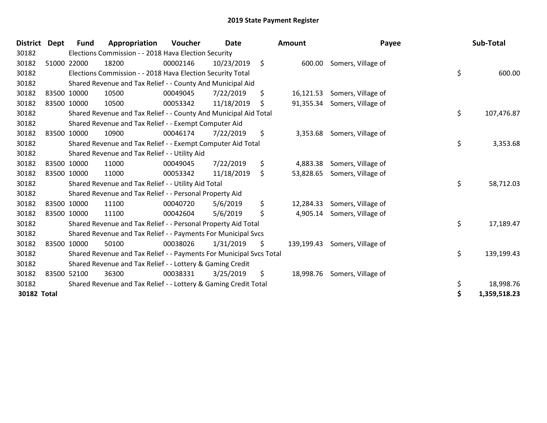| <b>District</b> | <b>Dept</b> | <b>Fund</b> | Appropriation                                                       | Voucher  | <b>Date</b> | <b>Amount</b>   | Payee                         | Sub-Total          |
|-----------------|-------------|-------------|---------------------------------------------------------------------|----------|-------------|-----------------|-------------------------------|--------------------|
| 30182           |             |             | Elections Commission - - 2018 Hava Election Security                |          |             |                 |                               |                    |
| 30182           |             | 51000 22000 | 18200                                                               | 00002146 | 10/23/2019  | \$              | 600.00 Somers, Village of     |                    |
| 30182           |             |             | Elections Commission - - 2018 Hava Election Security Total          |          |             |                 |                               | \$<br>600.00       |
| 30182           |             |             | Shared Revenue and Tax Relief - - County And Municipal Aid          |          |             |                 |                               |                    |
| 30182           |             | 83500 10000 | 10500                                                               | 00049045 | 7/22/2019   | \$<br>16,121.53 | Somers, Village of            |                    |
| 30182           |             | 83500 10000 | 10500                                                               | 00053342 | 11/18/2019  | \$              | 91,355.34 Somers, Village of  |                    |
| 30182           |             |             | Shared Revenue and Tax Relief - - County And Municipal Aid Total    |          |             |                 |                               | \$<br>107,476.87   |
| 30182           |             |             | Shared Revenue and Tax Relief - - Exempt Computer Aid               |          |             |                 |                               |                    |
| 30182           |             | 83500 10000 | 10900                                                               | 00046174 | 7/22/2019   | \$              | 3,353.68 Somers, Village of   |                    |
| 30182           |             |             | Shared Revenue and Tax Relief - - Exempt Computer Aid Total         |          |             |                 |                               | \$<br>3,353.68     |
| 30182           |             |             | Shared Revenue and Tax Relief - - Utility Aid                       |          |             |                 |                               |                    |
| 30182           |             | 83500 10000 | 11000                                                               | 00049045 | 7/22/2019   | \$<br>4,883.38  | Somers, Village of            |                    |
| 30182           |             | 83500 10000 | 11000                                                               | 00053342 | 11/18/2019  | \$              | 53,828.65 Somers, Village of  |                    |
| 30182           |             |             | Shared Revenue and Tax Relief - - Utility Aid Total                 |          |             |                 |                               | \$<br>58,712.03    |
| 30182           |             |             | Shared Revenue and Tax Relief - - Personal Property Aid             |          |             |                 |                               |                    |
| 30182           |             | 83500 10000 | 11100                                                               | 00040720 | 5/6/2019    | \$<br>12,284.33 | Somers, Village of            |                    |
| 30182           |             | 83500 10000 | 11100                                                               | 00042604 | 5/6/2019    | \$<br>4,905.14  | Somers, Village of            |                    |
| 30182           |             |             | Shared Revenue and Tax Relief - - Personal Property Aid Total       |          |             |                 |                               | \$<br>17,189.47    |
| 30182           |             |             | Shared Revenue and Tax Relief - - Payments For Municipal Svcs       |          |             |                 |                               |                    |
| 30182           |             | 83500 10000 | 50100                                                               | 00038026 | 1/31/2019   | \$              | 139,199.43 Somers, Village of |                    |
| 30182           |             |             | Shared Revenue and Tax Relief - - Payments For Municipal Svcs Total |          |             |                 |                               | \$<br>139,199.43   |
| 30182           |             |             | Shared Revenue and Tax Relief - - Lottery & Gaming Credit           |          |             |                 |                               |                    |
| 30182           |             | 83500 52100 | 36300                                                               | 00038331 | 3/25/2019   | \$              | 18,998.76 Somers, Village of  |                    |
| 30182           |             |             | Shared Revenue and Tax Relief - - Lottery & Gaming Credit Total     |          |             |                 |                               | \$<br>18,998.76    |
| 30182 Total     |             |             |                                                                     |          |             |                 |                               | \$<br>1,359,518.23 |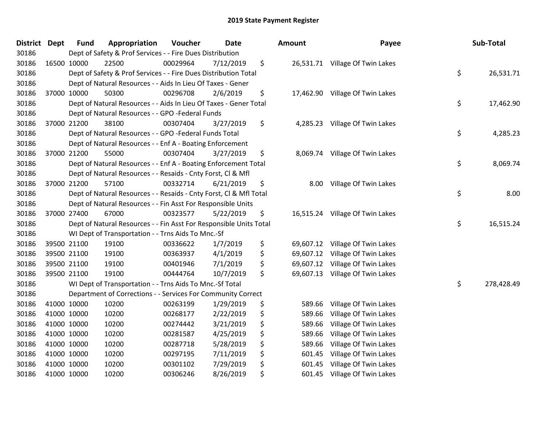| District Dept | <b>Fund</b> | Appropriation                                                      | Voucher  | <b>Date</b> | Amount          | Payee                           | Sub-Total        |
|---------------|-------------|--------------------------------------------------------------------|----------|-------------|-----------------|---------------------------------|------------------|
| 30186         |             | Dept of Safety & Prof Services - - Fire Dues Distribution          |          |             |                 |                                 |                  |
| 30186         | 16500 10000 | 22500                                                              | 00029964 | 7/12/2019   | \$              | 26,531.71 Village Of Twin Lakes |                  |
| 30186         |             | Dept of Safety & Prof Services - - Fire Dues Distribution Total    |          |             |                 |                                 | \$<br>26,531.71  |
| 30186         |             | Dept of Natural Resources - - Aids In Lieu Of Taxes - Gener        |          |             |                 |                                 |                  |
| 30186         | 37000 10000 | 50300                                                              | 00296708 | 2/6/2019    | \$              | 17,462.90 Village Of Twin Lakes |                  |
| 30186         |             | Dept of Natural Resources - - Aids In Lieu Of Taxes - Gener Total  |          |             |                 |                                 | \$<br>17,462.90  |
| 30186         |             | Dept of Natural Resources - - GPO -Federal Funds                   |          |             |                 |                                 |                  |
| 30186         | 37000 21200 | 38100                                                              | 00307404 | 3/27/2019   | \$<br>4,285.23  | Village Of Twin Lakes           |                  |
| 30186         |             | Dept of Natural Resources - - GPO -Federal Funds Total             |          |             |                 |                                 | \$<br>4,285.23   |
| 30186         |             | Dept of Natural Resources - - Enf A - Boating Enforcement          |          |             |                 |                                 |                  |
| 30186         | 37000 21200 | 55000                                                              | 00307404 | 3/27/2019   | \$              | 8,069.74 Village Of Twin Lakes  |                  |
| 30186         |             | Dept of Natural Resources - - Enf A - Boating Enforcement Total    |          |             |                 |                                 | \$<br>8,069.74   |
| 30186         |             | Dept of Natural Resources - - Resaids - Cnty Forst, Cl & Mfl       |          |             |                 |                                 |                  |
| 30186         | 37000 21200 | 57100                                                              | 00332714 | 6/21/2019   | \$<br>8.00      | Village Of Twin Lakes           |                  |
| 30186         |             | Dept of Natural Resources - - Resaids - Cnty Forst, CI & Mfl Total |          |             |                 |                                 | \$<br>8.00       |
| 30186         |             | Dept of Natural Resources - - Fin Asst For Responsible Units       |          |             |                 |                                 |                  |
| 30186         | 37000 27400 | 67000                                                              | 00323577 | 5/22/2019   | \$              | 16,515.24 Village Of Twin Lakes |                  |
| 30186         |             | Dept of Natural Resources - - Fin Asst For Responsible Units Total |          |             |                 |                                 | \$<br>16,515.24  |
| 30186         |             | WI Dept of Transportation - - Trns Aids To Mnc.-Sf                 |          |             |                 |                                 |                  |
| 30186         | 39500 21100 | 19100                                                              | 00336622 | 1/7/2019    | \$<br>69,607.12 | Village Of Twin Lakes           |                  |
| 30186         | 39500 21100 | 19100                                                              | 00363937 | 4/1/2019    | \$<br>69,607.12 | Village Of Twin Lakes           |                  |
| 30186         | 39500 21100 | 19100                                                              | 00401946 | 7/1/2019    | \$<br>69,607.12 | Village Of Twin Lakes           |                  |
| 30186         | 39500 21100 | 19100                                                              | 00444764 | 10/7/2019   | \$<br>69,607.13 | Village Of Twin Lakes           |                  |
| 30186         |             | WI Dept of Transportation - - Trns Aids To Mnc .- Sf Total         |          |             |                 |                                 | \$<br>278,428.49 |
| 30186         |             | Department of Corrections - - Services For Community Correct       |          |             |                 |                                 |                  |
| 30186         | 41000 10000 | 10200                                                              | 00263199 | 1/29/2019   | \$<br>589.66    | Village Of Twin Lakes           |                  |
| 30186         | 41000 10000 | 10200                                                              | 00268177 | 2/22/2019   | \$<br>589.66    | Village Of Twin Lakes           |                  |
| 30186         | 41000 10000 | 10200                                                              | 00274442 | 3/21/2019   | \$<br>589.66    | Village Of Twin Lakes           |                  |
| 30186         | 41000 10000 | 10200                                                              | 00281587 | 4/25/2019   | \$<br>589.66    | Village Of Twin Lakes           |                  |
| 30186         | 41000 10000 | 10200                                                              | 00287718 | 5/28/2019   | \$<br>589.66    | Village Of Twin Lakes           |                  |
| 30186         | 41000 10000 | 10200                                                              | 00297195 | 7/11/2019   | \$<br>601.45    | Village Of Twin Lakes           |                  |
| 30186         | 41000 10000 | 10200                                                              | 00301102 | 7/29/2019   | \$<br>601.45    | Village Of Twin Lakes           |                  |
| 30186         | 41000 10000 | 10200                                                              | 00306246 | 8/26/2019   | \$<br>601.45    | Village Of Twin Lakes           |                  |

| nount                                                                        | Payee                                                                                                                                                                                                | Sub-Total        |
|------------------------------------------------------------------------------|------------------------------------------------------------------------------------------------------------------------------------------------------------------------------------------------------|------------------|
| 26,531.71                                                                    | Village Of Twin Lakes                                                                                                                                                                                | \$<br>26,531.71  |
| 17,462.90                                                                    | Village Of Twin Lakes                                                                                                                                                                                | \$<br>17,462.90  |
| 4,285.23                                                                     | Village Of Twin Lakes                                                                                                                                                                                | \$<br>4,285.23   |
| 8,069.74                                                                     | Village Of Twin Lakes                                                                                                                                                                                | \$<br>8,069.74   |
| 8.00                                                                         | Village Of Twin Lakes                                                                                                                                                                                | \$<br>8.00       |
|                                                                              | 16,515.24 Village Of Twin Lakes                                                                                                                                                                      | \$<br>16,515.24  |
| 69,607.12<br>69,607.12<br>69,607.12<br>69,607.13                             | Village Of Twin Lakes<br>Village Of Twin Lakes<br>Village Of Twin Lakes<br>Village Of Twin Lakes                                                                                                     | \$<br>278,428.49 |
| 589.66<br>589.66<br>589.66<br>589.66<br>589.66<br>601.45<br>601.45<br>601.45 | Village Of Twin Lakes<br>Village Of Twin Lakes<br>Village Of Twin Lakes<br>Village Of Twin Lakes<br>Village Of Twin Lakes<br>Village Of Twin Lakes<br>Village Of Twin Lakes<br>Village Of Twin Lakes |                  |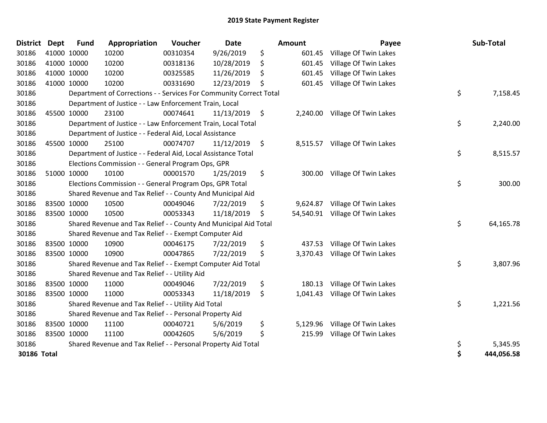| District Dept |             | <b>Fund</b> | Appropriation                                                      | Voucher  | <b>Date</b> |      | Amount    | Payee                          | Sub-Total        |
|---------------|-------------|-------------|--------------------------------------------------------------------|----------|-------------|------|-----------|--------------------------------|------------------|
| 30186         | 41000 10000 |             | 10200                                                              | 00310354 | 9/26/2019   | \$   | 601.45    | Village Of Twin Lakes          |                  |
| 30186         | 41000 10000 |             | 10200                                                              | 00318136 | 10/28/2019  | \$   | 601.45    | Village Of Twin Lakes          |                  |
| 30186         | 41000 10000 |             | 10200                                                              | 00325585 | 11/26/2019  | \$   | 601.45    | Village Of Twin Lakes          |                  |
| 30186         |             | 41000 10000 | 10200                                                              | 00331690 | 12/23/2019  | \$   | 601.45    | Village Of Twin Lakes          |                  |
| 30186         |             |             | Department of Corrections - - Services For Community Correct Total |          |             |      |           |                                | \$<br>7,158.45   |
| 30186         |             |             | Department of Justice - - Law Enforcement Train, Local             |          |             |      |           |                                |                  |
| 30186         |             | 45500 10000 | 23100                                                              | 00074641 | 11/13/2019  | - \$ |           | 2,240.00 Village Of Twin Lakes |                  |
| 30186         |             |             | Department of Justice - - Law Enforcement Train, Local Total       |          |             |      |           |                                | \$<br>2,240.00   |
| 30186         |             |             | Department of Justice - - Federal Aid, Local Assistance            |          |             |      |           |                                |                  |
| 30186         |             | 45500 10000 | 25100                                                              | 00074707 | 11/12/2019  | \$   | 8,515.57  | Village Of Twin Lakes          |                  |
| 30186         |             |             | Department of Justice - - Federal Aid, Local Assistance Total      |          |             |      |           |                                | \$<br>8,515.57   |
| 30186         |             |             | Elections Commission - - General Program Ops, GPR                  |          |             |      |           |                                |                  |
| 30186         |             | 51000 10000 | 10100                                                              | 00001570 | 1/25/2019   | \$   | 300.00    | Village Of Twin Lakes          |                  |
| 30186         |             |             | Elections Commission - - General Program Ops, GPR Total            |          |             |      |           |                                | \$<br>300.00     |
| 30186         |             |             | Shared Revenue and Tax Relief - - County And Municipal Aid         |          |             |      |           |                                |                  |
| 30186         |             | 83500 10000 | 10500                                                              | 00049046 | 7/22/2019   | \$   | 9,624.87  | Village Of Twin Lakes          |                  |
| 30186         | 83500 10000 |             | 10500                                                              | 00053343 | 11/18/2019  | \$   | 54,540.91 | Village Of Twin Lakes          |                  |
| 30186         |             |             | Shared Revenue and Tax Relief - - County And Municipal Aid Total   |          |             |      |           |                                | \$<br>64,165.78  |
| 30186         |             |             | Shared Revenue and Tax Relief - - Exempt Computer Aid              |          |             |      |           |                                |                  |
| 30186         | 83500 10000 |             | 10900                                                              | 00046175 | 7/22/2019   | \$   | 437.53    | Village Of Twin Lakes          |                  |
| 30186         | 83500 10000 |             | 10900                                                              | 00047865 | 7/22/2019   | \$   | 3,370.43  | Village Of Twin Lakes          |                  |
| 30186         |             |             | Shared Revenue and Tax Relief - - Exempt Computer Aid Total        |          |             |      |           |                                | \$<br>3,807.96   |
| 30186         |             |             | Shared Revenue and Tax Relief - - Utility Aid                      |          |             |      |           |                                |                  |
| 30186         | 83500 10000 |             | 11000                                                              | 00049046 | 7/22/2019   | \$   | 180.13    | Village Of Twin Lakes          |                  |
| 30186         | 83500 10000 |             | 11000                                                              | 00053343 | 11/18/2019  | \$   | 1,041.43  | Village Of Twin Lakes          |                  |
| 30186         |             |             | Shared Revenue and Tax Relief - - Utility Aid Total                |          |             |      |           |                                | \$<br>1,221.56   |
| 30186         |             |             | Shared Revenue and Tax Relief - - Personal Property Aid            |          |             |      |           |                                |                  |
| 30186         |             | 83500 10000 | 11100                                                              | 00040721 | 5/6/2019    | \$   | 5,129.96  | Village Of Twin Lakes          |                  |
| 30186         | 83500 10000 |             | 11100                                                              | 00042605 | 5/6/2019    | \$   | 215.99    | Village Of Twin Lakes          |                  |
| 30186         |             |             | Shared Revenue and Tax Relief - - Personal Property Aid Total      |          |             |      |           |                                | \$<br>5,345.95   |
| 30186 Total   |             |             |                                                                    |          |             |      |           |                                | \$<br>444,056.58 |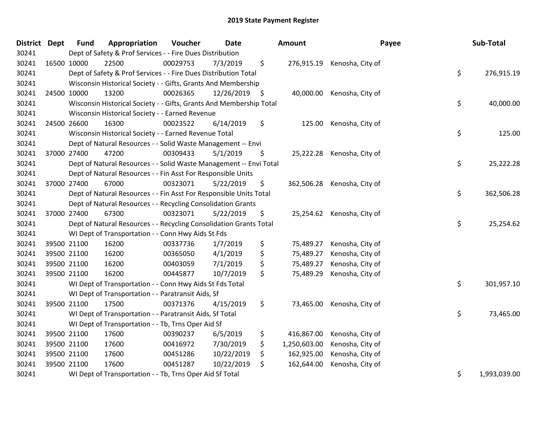| District Dept |             | <b>Fund</b> | Appropriation                                                       | Voucher  | <b>Date</b>   | Amount             | Payee                       | Sub-Total          |
|---------------|-------------|-------------|---------------------------------------------------------------------|----------|---------------|--------------------|-----------------------------|--------------------|
| 30241         |             |             | Dept of Safety & Prof Services - - Fire Dues Distribution           |          |               |                    |                             |                    |
| 30241         | 16500 10000 |             | 22500                                                               | 00029753 | 7/3/2019      | \$                 | 276,915.19 Kenosha, City of |                    |
| 30241         |             |             | Dept of Safety & Prof Services - - Fire Dues Distribution Total     |          |               |                    |                             | \$<br>276,915.19   |
| 30241         |             |             | Wisconsin Historical Society - - Gifts, Grants And Membership       |          |               |                    |                             |                    |
| 30241         | 24500 10000 |             | 13200                                                               | 00026365 | 12/26/2019 \$ | 40,000.00          | Kenosha, City of            |                    |
| 30241         |             |             | Wisconsin Historical Society - - Gifts, Grants And Membership Total |          |               |                    |                             | \$<br>40,000.00    |
| 30241         |             |             | Wisconsin Historical Society - - Earned Revenue                     |          |               |                    |                             |                    |
| 30241         | 24500 26600 |             | 16300                                                               | 00023522 | 6/14/2019     | \$<br>125.00       | Kenosha, City of            |                    |
| 30241         |             |             | Wisconsin Historical Society - - Earned Revenue Total               |          |               |                    |                             | \$<br>125.00       |
| 30241         |             |             | Dept of Natural Resources - - Solid Waste Management -- Envi        |          |               |                    |                             |                    |
| 30241         | 37000 27400 |             | 47200                                                               | 00309433 | 5/1/2019      | \$                 | 25,222.28 Kenosha, City of  |                    |
| 30241         |             |             | Dept of Natural Resources - - Solid Waste Management -- Envi Total  |          |               |                    |                             | \$<br>25,222.28    |
| 30241         |             |             | Dept of Natural Resources - - Fin Asst For Responsible Units        |          |               |                    |                             |                    |
| 30241         | 37000 27400 |             | 67000                                                               | 00323071 | 5/22/2019     | \$<br>362,506.28   | Kenosha, City of            |                    |
| 30241         |             |             | Dept of Natural Resources - - Fin Asst For Responsible Units Total  |          |               |                    |                             | \$<br>362,506.28   |
| 30241         |             |             | Dept of Natural Resources - - Recycling Consolidation Grants        |          |               |                    |                             |                    |
| 30241         | 37000 27400 |             | 67300                                                               | 00323071 | 5/22/2019     | \$<br>25,254.62    | Kenosha, City of            |                    |
| 30241         |             |             | Dept of Natural Resources - - Recycling Consolidation Grants Total  |          |               |                    |                             | \$<br>25,254.62    |
| 30241         |             |             | WI Dept of Transportation - - Conn Hwy Aids St Fds                  |          |               |                    |                             |                    |
| 30241         | 39500 21100 |             | 16200                                                               | 00337736 | 1/7/2019      | \$<br>75,489.27    | Kenosha, City of            |                    |
| 30241         | 39500 21100 |             | 16200                                                               | 00365050 | 4/1/2019      | \$<br>75,489.27    | Kenosha, City of            |                    |
| 30241         | 39500 21100 |             | 16200                                                               | 00403059 | 7/1/2019      | \$<br>75,489.27    | Kenosha, City of            |                    |
| 30241         | 39500 21100 |             | 16200                                                               | 00445877 | 10/7/2019     | \$<br>75,489.29    | Kenosha, City of            |                    |
| 30241         |             |             | WI Dept of Transportation - - Conn Hwy Aids St Fds Total            |          |               |                    |                             | \$<br>301,957.10   |
| 30241         |             |             | WI Dept of Transportation - - Paratransit Aids, Sf                  |          |               |                    |                             |                    |
| 30241         | 39500 21100 |             | 17500                                                               | 00371376 | 4/15/2019     | \$<br>73,465.00    | Kenosha, City of            |                    |
| 30241         |             |             | WI Dept of Transportation - - Paratransit Aids, Sf Total            |          |               |                    |                             | \$<br>73,465.00    |
| 30241         |             |             | WI Dept of Transportation - - Tb, Trns Oper Aid Sf                  |          |               |                    |                             |                    |
| 30241         | 39500 21100 |             | 17600                                                               | 00390237 | 6/5/2019      | \$<br>416,867.00   | Kenosha, City of            |                    |
| 30241         | 39500 21100 |             | 17600                                                               | 00416972 | 7/30/2019     | \$<br>1,250,603.00 | Kenosha, City of            |                    |
| 30241         | 39500 21100 |             | 17600                                                               | 00451286 | 10/22/2019    | \$<br>162,925.00   | Kenosha, City of            |                    |
| 30241         | 39500 21100 |             | 17600                                                               | 00451287 | 10/22/2019    | \$<br>162,644.00   | Kenosha, City of            |                    |
| 30241         |             |             | WI Dept of Transportation - - Tb, Trns Oper Aid Sf Total            |          |               |                    |                             | \$<br>1,993,039.00 |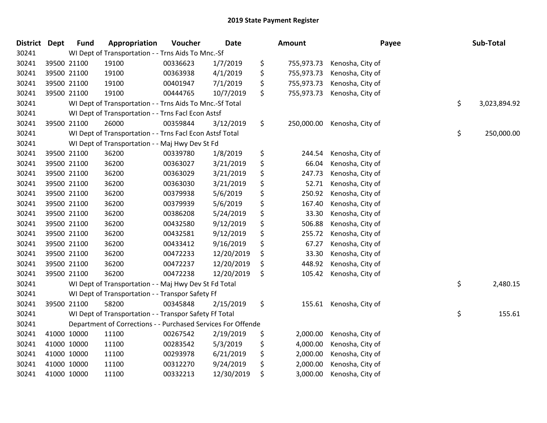| District | <b>Dept</b> | <b>Fund</b> | Appropriation                                                | Voucher  | <b>Date</b> | <b>Amount</b>    | Payee            | Sub-Total          |
|----------|-------------|-------------|--------------------------------------------------------------|----------|-------------|------------------|------------------|--------------------|
| 30241    |             |             | WI Dept of Transportation - - Trns Aids To Mnc.-Sf           |          |             |                  |                  |                    |
| 30241    |             | 39500 21100 | 19100                                                        | 00336623 | 1/7/2019    | \$<br>755,973.73 | Kenosha, City of |                    |
| 30241    |             | 39500 21100 | 19100                                                        | 00363938 | 4/1/2019    | \$<br>755,973.73 | Kenosha, City of |                    |
| 30241    |             | 39500 21100 | 19100                                                        | 00401947 | 7/1/2019    | \$<br>755,973.73 | Kenosha, City of |                    |
| 30241    |             | 39500 21100 | 19100                                                        | 00444765 | 10/7/2019   | \$<br>755,973.73 | Kenosha, City of |                    |
| 30241    |             |             | WI Dept of Transportation - - Trns Aids To Mnc.-Sf Total     |          |             |                  |                  | \$<br>3,023,894.92 |
| 30241    |             |             | WI Dept of Transportation - - Trns Facl Econ Astsf           |          |             |                  |                  |                    |
| 30241    |             | 39500 21100 | 26000                                                        | 00359844 | 3/12/2019   | \$<br>250,000.00 | Kenosha, City of |                    |
| 30241    |             |             | WI Dept of Transportation - - Trns Facl Econ Astsf Total     |          |             |                  |                  | \$<br>250,000.00   |
| 30241    |             |             | WI Dept of Transportation - - Maj Hwy Dev St Fd              |          |             |                  |                  |                    |
| 30241    |             | 39500 21100 | 36200                                                        | 00339780 | 1/8/2019    | \$<br>244.54     | Kenosha, City of |                    |
| 30241    |             | 39500 21100 | 36200                                                        | 00363027 | 3/21/2019   | \$<br>66.04      | Kenosha, City of |                    |
| 30241    |             | 39500 21100 | 36200                                                        | 00363029 | 3/21/2019   | \$<br>247.73     | Kenosha, City of |                    |
| 30241    |             | 39500 21100 | 36200                                                        | 00363030 | 3/21/2019   | \$<br>52.71      | Kenosha, City of |                    |
| 30241    |             | 39500 21100 | 36200                                                        | 00379938 | 5/6/2019    | \$<br>250.92     | Kenosha, City of |                    |
| 30241    |             | 39500 21100 | 36200                                                        | 00379939 | 5/6/2019    | \$<br>167.40     | Kenosha, City of |                    |
| 30241    |             | 39500 21100 | 36200                                                        | 00386208 | 5/24/2019   | \$<br>33.30      | Kenosha, City of |                    |
| 30241    |             | 39500 21100 | 36200                                                        | 00432580 | 9/12/2019   | \$<br>506.88     | Kenosha, City of |                    |
| 30241    |             | 39500 21100 | 36200                                                        | 00432581 | 9/12/2019   | \$<br>255.72     | Kenosha, City of |                    |
| 30241    |             | 39500 21100 | 36200                                                        | 00433412 | 9/16/2019   | \$<br>67.27      | Kenosha, City of |                    |
| 30241    |             | 39500 21100 | 36200                                                        | 00472233 | 12/20/2019  | \$<br>33.30      | Kenosha, City of |                    |
| 30241    |             | 39500 21100 | 36200                                                        | 00472237 | 12/20/2019  | \$<br>448.92     | Kenosha, City of |                    |
| 30241    |             | 39500 21100 | 36200                                                        | 00472238 | 12/20/2019  | \$<br>105.42     | Kenosha, City of |                    |
| 30241    |             |             | WI Dept of Transportation - - Maj Hwy Dev St Fd Total        |          |             |                  |                  | \$<br>2,480.15     |
| 30241    |             |             | WI Dept of Transportation - - Transpor Safety Ff             |          |             |                  |                  |                    |
| 30241    |             | 39500 21100 | 58200                                                        | 00345848 | 2/15/2019   | \$<br>155.61     | Kenosha, City of |                    |
| 30241    |             |             | WI Dept of Transportation - - Transpor Safety Ff Total       |          |             |                  |                  | \$<br>155.61       |
| 30241    |             |             | Department of Corrections - - Purchased Services For Offende |          |             |                  |                  |                    |
| 30241    |             | 41000 10000 | 11100                                                        | 00267542 | 2/19/2019   | \$<br>2,000.00   | Kenosha, City of |                    |
| 30241    | 41000 10000 |             | 11100                                                        | 00283542 | 5/3/2019    | \$<br>4,000.00   | Kenosha, City of |                    |
| 30241    | 41000 10000 |             | 11100                                                        | 00293978 | 6/21/2019   | \$<br>2,000.00   | Kenosha, City of |                    |
| 30241    | 41000 10000 |             | 11100                                                        | 00312270 | 9/24/2019   | \$<br>2,000.00   | Kenosha, City of |                    |
| 30241    |             | 41000 10000 | 11100                                                        | 00332213 | 12/30/2019  | \$<br>3,000.00   | Kenosha, City of |                    |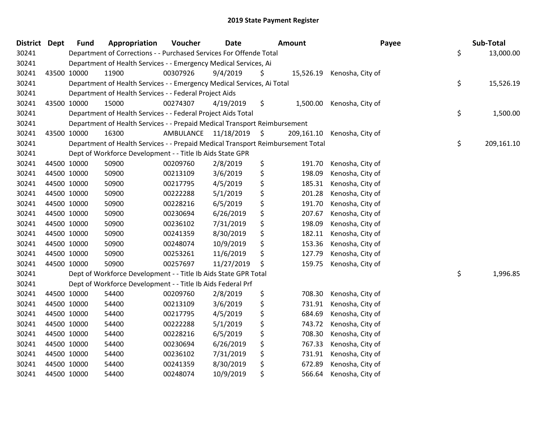| District Dept |             | <b>Fund</b> | Appropriation                                                                   | Voucher                 | <b>Date</b> | <b>Amount</b> |            | Payee                      | Sub-Total        |
|---------------|-------------|-------------|---------------------------------------------------------------------------------|-------------------------|-------------|---------------|------------|----------------------------|------------------|
| 30241         |             |             | Department of Corrections - - Purchased Services For Offende Total              |                         |             |               |            |                            | \$<br>13,000.00  |
| 30241         |             |             | Department of Health Services - - Emergency Medical Services, Ai                |                         |             |               |            |                            |                  |
| 30241         | 43500 10000 |             | 11900                                                                           | 00307926                | 9/4/2019    | Ş             |            | 15,526.19 Kenosha, City of |                  |
| 30241         |             |             | Department of Health Services - - Emergency Medical Services, Ai Total          |                         |             |               |            |                            | \$<br>15,526.19  |
| 30241         |             |             | Department of Health Services - - Federal Project Aids                          |                         |             |               |            |                            |                  |
| 30241         | 43500 10000 |             | 15000                                                                           | 00274307                | 4/19/2019   | \$            | 1,500.00   | Kenosha, City of           |                  |
| 30241         |             |             | Department of Health Services - - Federal Project Aids Total                    |                         |             |               |            |                            | \$<br>1,500.00   |
| 30241         |             |             | Department of Health Services - - Prepaid Medical Transport Reimbursement       |                         |             |               |            |                            |                  |
| 30241         | 43500 10000 |             | 16300                                                                           | AMBULANCE 11/18/2019 \$ |             |               | 209,161.10 | Kenosha, City of           |                  |
| 30241         |             |             | Department of Health Services - - Prepaid Medical Transport Reimbursement Total |                         |             |               |            |                            | \$<br>209,161.10 |
| 30241         |             |             | Dept of Workforce Development - - Title Ib Aids State GPR                       |                         |             |               |            |                            |                  |
| 30241         | 44500 10000 |             | 50900                                                                           | 00209760                | 2/8/2019    | \$            | 191.70     | Kenosha, City of           |                  |
| 30241         | 44500 10000 |             | 50900                                                                           | 00213109                | 3/6/2019    | \$            | 198.09     | Kenosha, City of           |                  |
| 30241         | 44500 10000 |             | 50900                                                                           | 00217795                | 4/5/2019    | \$            | 185.31     | Kenosha, City of           |                  |
| 30241         | 44500 10000 |             | 50900                                                                           | 00222288                | 5/1/2019    | \$            | 201.28     | Kenosha, City of           |                  |
| 30241         | 44500 10000 |             | 50900                                                                           | 00228216                | 6/5/2019    | \$            | 191.70     | Kenosha, City of           |                  |
| 30241         | 44500 10000 |             | 50900                                                                           | 00230694                | 6/26/2019   | \$            | 207.67     | Kenosha, City of           |                  |
| 30241         | 44500 10000 |             | 50900                                                                           | 00236102                | 7/31/2019   | \$            | 198.09     | Kenosha, City of           |                  |
| 30241         | 44500 10000 |             | 50900                                                                           | 00241359                | 8/30/2019   | \$            | 182.11     | Kenosha, City of           |                  |
| 30241         | 44500 10000 |             | 50900                                                                           | 00248074                | 10/9/2019   | \$            | 153.36     | Kenosha, City of           |                  |
| 30241         | 44500 10000 |             | 50900                                                                           | 00253261                | 11/6/2019   | \$            | 127.79     | Kenosha, City of           |                  |
| 30241         | 44500 10000 |             | 50900                                                                           | 00257697                | 11/27/2019  | \$            | 159.75     | Kenosha, City of           |                  |
| 30241         |             |             | Dept of Workforce Development - - Title Ib Aids State GPR Total                 |                         |             |               |            |                            | \$<br>1,996.85   |
| 30241         |             |             | Dept of Workforce Development - - Title Ib Aids Federal Prf                     |                         |             |               |            |                            |                  |
| 30241         | 44500 10000 |             | 54400                                                                           | 00209760                | 2/8/2019    | \$            | 708.30     | Kenosha, City of           |                  |
| 30241         | 44500 10000 |             | 54400                                                                           | 00213109                | 3/6/2019    | \$            | 731.91     | Kenosha, City of           |                  |
| 30241         | 44500 10000 |             | 54400                                                                           | 00217795                | 4/5/2019    | \$            | 684.69     | Kenosha, City of           |                  |
| 30241         | 44500 10000 |             | 54400                                                                           | 00222288                | 5/1/2019    | \$            | 743.72     | Kenosha, City of           |                  |
| 30241         | 44500 10000 |             | 54400                                                                           | 00228216                | 6/5/2019    | \$            | 708.30     | Kenosha, City of           |                  |
| 30241         | 44500 10000 |             | 54400                                                                           | 00230694                | 6/26/2019   | \$            | 767.33     | Kenosha, City of           |                  |
| 30241         | 44500 10000 |             | 54400                                                                           | 00236102                | 7/31/2019   | \$            | 731.91     | Kenosha, City of           |                  |
| 30241         | 44500 10000 |             | 54400                                                                           | 00241359                | 8/30/2019   | \$            | 672.89     | Kenosha, City of           |                  |
| 30241         | 44500 10000 |             | 54400                                                                           | 00248074                | 10/9/2019   | \$            | 566.64     | Kenosha, City of           |                  |
|               |             |             |                                                                                 |                         |             |               |            |                            |                  |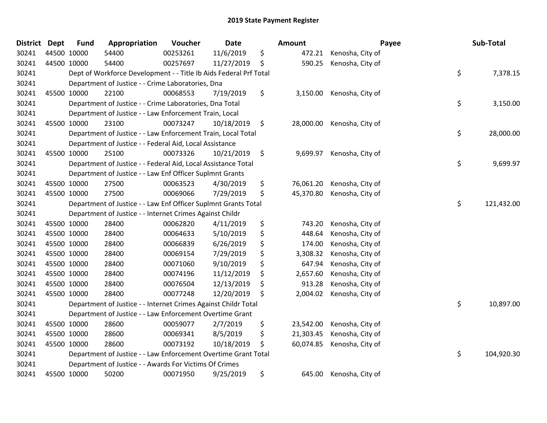| <b>District</b> | <b>Dept</b> | <b>Fund</b> | Appropriation                                                     | Voucher  | <b>Date</b> | <b>Amount</b>   |                  | Payee | Sub-Total  |
|-----------------|-------------|-------------|-------------------------------------------------------------------|----------|-------------|-----------------|------------------|-------|------------|
| 30241           |             | 44500 10000 | 54400                                                             | 00253261 | 11/6/2019   | \$<br>472.21    | Kenosha, City of |       |            |
| 30241           |             | 44500 10000 | 54400                                                             | 00257697 | 11/27/2019  | \$<br>590.25    | Kenosha, City of |       |            |
| 30241           |             |             | Dept of Workforce Development - - Title Ib Aids Federal Prf Total |          |             |                 |                  | \$    | 7,378.15   |
| 30241           |             |             | Department of Justice - - Crime Laboratories, Dna                 |          |             |                 |                  |       |            |
| 30241           |             | 45500 10000 | 22100                                                             | 00068553 | 7/19/2019   | \$<br>3,150.00  | Kenosha, City of |       |            |
| 30241           |             |             | Department of Justice - - Crime Laboratories, Dna Total           |          |             |                 |                  | \$    | 3,150.00   |
| 30241           |             |             | Department of Justice - - Law Enforcement Train, Local            |          |             |                 |                  |       |            |
| 30241           |             | 45500 10000 | 23100                                                             | 00073247 | 10/18/2019  | \$<br>28,000.00 | Kenosha, City of |       |            |
| 30241           |             |             | Department of Justice - - Law Enforcement Train, Local Total      |          |             |                 |                  | \$    | 28,000.00  |
| 30241           |             |             | Department of Justice - - Federal Aid, Local Assistance           |          |             |                 |                  |       |            |
| 30241           |             | 45500 10000 | 25100                                                             | 00073326 | 10/21/2019  | \$<br>9,699.97  | Kenosha, City of |       |            |
| 30241           |             |             | Department of Justice - - Federal Aid, Local Assistance Total     |          |             |                 |                  | \$    | 9,699.97   |
| 30241           |             |             | Department of Justice - - Law Enf Officer Suplmnt Grants          |          |             |                 |                  |       |            |
| 30241           |             | 45500 10000 | 27500                                                             | 00063523 | 4/30/2019   | \$<br>76,061.20 | Kenosha, City of |       |            |
| 30241           |             | 45500 10000 | 27500                                                             | 00069066 | 7/29/2019   | \$<br>45,370.80 | Kenosha, City of |       |            |
| 30241           |             |             | Department of Justice - - Law Enf Officer Suplmnt Grants Total    |          |             |                 |                  | \$    | 121,432.00 |
| 30241           |             |             | Department of Justice - - Internet Crimes Against Childr          |          |             |                 |                  |       |            |
| 30241           |             | 45500 10000 | 28400                                                             | 00062820 | 4/11/2019   | \$<br>743.20    | Kenosha, City of |       |            |
| 30241           |             | 45500 10000 | 28400                                                             | 00064633 | 5/10/2019   | \$<br>448.64    | Kenosha, City of |       |            |
| 30241           |             | 45500 10000 | 28400                                                             | 00066839 | 6/26/2019   | \$<br>174.00    | Kenosha, City of |       |            |
| 30241           |             | 45500 10000 | 28400                                                             | 00069154 | 7/29/2019   | \$<br>3,308.32  | Kenosha, City of |       |            |
| 30241           |             | 45500 10000 | 28400                                                             | 00071060 | 9/10/2019   | \$<br>647.94    | Kenosha, City of |       |            |
| 30241           |             | 45500 10000 | 28400                                                             | 00074196 | 11/12/2019  | \$<br>2,657.60  | Kenosha, City of |       |            |
| 30241           |             | 45500 10000 | 28400                                                             | 00076504 | 12/13/2019  | \$<br>913.28    | Kenosha, City of |       |            |
| 30241           |             | 45500 10000 | 28400                                                             | 00077248 | 12/20/2019  | \$<br>2,004.02  | Kenosha, City of |       |            |
| 30241           |             |             | Department of Justice - - Internet Crimes Against Childr Total    |          |             |                 |                  | \$    | 10,897.00  |
| 30241           |             |             | Department of Justice - - Law Enforcement Overtime Grant          |          |             |                 |                  |       |            |
| 30241           |             | 45500 10000 | 28600                                                             | 00059077 | 2/7/2019    | \$<br>23,542.00 | Kenosha, City of |       |            |
| 30241           |             | 45500 10000 | 28600                                                             | 00069341 | 8/5/2019    | \$<br>21,303.45 | Kenosha, City of |       |            |
| 30241           |             | 45500 10000 | 28600                                                             | 00073192 | 10/18/2019  | \$<br>60,074.85 | Kenosha, City of |       |            |
| 30241           |             |             | Department of Justice - - Law Enforcement Overtime Grant Total    |          |             |                 |                  | \$    | 104,920.30 |
| 30241           |             |             | Department of Justice - - Awards For Victims Of Crimes            |          |             |                 |                  |       |            |
| 30241           |             | 45500 10000 | 50200                                                             | 00071950 | 9/25/2019   | \$<br>645.00    | Kenosha, City of |       |            |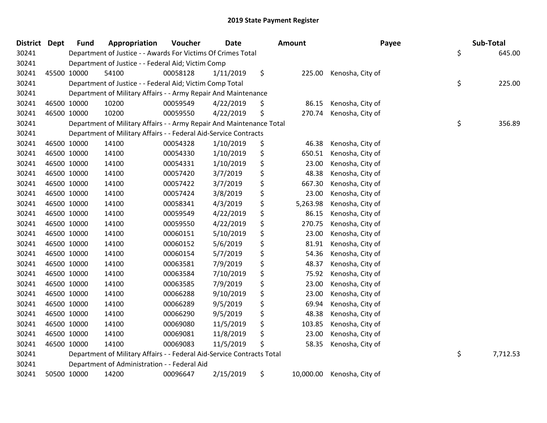| <b>District Dept</b> | <b>Fund</b> | Appropriation                                                          | Voucher  | <b>Date</b> | <b>Amount</b> |           | Payee            | Sub-Total      |
|----------------------|-------------|------------------------------------------------------------------------|----------|-------------|---------------|-----------|------------------|----------------|
| 30241                |             | Department of Justice - - Awards For Victims Of Crimes Total           |          |             |               |           |                  | \$<br>645.00   |
| 30241                |             | Department of Justice - - Federal Aid; Victim Comp                     |          |             |               |           |                  |                |
| 30241                | 45500 10000 | 54100                                                                  | 00058128 | 1/11/2019   | \$            | 225.00    | Kenosha, City of |                |
| 30241                |             | Department of Justice - - Federal Aid; Victim Comp Total               |          |             |               |           |                  | \$<br>225.00   |
| 30241                |             | Department of Military Affairs - - Army Repair And Maintenance         |          |             |               |           |                  |                |
| 30241                | 46500 10000 | 10200                                                                  | 00059549 | 4/22/2019   | \$            | 86.15     | Kenosha, City of |                |
| 30241                | 46500 10000 | 10200                                                                  | 00059550 | 4/22/2019   | \$            | 270.74    | Kenosha, City of |                |
| 30241                |             | Department of Military Affairs - - Army Repair And Maintenance Total   |          |             |               |           |                  | \$<br>356.89   |
| 30241                |             | Department of Military Affairs - - Federal Aid-Service Contracts       |          |             |               |           |                  |                |
| 30241                | 46500 10000 | 14100                                                                  | 00054328 | 1/10/2019   | \$            | 46.38     | Kenosha, City of |                |
| 30241                | 46500 10000 | 14100                                                                  | 00054330 | 1/10/2019   | \$            | 650.51    | Kenosha, City of |                |
| 30241                | 46500 10000 | 14100                                                                  | 00054331 | 1/10/2019   | \$            | 23.00     | Kenosha, City of |                |
| 30241                | 46500 10000 | 14100                                                                  | 00057420 | 3/7/2019    | \$            | 48.38     | Kenosha, City of |                |
| 30241                | 46500 10000 | 14100                                                                  | 00057422 | 3/7/2019    | \$            | 667.30    | Kenosha, City of |                |
| 30241                | 46500 10000 | 14100                                                                  | 00057424 | 3/8/2019    | \$            | 23.00     | Kenosha, City of |                |
| 30241                | 46500 10000 | 14100                                                                  | 00058341 | 4/3/2019    | \$            | 5,263.98  | Kenosha, City of |                |
| 30241                | 46500 10000 | 14100                                                                  | 00059549 | 4/22/2019   | \$            | 86.15     | Kenosha, City of |                |
| 30241                | 46500 10000 | 14100                                                                  | 00059550 | 4/22/2019   | \$            | 270.75    | Kenosha, City of |                |
| 30241                | 46500 10000 | 14100                                                                  | 00060151 | 5/10/2019   | \$            | 23.00     | Kenosha, City of |                |
| 30241                | 46500 10000 | 14100                                                                  | 00060152 | 5/6/2019    | \$            | 81.91     | Kenosha, City of |                |
| 30241                | 46500 10000 | 14100                                                                  | 00060154 | 5/7/2019    | \$            | 54.36     | Kenosha, City of |                |
| 30241                | 46500 10000 | 14100                                                                  | 00063581 | 7/9/2019    | \$            | 48.37     | Kenosha, City of |                |
| 30241                | 46500 10000 | 14100                                                                  | 00063584 | 7/10/2019   | \$            | 75.92     | Kenosha, City of |                |
| 30241                | 46500 10000 | 14100                                                                  | 00063585 | 7/9/2019    | \$            | 23.00     | Kenosha, City of |                |
| 30241                | 46500 10000 | 14100                                                                  | 00066288 | 9/10/2019   | \$            | 23.00     | Kenosha, City of |                |
| 30241                | 46500 10000 | 14100                                                                  | 00066289 | 9/5/2019    | \$            | 69.94     | Kenosha, City of |                |
| 30241                | 46500 10000 | 14100                                                                  | 00066290 | 9/5/2019    | \$            | 48.38     | Kenosha, City of |                |
| 30241                | 46500 10000 | 14100                                                                  | 00069080 | 11/5/2019   | \$            | 103.85    | Kenosha, City of |                |
| 30241                | 46500 10000 | 14100                                                                  | 00069081 | 11/8/2019   | \$            | 23.00     | Kenosha, City of |                |
| 30241                | 46500 10000 | 14100                                                                  | 00069083 | 11/5/2019   | \$            | 58.35     | Kenosha, City of |                |
| 30241                |             | Department of Military Affairs - - Federal Aid-Service Contracts Total |          |             |               |           |                  | \$<br>7,712.53 |
| 30241                |             | Department of Administration - - Federal Aid                           |          |             |               |           |                  |                |
| 30241                | 50500 10000 | 14200                                                                  | 00096647 | 2/15/2019   | \$            | 10,000.00 | Kenosha, City of |                |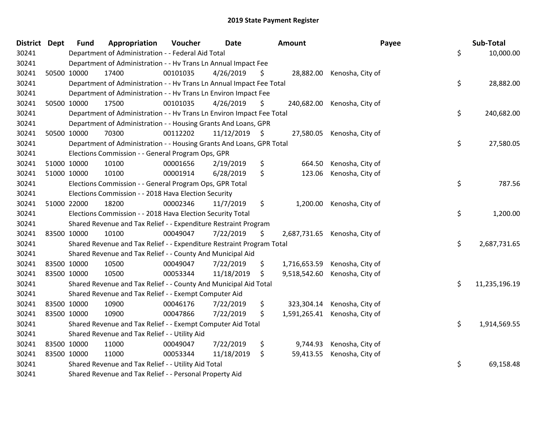| <b>District Dept</b> | <b>Fund</b> | Appropriation                                                         | Voucher  | <b>Date</b>     |     | Amount       | Payee                         | Sub-Total           |
|----------------------|-------------|-----------------------------------------------------------------------|----------|-----------------|-----|--------------|-------------------------------|---------------------|
| 30241                |             | Department of Administration - - Federal Aid Total                    |          |                 |     |              |                               | \$<br>10,000.00     |
| 30241                |             | Department of Administration - - Hv Trans Ln Annual Impact Fee        |          |                 |     |              |                               |                     |
| 30241                | 50500 10000 | 17400                                                                 | 00101035 | 4/26/2019       | \$  |              | 28,882.00 Kenosha, City of    |                     |
| 30241                |             | Department of Administration - - Hv Trans Ln Annual Impact Fee Total  |          |                 |     |              |                               | \$<br>28,882.00     |
| 30241                |             | Department of Administration - - Hv Trans Ln Environ Impact Fee       |          |                 |     |              |                               |                     |
| 30241                | 50500 10000 | 17500                                                                 | 00101035 | 4/26/2019       | \$. | 240,682.00   | Kenosha, City of              |                     |
| 30241                |             | Department of Administration - - Hv Trans Ln Environ Impact Fee Total |          |                 |     |              |                               | \$<br>240,682.00    |
| 30241                |             | Department of Administration - - Housing Grants And Loans, GPR        |          |                 |     |              |                               |                     |
| 30241                | 50500 10000 | 70300                                                                 | 00112202 | $11/12/2019$ \$ |     | 27,580.05    | Kenosha, City of              |                     |
| 30241                |             | Department of Administration - - Housing Grants And Loans, GPR Total  |          |                 |     |              |                               | \$<br>27,580.05     |
| 30241                |             | Elections Commission - - General Program Ops, GPR                     |          |                 |     |              |                               |                     |
| 30241                | 51000 10000 | 10100                                                                 | 00001656 | 2/19/2019       | \$  | 664.50       | Kenosha, City of              |                     |
| 30241                | 51000 10000 | 10100                                                                 | 00001914 | 6/28/2019       | \$  | 123.06       | Kenosha, City of              |                     |
| 30241                |             | Elections Commission - - General Program Ops, GPR Total               |          |                 |     |              |                               | \$<br>787.56        |
| 30241                |             | Elections Commission - - 2018 Hava Election Security                  |          |                 |     |              |                               |                     |
| 30241                | 51000 22000 | 18200                                                                 | 00002346 | 11/7/2019       | \$  | 1,200.00     | Kenosha, City of              |                     |
| 30241                |             | Elections Commission - - 2018 Hava Election Security Total            |          |                 |     |              |                               | \$<br>1,200.00      |
| 30241                |             | Shared Revenue and Tax Relief - - Expenditure Restraint Program       |          |                 |     |              |                               |                     |
| 30241                | 83500 10000 | 10100                                                                 | 00049047 | 7/22/2019       | \$  |              | 2,687,731.65 Kenosha, City of |                     |
| 30241                |             | Shared Revenue and Tax Relief - - Expenditure Restraint Program Total |          |                 |     |              |                               | \$<br>2,687,731.65  |
| 30241                |             | Shared Revenue and Tax Relief - - County And Municipal Aid            |          |                 |     |              |                               |                     |
| 30241                | 83500 10000 | 10500                                                                 | 00049047 | 7/22/2019       | \$  | 1,716,653.59 | Kenosha, City of              |                     |
| 30241                | 83500 10000 | 10500                                                                 | 00053344 | 11/18/2019      | \$  | 9,518,542.60 | Kenosha, City of              |                     |
| 30241                |             | Shared Revenue and Tax Relief - - County And Municipal Aid Total      |          |                 |     |              |                               | \$<br>11,235,196.19 |
| 30241                |             | Shared Revenue and Tax Relief - - Exempt Computer Aid                 |          |                 |     |              |                               |                     |
| 30241                | 83500 10000 | 10900                                                                 | 00046176 | 7/22/2019       | \$  | 323,304.14   | Kenosha, City of              |                     |
| 30241                | 83500 10000 | 10900                                                                 | 00047866 | 7/22/2019       | \$  |              | 1,591,265.41 Kenosha, City of |                     |
| 30241                |             | Shared Revenue and Tax Relief - - Exempt Computer Aid Total           |          |                 |     |              |                               | \$<br>1,914,569.55  |
| 30241                |             | Shared Revenue and Tax Relief - - Utility Aid                         |          |                 |     |              |                               |                     |
| 30241                | 83500 10000 | 11000                                                                 | 00049047 | 7/22/2019       | \$  | 9,744.93     | Kenosha, City of              |                     |
| 30241                | 83500 10000 | 11000                                                                 | 00053344 | 11/18/2019      | \$  | 59,413.55    | Kenosha, City of              |                     |
| 30241                |             | Shared Revenue and Tax Relief - - Utility Aid Total                   |          |                 |     |              |                               | \$<br>69,158.48     |
| 30241                |             | Shared Revenue and Tax Relief - - Personal Property Aid               |          |                 |     |              |                               |                     |